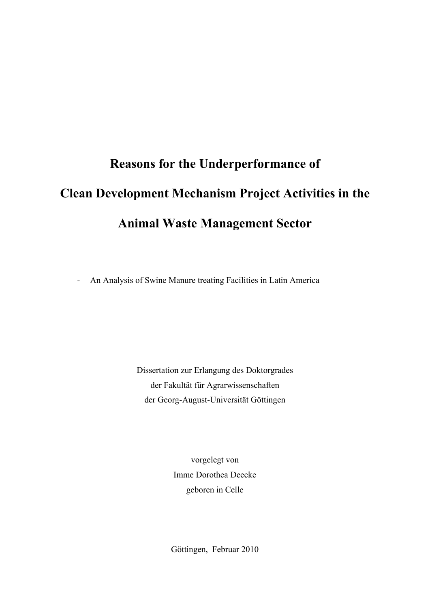# **Reasons for the Underperformance of Clean Development Mechanism Project Activities in the Animal Waste Management Sector**

- An Analysis of Swine Manure treating Facilities in Latin America

Dissertation zur Erlangung des Doktorgrades der Fakultät für Agrarwissenschaften der Georg-August-Universität Göttingen

> vorgelegt von Imme Dorothea Deecke geboren in Celle

Göttingen, Februar 2010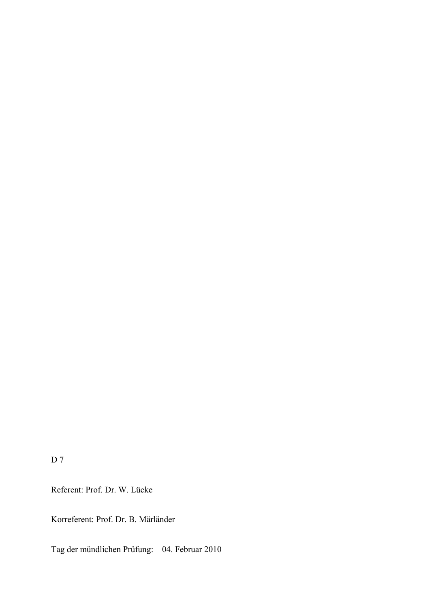D 7

Referent: Prof. Dr. W. Lücke

Korreferent: Prof. Dr. B. Märländer

Tag der mündlichen Prüfung: 04. Februar 2010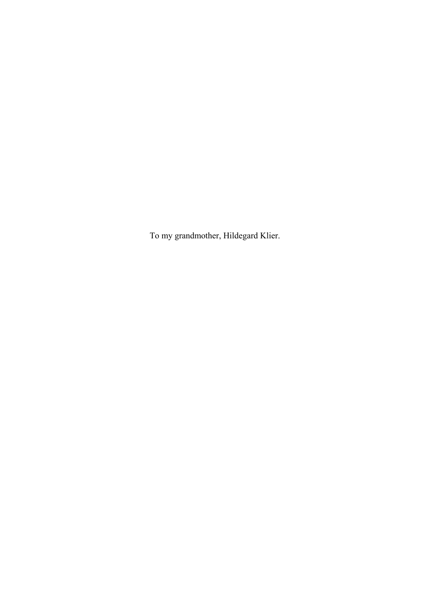To my grandmother, Hildegard Klier.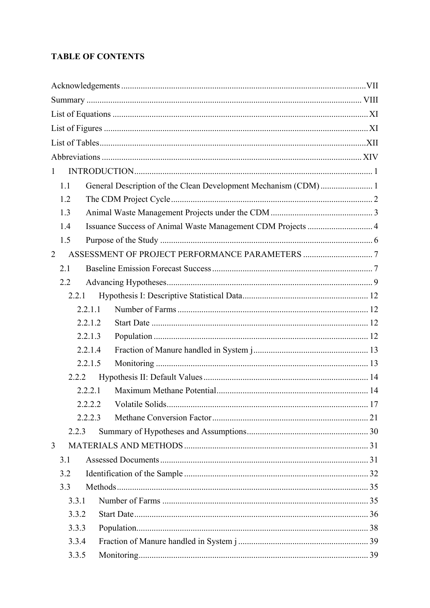# **TABLE OF CONTENTS**

| $\mathbf{1}$                                                          |  |
|-----------------------------------------------------------------------|--|
| General Description of the Clean Development Mechanism (CDM) 1<br>1.1 |  |
| 1.2                                                                   |  |
| 1.3                                                                   |  |
| Issuance Success of Animal Waste Management CDM Projects  4<br>1.4    |  |
| 1.5                                                                   |  |
| $\overline{2}$                                                        |  |
| 2.1                                                                   |  |
| 2.2                                                                   |  |
| 2.2.1                                                                 |  |
| 2.2.1.1                                                               |  |
| 2.2.1.2                                                               |  |
| 2.2.1.3                                                               |  |
| 2.2.1.4                                                               |  |
| 2.2.1.5                                                               |  |
| 2.2.2                                                                 |  |
| 2.2.2.1                                                               |  |
|                                                                       |  |
| 2223                                                                  |  |
| 2.2.3                                                                 |  |
| $\overline{3}$                                                        |  |
| 3.1                                                                   |  |
| 3.2                                                                   |  |
| 3.3                                                                   |  |
| 3.3.1                                                                 |  |
| 3.3.2                                                                 |  |
| 3.3.3                                                                 |  |
| 3.3.4                                                                 |  |
| 3.3.5                                                                 |  |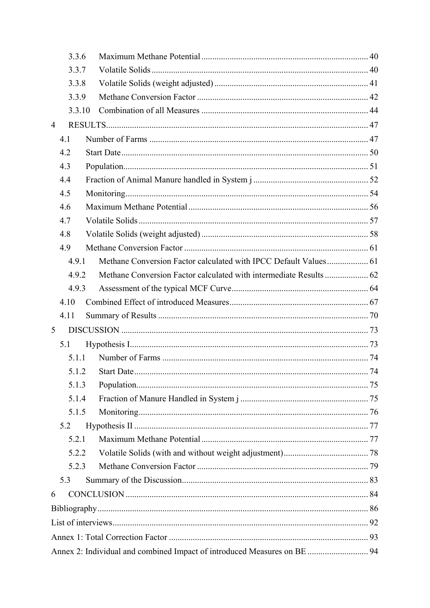|                | 3.3.6  |                                                                          |  |
|----------------|--------|--------------------------------------------------------------------------|--|
|                | 3.3.7  |                                                                          |  |
|                | 3.3.8  |                                                                          |  |
|                | 3.3.9  |                                                                          |  |
|                | 3.3.10 |                                                                          |  |
| $\overline{4}$ |        |                                                                          |  |
|                | 4.1    |                                                                          |  |
|                | 4.2    |                                                                          |  |
|                | 4.3    |                                                                          |  |
|                | 4.4    |                                                                          |  |
|                | 4.5    |                                                                          |  |
|                | 4.6    |                                                                          |  |
|                | 4.7    |                                                                          |  |
|                | 4.8    |                                                                          |  |
|                | 4.9    |                                                                          |  |
|                | 4.9.1  |                                                                          |  |
|                | 4.9.2  |                                                                          |  |
|                | 4.9.3  |                                                                          |  |
|                | 4.10   |                                                                          |  |
|                | 4.11   |                                                                          |  |
| 5              |        |                                                                          |  |
|                | 5.1    |                                                                          |  |
|                | 5.1.1  |                                                                          |  |
|                |        |                                                                          |  |
|                | 5.1.3  |                                                                          |  |
|                | 5.1.4  |                                                                          |  |
|                | 5.1.5  |                                                                          |  |
|                | 5.2    |                                                                          |  |
|                | 5.2.1  |                                                                          |  |
|                | 5.2.2  |                                                                          |  |
|                | 5.2.3  |                                                                          |  |
|                | 5.3    |                                                                          |  |
| 6              |        |                                                                          |  |
|                |        |                                                                          |  |
|                |        |                                                                          |  |
|                |        |                                                                          |  |
|                |        | Annex 2: Individual and combined Impact of introduced Measures on BE  94 |  |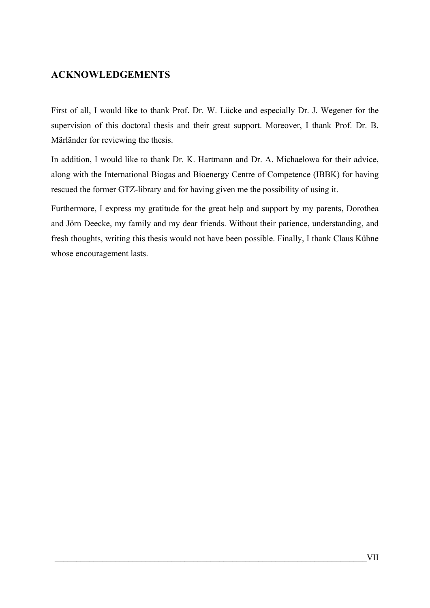# <span id="page-6-0"></span>**ACKNOWLEDGEMENTS**

First of all, I would like to thank Prof. Dr. W. Lücke and especially Dr. J. Wegener for the supervision of this doctoral thesis and their great support. Moreover, I thank Prof. Dr. B. Märländer for reviewing the thesis.

In addition, I would like to thank Dr. K. Hartmann and Dr. A. Michaelowa for their advice, along with the International Biogas and Bioenergy Centre of Competence (IBBK) for having rescued the former GTZ-library and for having given me the possibility of using it.

Furthermore, I express my gratitude for the great help and support by my parents, Dorothea and Jörn Deecke, my family and my dear friends. Without their patience, understanding, and fresh thoughts, writing this thesis would not have been possible. Finally, I thank Claus Kühne whose encouragement lasts.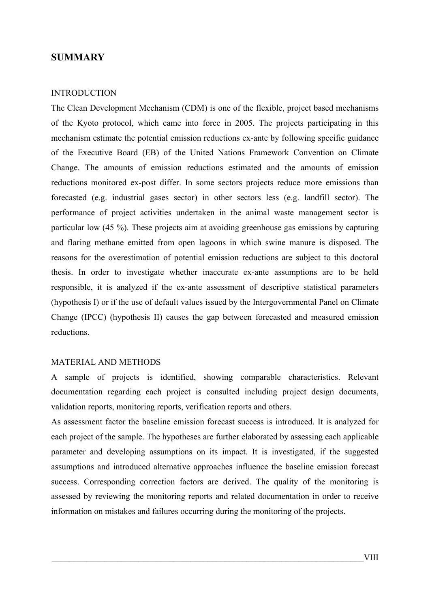## <span id="page-7-0"></span>**SUMMARY**

#### INTRODUCTION

The Clean Development Mechanism (CDM) is one of the flexible, project based mechanisms of the Kyoto protocol, which came into force in 2005. The projects participating in this mechanism estimate the potential emission reductions ex-ante by following specific guidance of the Executive Board (EB) of the United Nations Framework Convention on Climate Change. The amounts of emission reductions estimated and the amounts of emission reductions monitored ex-post differ. In some sectors projects reduce more emissions than forecasted (e.g. industrial gases sector) in other sectors less (e.g. landfill sector). The performance of project activities undertaken in the animal waste management sector is particular low (45 %). These projects aim at avoiding greenhouse gas emissions by capturing and flaring methane emitted from open lagoons in which swine manure is disposed. The reasons for the overestimation of potential emission reductions are subject to this doctoral thesis. In order to investigate whether inaccurate ex-ante assumptions are to be held responsible, it is analyzed if the ex-ante assessment of descriptive statistical parameters (hypothesis I) or if the use of default values issued by the Intergovernmental Panel on Climate Change (IPCC) (hypothesis II) causes the gap between forecasted and measured emission reductions.

#### MATERIAL AND METHODS

A sample of projects is identified, showing comparable characteristics. Relevant documentation regarding each project is consulted including project design documents, validation reports, monitoring reports, verification reports and others.

As assessment factor the baseline emission forecast success is introduced. It is analyzed for each project of the sample. The hypotheses are further elaborated by assessing each applicable parameter and developing assumptions on its impact. It is investigated, if the suggested assumptions and introduced alternative approaches influence the baseline emission forecast success. Corresponding correction factors are derived. The quality of the monitoring is assessed by reviewing the monitoring reports and related documentation in order to receive information on mistakes and failures occurring during the monitoring of the projects.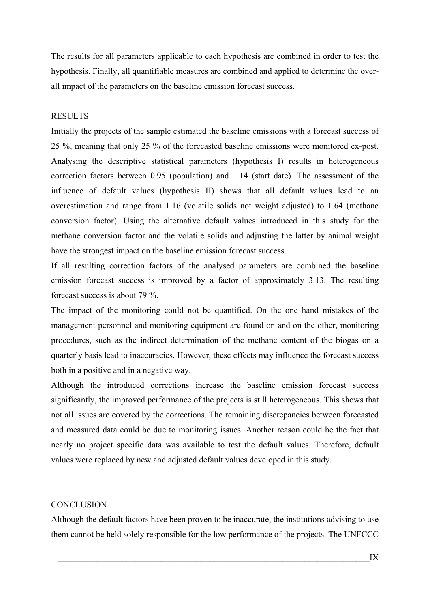The results for all parameters applicable to each hypothesis are combined in order to test the hypothesis. Finally, all quantifiable measures are combined and applied to determine the overall impact of the parameters on the baseline emission forecast success.

## RESULTS

Initially the projects of the sample estimated the baseline emissions with a forecast success of 25 %, meaning that only 25 % of the forecasted baseline emissions were monitored ex-post. Analysing the descriptive statistical parameters (hypothesis I) results in heterogeneous correction factors between 0.95 (population) and 1.14 (start date). The assessment of the influence of default values (hypothesis II) shows that all default values lead to an overestimation and range from 1.16 (volatile solids not weight adjusted) to 1.64 (methane conversion factor). Using the alternative default values introduced in this study for the methane conversion factor and the volatile solids and adjusting the latter by animal weight have the strongest impact on the baseline emission forecast success.

If all resulting correction factors of the analysed parameters are combined the baseline emission forecast success is improved by a factor of approximately 3.13. The resulting forecast success is about 79 %.

The impact of the monitoring could not be quantified. On the one hand mistakes of the management personnel and monitoring equipment are found on and on the other, monitoring procedures, such as the indirect determination of the methane content of the biogas on a quarterly basis lead to inaccuracies. However, these effects may influence the forecast success both in a positive and in a negative way.

Although the introduced corrections increase the baseline emission forecast success significantly, the improved performance of the projects is still heterogeneous. This shows that not all issues are covered by the corrections. The remaining discrepancies between forecasted and measured data could be due to monitoring issues. Another reason could be the fact that nearly no project specific data was available to test the default values. Therefore, default values were replaced by new and adjusted default values developed in this study.

#### **CONCLUSION**

Although the default factors have been proven to be inaccurate, the institutions advising to use them cannot be held solely responsible for the low performance of the projects. The UNFCCC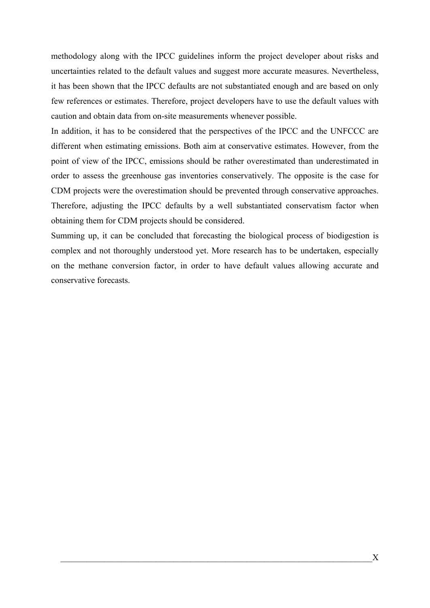methodology along with the IPCC guidelines inform the project developer about risks and uncertainties related to the default values and suggest more accurate measures. Nevertheless, it has been shown that the IPCC defaults are not substantiated enough and are based on only few references or estimates. Therefore, project developers have to use the default values with caution and obtain data from on-site measurements whenever possible.

In addition, it has to be considered that the perspectives of the IPCC and the UNFCCC are different when estimating emissions. Both aim at conservative estimates. However, from the point of view of the IPCC, emissions should be rather overestimated than underestimated in order to assess the greenhouse gas inventories conservatively. The opposite is the case for CDM projects were the overestimation should be prevented through conservative approaches. Therefore, adjusting the IPCC defaults by a well substantiated conservatism factor when obtaining them for CDM projects should be considered.

Summing up, it can be concluded that forecasting the biological process of biodigestion is complex and not thoroughly understood yet. More research has to be undertaken, especially on the methane conversion factor, in order to have default values allowing accurate and conservative forecasts.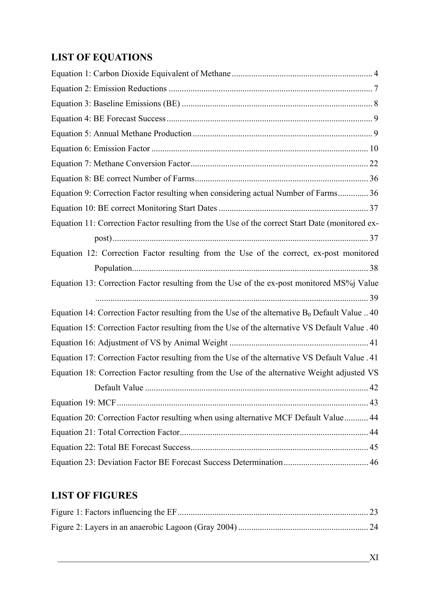# <span id="page-10-0"></span>**LIST OF EQUATIONS**

| Equation 9: Correction Factor resulting when considering actual Number of Farms 36               |  |
|--------------------------------------------------------------------------------------------------|--|
|                                                                                                  |  |
| Equation 11: Correction Factor resulting from the Use of the correct Start Date (monitored ex-   |  |
|                                                                                                  |  |
| Equation 12: Correction Factor resulting from the Use of the correct, ex-post monitored          |  |
|                                                                                                  |  |
| Equation 13: Correction Factor resulting from the Use of the ex-post monitored MS%j Value        |  |
|                                                                                                  |  |
| Equation 14: Correction Factor resulting from the Use of the alternative $B_0$ Default Value  40 |  |
| Equation 15: Correction Factor resulting from the Use of the alternative VS Default Value . 40   |  |
|                                                                                                  |  |
| Equation 17: Correction Factor resulting from the Use of the alternative VS Default Value . 41   |  |
| Equation 18: Correction Factor resulting from the Use of the alternative Weight adjusted VS      |  |
|                                                                                                  |  |
|                                                                                                  |  |
| Equation 20: Correction Factor resulting when using alternative MCF Default Value 44             |  |
|                                                                                                  |  |
|                                                                                                  |  |
|                                                                                                  |  |

# **LIST OF FIGURES**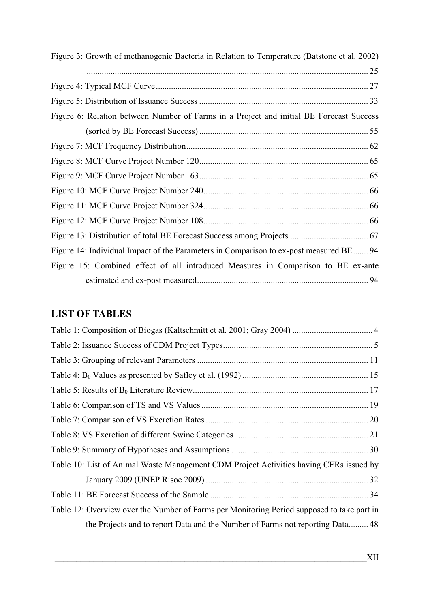<span id="page-11-0"></span>

| Figure 3: Growth of methanogenic Bacteria in Relation to Temperature (Batstone et al. 2002) |  |
|---------------------------------------------------------------------------------------------|--|
|                                                                                             |  |
|                                                                                             |  |
|                                                                                             |  |
| Figure 6: Relation between Number of Farms in a Project and initial BE Forecast Success     |  |
|                                                                                             |  |
|                                                                                             |  |
|                                                                                             |  |
|                                                                                             |  |
|                                                                                             |  |
|                                                                                             |  |
|                                                                                             |  |
|                                                                                             |  |
| Figure 14: Individual Impact of the Parameters in Comparison to ex-post measured BE 94      |  |
| Figure 15: Combined effect of all introduced Measures in Comparison to BE ex-ante           |  |
|                                                                                             |  |

# **LIST OF TABLES**

| Table 10: List of Animal Waste Management CDM Project Activities having CERs issued by     |  |
|--------------------------------------------------------------------------------------------|--|
|                                                                                            |  |
|                                                                                            |  |
| Table 12: Overview over the Number of Farms per Monitoring Period supposed to take part in |  |
| the Projects and to report Data and the Number of Farms not reporting Data 48              |  |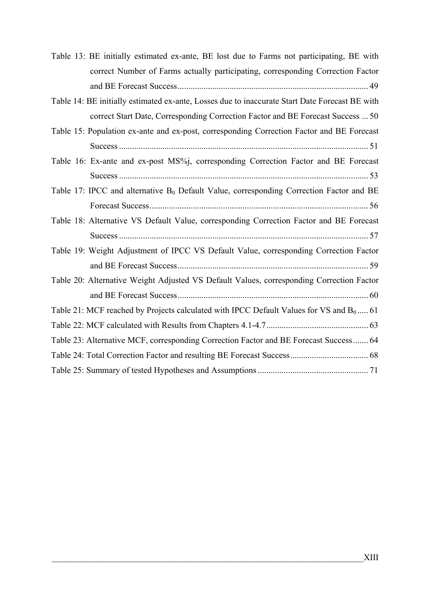| Table 13: BE initially estimated ex-ante, BE lost due to Farms not participating, BE with           |
|-----------------------------------------------------------------------------------------------------|
| correct Number of Farms actually participating, corresponding Correction Factor                     |
|                                                                                                     |
| Table 14: BE initially estimated ex-ante, Losses due to inaccurate Start Date Forecast BE with      |
| correct Start Date, Corresponding Correction Factor and BE Forecast Success  50                     |
| Table 15: Population ex-ante and ex-post, corresponding Correction Factor and BE Forecast           |
|                                                                                                     |
| Table 16: Ex-ante and ex-post MS%j, corresponding Correction Factor and BE Forecast                 |
|                                                                                                     |
| Table 17: IPCC and alternative B <sub>0</sub> Default Value, corresponding Correction Factor and BE |
|                                                                                                     |
| Table 18: Alternative VS Default Value, corresponding Correction Factor and BE Forecast             |
|                                                                                                     |
| Table 19: Weight Adjustment of IPCC VS Default Value, corresponding Correction Factor               |
|                                                                                                     |
| Table 20: Alternative Weight Adjusted VS Default Values, corresponding Correction Factor            |
|                                                                                                     |
| Table 21: MCF reached by Projects calculated with IPCC Default Values for VS and $B_0$ 61           |
|                                                                                                     |
| Table 23: Alternative MCF, corresponding Correction Factor and BE Forecast Success 64               |
|                                                                                                     |
|                                                                                                     |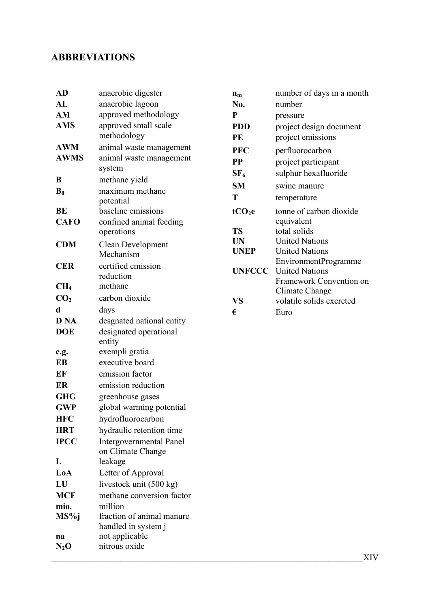# <span id="page-13-0"></span>**ABBREVIATIONS**

| <b>AD</b>       | anaerobic digester                                  | $\mathbf{n}_{\mathbf{m}}$ | number of days in a month                     |
|-----------------|-----------------------------------------------------|---------------------------|-----------------------------------------------|
| AL              | anaerobic lagoon                                    | No.                       | number                                        |
| AM              | approved methodology                                | $\mathbf{P}$              | pressure                                      |
| <b>AMS</b>      | approved small scale                                | <b>PDD</b>                | project design document                       |
|                 | methodology                                         | PE                        | project emissions                             |
| <b>AWM</b>      | animal waste management                             | <b>PFC</b>                | perfluorocarbon                               |
| <b>AWMS</b>     | animal waste management                             | <b>PP</b>                 | project participant                           |
|                 | system                                              | SF <sub>6</sub>           | sulphur hexafluoride                          |
| B               | methane yield                                       | <b>SM</b>                 | swine manure                                  |
| $B_0$           | maximum methane<br>potential                        | T                         | temperature                                   |
| BE              | baseline emissions                                  | tCO <sub>2</sub> e        | tonne of carbon dioxide                       |
| <b>CAFO</b>     | confined animal feeding                             |                           | equivalent                                    |
|                 | operations                                          | <b>TS</b>                 | total solids                                  |
| <b>CDM</b>      | <b>Clean Development</b>                            | <b>UN</b>                 | <b>United Nations</b>                         |
|                 | Mechanism                                           | <b>UNEP</b>               | <b>United Nations</b><br>EnvironmentProgramme |
| <b>CER</b>      | certified emission                                  | <b>UNFCCC</b>             | <b>United Nations</b>                         |
| CH <sub>4</sub> | reduction<br>methane                                |                           | Framework Convention on                       |
| CO <sub>2</sub> | carbon dioxide                                      |                           | Climate Change                                |
| d               |                                                     | <b>VS</b>                 | volatile solids excreted                      |
| <b>D</b> NA     | days<br>desgnated national entity                   | €                         | Euro                                          |
| <b>DOE</b>      | designated operational                              |                           |                                               |
|                 | entity                                              |                           |                                               |
| e.g.            | exempli gratia                                      |                           |                                               |
| EB              | executive board                                     |                           |                                               |
| EF              | emission factor                                     |                           |                                               |
| ER              | emission reduction                                  |                           |                                               |
| <b>GHG</b>      | greenhouse gases                                    |                           |                                               |
| <b>GWP</b>      | global warming potential                            |                           |                                               |
| <b>HFC</b>      | hydrofluorocarbon                                   |                           |                                               |
| <b>HRT</b>      | hydraulic retention time                            |                           |                                               |
| <b>IPCC</b>     | <b>Intergovernmental Panel</b><br>on Climate Change |                           |                                               |
| L               | leakage                                             |                           |                                               |
| LoA             | Letter of Approval                                  |                           |                                               |
| LU              | livestock unit (500 kg)                             |                           |                                               |
| <b>MCF</b>      | methane conversion factor                           |                           |                                               |
| mio.            | million                                             |                           |                                               |
| MS%j            | fraction of animal manure                           |                           |                                               |
|                 | handled in system j                                 |                           |                                               |
| na              | not applicable                                      |                           |                                               |
| $N_2O$          | nitrous oxide                                       |                           |                                               |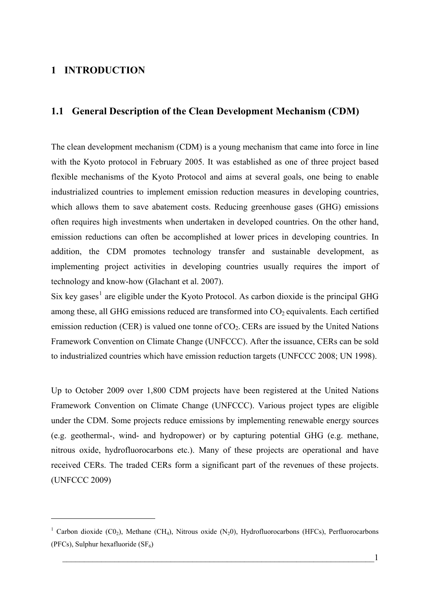# <span id="page-14-0"></span>**1 INTRODUCTION**

1

# **1.1 General Description of the Clean Development Mechanism (CDM)**

The clean development mechanism (CDM) is a young mechanism that came into force in line with the Kyoto protocol in February 2005. It was established as one of three project based flexible mechanisms of the Kyoto Protocol and aims at several goals, one being to enable industrialized countries to implement emission reduction measures in developing countries, which allows them to save abatement costs. Reducing greenhouse gases (GHG) emissions often requires high investments when undertaken in developed countries. On the other hand, emission reductions can often be accomplished at lower prices in developing countries. In addition, the CDM promotes technology transfer and sustainable development, as implementing project activities in developing countries usually requires the import of technology and know-how (Glachant et al. 2007).

Six key gases<sup>[1](#page-14-0)</sup> are eligible under the Kyoto Protocol. As carbon dioxide is the principal GHG among these, all GHG emissions reduced are transformed into  $CO<sub>2</sub>$  equivalents. Each certified emission reduction (CER) is valued one tonne of  $CO<sub>2</sub>$ . CERs are issued by the United Nations Framework Convention on Climate Change (UNFCCC). After the issuance, CERs can be sold to industrialized countries which have emission reduction targets (UNFCCC 2008; UN 1998).

Up to October 2009 over 1,800 CDM projects have been registered at the United Nations Framework Convention on Climate Change (UNFCCC). Various project types are eligible under the CDM. Some projects reduce emissions by implementing renewable energy sources (e.g. geothermal-, wind- and hydropower) or by capturing potential GHG (e.g. methane, nitrous oxide, hydrofluorocarbons etc.). Many of these projects are operational and have received CERs. The traded CERs form a significant part of the revenues of these projects. (UNFCCC 2009)

<sup>&</sup>lt;sup>1</sup> Carbon dioxide (C0<sub>2</sub>), Methane (CH<sub>4</sub>), Nitrous oxide (N<sub>2</sub>0), Hydrofluorocarbons (HFCs), Perfluorocarbons (PFCs), Sulphur hexafluoride  $(SF_6)$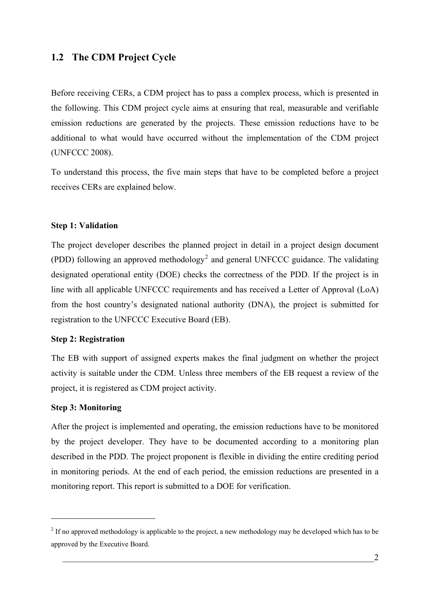# <span id="page-15-1"></span><span id="page-15-0"></span>**1.2 The CDM Project Cycle**

Before receiving CERs, a CDM project has to pass a complex process, which is presented in the following. This CDM project cycle aims at ensuring that real, measurable and verifiable emission reductions are generated by the projects. These emission reductions have to be additional to what would have occurred without the implementation of the CDM project (UNFCCC 2008).

To understand this process, the five main steps that have to be completed before a project receives CERs are explained below.

## **Step 1: Validation**

The project developer describes the planned project in detail in a project design document (PDD) following an approved methodology<sup>[2](#page-15-0)</sup> and general UNFCCC guidance. The validating designated operational entity (DOE) checks the correctness of the PDD. If the project is in line with all applicable UNFCCC requirements and has received a Letter of Approval (LoA) from the host country's designated national authority (DNA), the project is submitted for registration to the UNFCCC Executive Board (EB).

#### **Step 2: Registration**

The EB with support of assigned experts makes the final judgment on whether the project activity is suitable under the CDM. Unless three members of the EB request a review of the project, it is registered as CDM project activity.

#### **Step 3: Monitoring**

1

After the project is implemented and operating, the emission reductions have to be monitored by the project developer. They have to be documented according to a monitoring plan described in the PDD. The project proponent is flexible in dividing the entire crediting period in monitoring periods. At the end of each period, the emission reductions are presented in a monitoring report. This report is submitted to a DOE for verification.

 $2<sup>2</sup>$  If no approved methodology is applicable to the project, a new methodology may be developed which has to be approved by the Executive Board.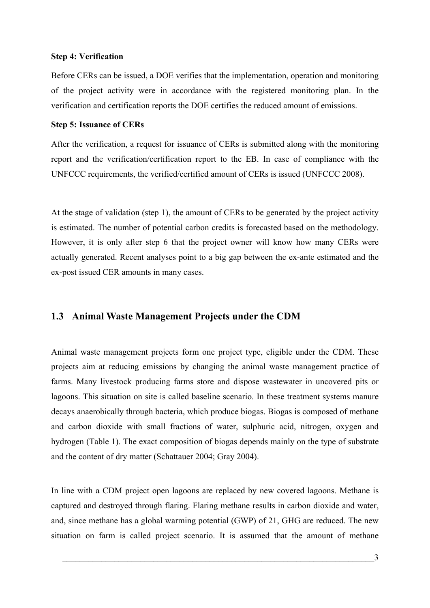#### <span id="page-16-0"></span>**Step 4: Verification**

Before CERs can be issued, a DOE verifies that the implementation, operation and monitoring of the project activity were in accordance with the registered monitoring plan. In the verification and certification reports the DOE certifies the reduced amount of emissions.

#### **Step 5: Issuance of CERs**

After the verification, a request for issuance of CERs is submitted along with the monitoring report and the verification/certification report to the EB. In case of compliance with the UNFCCC requirements, the verified/certified amount of CERs is issued (UNFCCC 2008).

At the stage of validation (step 1), the amount of CERs to be generated by the project activity is estimated. The number of potential carbon credits is forecasted based on the methodology. However, it is only after step 6 that the project owner will know how many CERs were actually generated. Recent analyses point to a big gap between the ex-ante estimated and the ex-post issued CER amounts in many cases.

## **1.3 Animal Waste Management Projects under the CDM**

Animal waste management projects form one project type, eligible under the CDM. These projects aim at reducing emissions by changing the animal waste management practice of farms. Many livestock producing farms store and dispose wastewater in uncovered pits or lagoons. This situation on site is called baseline scenario. In these treatment systems manure decays anaerobically through bacteria, which produce biogas. Biogas is composed of methane and carbon dioxide with small fractions of water, sulphuric acid, nitrogen, oxygen and hydrogen ([Table 1](#page-17-1)). The exact composition of biogas depends mainly on the type of substrate and the content of dry matter (Schattauer 2004; Gray 2004).

In line with a CDM project open lagoons are replaced by new covered lagoons. Methane is captured and destroyed through flaring. Flaring methane results in carbon dioxide and water, and, since methane has a global warming potential (GWP) of 21, GHG are reduced. The new situation on farm is called project scenario. It is assumed that the amount of methane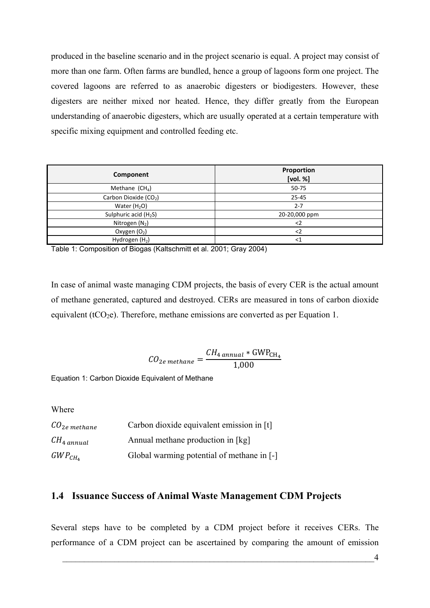<span id="page-17-0"></span>produced in the baseline scenario and in the project scenario is equal. A project may consist of more than one farm. Often farms are bundled, hence a group of lagoons form one project. The covered lagoons are referred to as anaerobic digesters or biodigesters. However, these digesters are neither mixed nor heated. Hence, they differ greatly from the European understanding of anaerobic digesters, which are usually operated at a certain temperature with specific mixing equipment and controlled feeding etc.

| Component                         | Proportion<br>[vol. %] |
|-----------------------------------|------------------------|
| Methane $(CH_4)$                  | 50-75                  |
| Carbon Dioxide (CO <sub>2</sub> ) | 25-45                  |
| Water $(H2O)$                     | $2 - 7$                |
| Sulphuric acid (H <sub>2</sub> S) | 20-20,000 ppm          |
| Nitrogen $(N_2)$                  | $<$ 2                  |
| Oxygen $(O_2)$                    | $2$                    |
| Hydrogen $(H2)$                   | $<$ 1                  |

<span id="page-17-1"></span>Table 1: Composition of Biogas (Kaltschmitt et al. 2001; Gray 2004)

In case of animal waste managing CDM projects, the basis of every CER is the actual amount of methane generated, captured and destroyed. CERs are measured in tons of carbon dioxide equivalent ( $tCO<sub>2</sub>e$ ). Therefore, methane emissions are converted as per [Equation 1](#page-17-2).

$$
CO_{2e\,methane} = \frac{CH_{4\,annual} * GWP_{CH_4}}{1,000}
$$

<span id="page-17-2"></span>Equation 1: Carbon Dioxide Equivalent of Methane

Wh ere

| $\mathcal{C}O_{2e}$ methane | Carbon dioxide equivalent emission in [t]  |
|-----------------------------|--------------------------------------------|
| $CH_{4\ annual}$            | Annual methane production in [kg]          |
| $GWP_{CH_4}$                | Global warming potential of methane in [-] |

# **1.4 Issuance Success of Animal Waste Management CDM Projects**

Several steps have to be completed by a CDM project before it receives CERs. The performance of a CDM project can be ascertained by comparing the amount of emission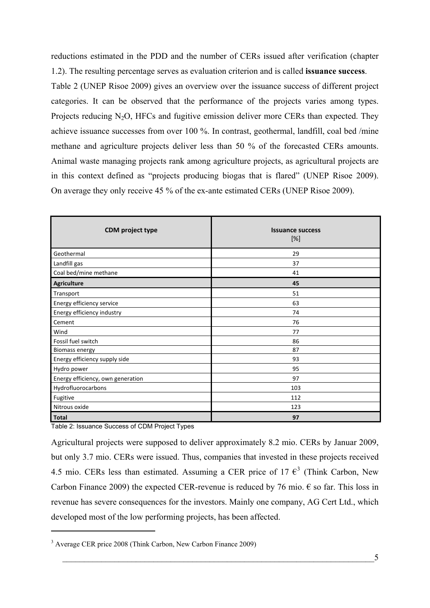<span id="page-18-0"></span>reductions estimated in the PDD and the number of CERs issued after verification (chapter [1.2\)](#page-15-1). The resulting percentage serves as evaluation criterion and is called **issuance success**.

[Table 2](#page-18-1) (UNEP Risoe 2009) gives an overview over the issuance success of different project categories. It can be observed that the performance of the projects varies among types. Projects reducing  $N_2O$ , HFCs and fugitive emission deliver more CERs than expected. They achieve issuance successes from over 100 %. In contrast, geothermal, landfill, coal bed /mine methane and agriculture projects deliver less than 50 % of the forecasted CERs amounts. Animal waste managing projects rank among agriculture projects, as agricultural projects are in this context defined as "projects producing biogas that is flared" (UNEP Risoe 2009). On average they only receive 45 % of the ex-ante estimated CERs (UNEP Risoe 2009).

| CDM project type                  | <b>Issuance success</b><br>$[\%]$ |
|-----------------------------------|-----------------------------------|
| Geothermal                        | 29                                |
| Landfill gas                      | 37                                |
| Coal bed/mine methane             | 41                                |
| Agriculture                       | 45                                |
| Transport                         | 51                                |
| Energy efficiency service         | 63                                |
| Energy efficiency industry        | 74                                |
| Cement                            | 76                                |
| Wind                              | 77                                |
| Fossil fuel switch                | 86                                |
| <b>Biomass energy</b>             | 87                                |
| Energy efficiency supply side     | 93                                |
| Hydro power                       | 95                                |
| Energy efficiency, own generation | 97                                |
| Hydrofluorocarbons                | 103                               |
| Fugitive                          | 112                               |
| Nitrous oxide                     | 123                               |
| <b>Total</b>                      | 97                                |

<span id="page-18-1"></span>Table 2: Issuance Success of CDM Project Types

1

Agricultural projects were supposed to deliver approximately 8.2 mio. CERs by Januar 2009, but only 3.7 mio. CERs were issued. Thus, companies that invested in these projects received 4.5 mio. CERs less than estimated. Assuming a CER price of 17  $\epsilon^3$  $\epsilon^3$  (Think Carbon, New Carbon Finance 2009) the expected CER-revenue is reduced by 76 mio.  $\epsilon$  so far. This loss in revenue has severe consequences for the investors. Mainly one company, AG Cert Ltd., which developed most of the low performing projects, has been affected.

<sup>&</sup>lt;sup>3</sup> Average CER price 2008 (Think Carbon, New Carbon Finance 2009)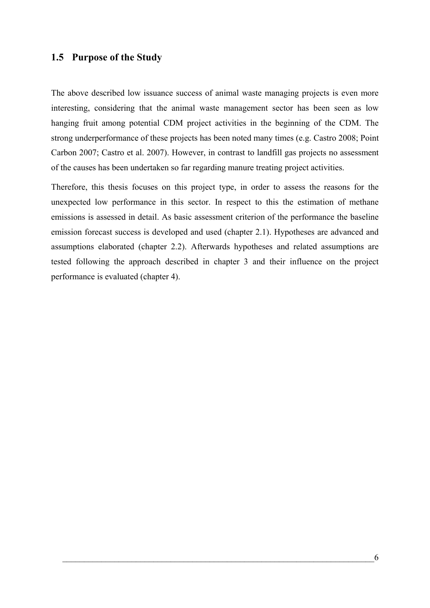# <span id="page-19-0"></span>**1.5 Purpose of the Study**

The above described low issuance success of animal waste managing projects is even more interesting, considering that the animal waste management sector has been seen as low hanging fruit among potential CDM project activities in the beginning of the CDM. The strong underperformance of these projects has been noted many times (e.g. Castro 2008; Point Carbon 2007; Castro et al. 2007). However, in contrast to landfill gas projects no assessment of the causes has been undertaken so far regarding manure treating project activities.

Therefore, this thesis focuses on this project type, in order to assess the reasons for the unexpected low performance in this sector. In respect to this the estimation of methane emissions is assessed in detail. As basic assessment criterion of the performance the baseline emission forecast success is developed and used (chapter [2.1\)](#page-20-1). Hypotheses are advanced and assumptions elaborated (chapter [2.2\)](#page-22-1). Afterwards hypotheses and related assumptions are tested following the approach described in chapter [3](#page-44-1) and their influence on the project performance is evaluated (chapter [4\)](#page-60-1).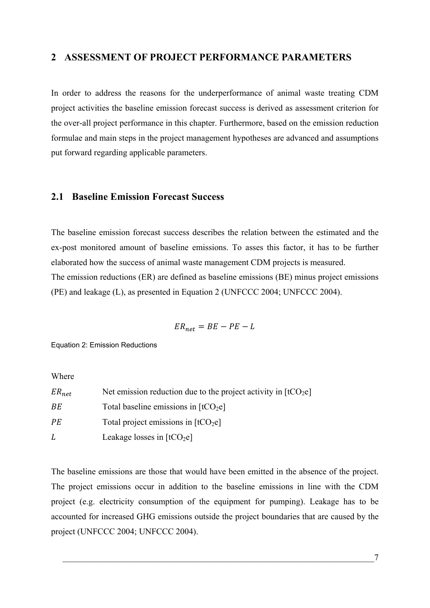# <span id="page-20-0"></span>**2 ASSESSMENT OF PROJECT PERFORMANCE PARAMETERS**

In order to address the reasons for the underperformance of animal waste treating CDM project activities the baseline emission forecast success is derived as assessment criterion for the over-all project performance in this chapter. Furthermore, based on the emission reduction formulae and main steps in the project management hypotheses are advanced and assumptions put forward regarding applicable parameters.

# <span id="page-20-1"></span>**2.1 Baseline Emission Forecast Success**

The baseline emission forecast success describes the relation between the estimated and the ex-post monitored amount of baseline emissions. To asses this factor, it has to be further elaborated how the success of animal waste management CDM projects is measured. The emission reductions (ER) are defined as baseline emissions (BE) minus project emissions (PE) and leakage (L), as presented in [Equation 2](#page-20-2) (UNFCCC 2004; UNFCCC 2004).

$$
ER_{net} = BE - PE - L
$$

<span id="page-20-2"></span>Equation 2: Emission Reductions

Wh ere

| $ER_{net}$ | Net emission reduction due to the project activity in $[tCO_2e]$ |
|------------|------------------------------------------------------------------|
| ВE         | Total baseline emissions in $[tCO2e]$                            |
| РE         | Total project emissions in $[tCO2e]$                             |
| L          | Leakage losses in $[tCO2e]$                                      |

The baseline emissions are those that would have been emitted in the absence of the project. The project emissions occur in addition to the baseline emissions in line with the CDM project (e.g. electricity consumption of the equipment for pumping). Leakage has to be accounted for increased GHG emissions outside the project boundaries that are caused by the project (UNFCCC 2004; UNFCCC 2004).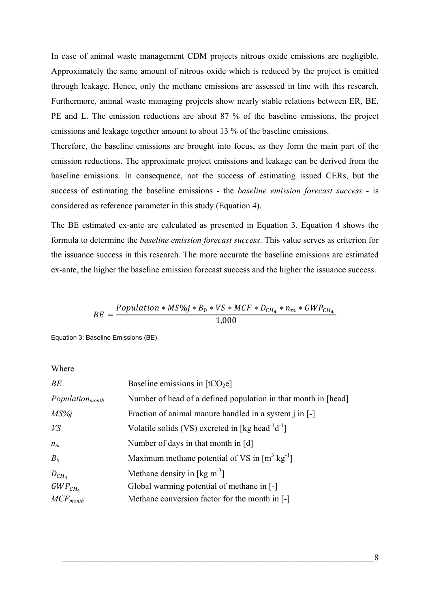<span id="page-21-0"></span>In case of animal waste management CDM projects nitrous oxide emissions are negligible. Approximately the same amount of nitrous oxide which is reduced by the project is emitted through leakage. Hence, only the methane emissions are assessed in line with this research. Furthermore, animal waste managing projects show nearly stable relations between ER, BE, PE and L. The emission reductions are about 87 % of the baseline emissions, the project emissions and leakage together amount to about 13 % of the baseline emissions.

Therefore, the baseline emissions are brought into focus, as they form the main part of the emission reductions. The approximate project emissions and leakage can be derived from the baseline emissions. In consequence, not the success of estimating issued CERs, but the success of estimating the baseline emissions - the *baseline emission forecast success* - is considered as reference parameter in this study [\(Equation 4\)](#page-22-2).

The BE estimated ex-ante are calculated as presented in [Equation 3](#page-21-1). [Equation 4](#page-22-2) shows the formula to determine the *baseline emission forecast success*. This value serves as criterion for the issuance success in this research. The more accurate the baseline emissions are estimated ex-ante, the higher the baseline emission forecast success and the higher the issuance success.

$$
BE = \frac{Population * MS\%j * B_0 * VS * MCF * D_{CH_4} * n_m * GWP_{CH_4}}{1,000}
$$

<span id="page-21-1"></span>Equation 3: Baseline Emissions (BE)

Where

| BE                     | Baseline emissions in $[tCO2e]$                                           |
|------------------------|---------------------------------------------------------------------------|
| $Population_{month}$   | Number of head of a defined population in that month in [head]            |
| $MS\%$ j               | Fraction of animal manure handled in a system j in [-]                    |
| VS                     | Volatile solids (VS) excreted in [kg head <sup>-1</sup> d <sup>-1</sup> ] |
| $n_m$                  | Number of days in that month in [d]                                       |
| B <sub>0</sub>         | Maximum methane potential of VS in $[m^3 \text{ kg}^{-1}]$                |
| $D_{CH_4}$             | Methane density in $\lceil \text{kg m}^{-3} \rceil$                       |
| $GWP_{CH_4}$           | Global warming potential of methane in [-]                                |
| $MCF$ <sub>month</sub> | Methane conversion factor for the month in [-]                            |
|                        |                                                                           |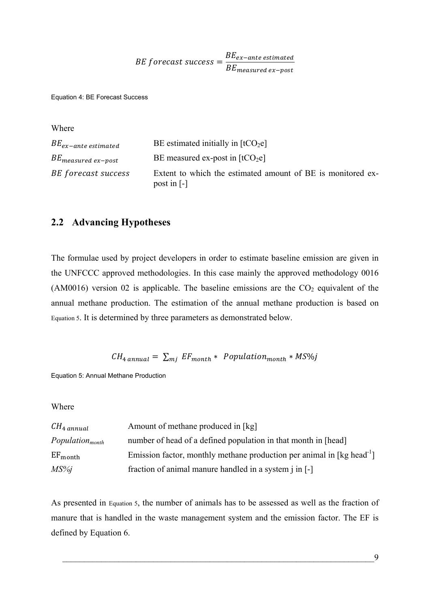BE forecast success  $=$   $\frac{BE_{ex-ante \; estimated}}{BE_{ex-ate}}$ BE<sub>measured ex-post</sub>

<span id="page-22-2"></span><span id="page-22-0"></span>Equation 4: BE Forecast Success

| Where                     |                                                                            |
|---------------------------|----------------------------------------------------------------------------|
| $BE_{ex-ante\ estimated}$ | BE estimated initially in $[tCO2e]$                                        |
| $BE_{measured\ ex-post}$  | BE measured ex-post in $[tCO2e]$                                           |
| BE forecast success       | Extent to which the estimated amount of BE is monitored ex-<br>post in [-] |

# <span id="page-22-1"></span>**2.2 Advancing Hypotheses**

The formulae used by project developers in order to estimate baseline emission are given in the UNFCCC approved methodologies. In this case mainly the approved methodology 0016 (AM0016) version 02 is applicable. The baseline emissions are the  $CO<sub>2</sub>$  equivalent of the annual methane production. The estimation of the annual methane production is based on [Equation 5](#page-22-3). It is determined by three parameters as demonstrated below.

$$
CH_{4\ annual} = \sum_{mj} EF_{month} * Population_{month} * MS\%
$$

<span id="page-22-3"></span>Equation 5: Annual Methane Production

Wh ere

| $CH_{4\ annual}$     | Amount of methane produced in [kg]                                                           |
|----------------------|----------------------------------------------------------------------------------------------|
| $Population_{month}$ | number of head of a defined population in that month in [head]                               |
| $EF_{month}$         | Emission factor, monthly methane production per animal in $\lceil \log \text{head}^1 \rceil$ |
| $MS\%$ j             | fraction of animal manure handled in a system j in [-]                                       |

As presented in [Equation 5,](#page-22-3) the number of animals has to be assessed as well as the fraction of manure that is handled in the waste management system and the emission factor. The EF is defined by [Equation 6](#page-23-1).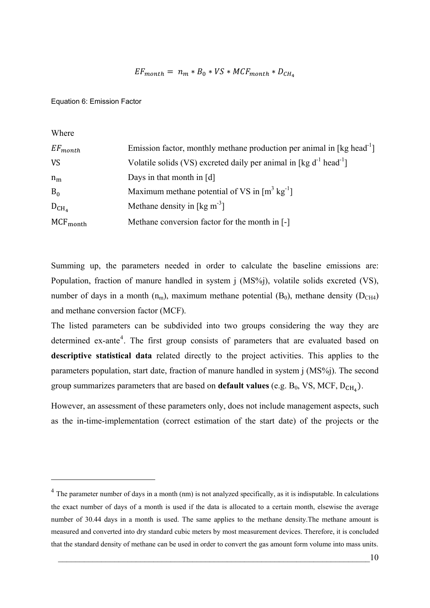$$
EF_{month} = n_m * B_0 * VS * MCF_{month} * D_{CH_4}
$$

<span id="page-23-1"></span><span id="page-23-0"></span>Equation 6: Emission Factor

Wh ere

<u>.</u>

| Emission factor, monthly methane production per animal in [kg head <sup>-1</sup> ]  |
|-------------------------------------------------------------------------------------|
| Volatile solids (VS) excreted daily per animal in [kg $d^{-1}$ head <sup>-1</sup> ] |
| Days in that month in $[d]$                                                         |
| Maximum methane potential of VS in $[m^3 \text{ kg}^{-1}]$                          |
| Methane density in [kg m <sup>-3</sup> ]                                            |
| Methane conversion factor for the month in [-]                                      |
|                                                                                     |

Summing up, the parameters needed in order to calculate the baseline emissions are: Population, fraction of manure handled in system j (MS%j), volatile solids excreted (VS), number of days in a month  $(n_m)$ , maximum methane potential  $(B_0)$ , methane density  $(D<sub>CH4</sub>)$ and methane conversion factor (MCF).

The listed parameters can be subdivided into two groups considering the way they are determined ex-ante<sup>[4](#page-23-0)</sup>. The first group consists of parameters that are evaluated based on **descriptive statistical data** related directly to the project activities. This applies to the parameters population, start date, fraction of manure handled in system j (MS%j). The second group summarizes parameters that are based on **default values** (e.g.  $B_0$ , VS, MCF,  $D_{CH_4}$ ).

However, an assessment of these parameters only, does not include management aspects, such as the in-time-implementation (correct estimation of the start date) of the projects or the

 $4$  The parameter number of days in a month (nm) is not analyzed specifically, as it is indisputable. In calculations the exact number of days of a month is used if the data is allocated to a certain month, elsewise the average number of 30.44 days in a month is used. The same applies to the methane density.The methane amount is measured and converted into dry standard cubic meters by most measurement devices. Therefore, it is concluded that the standard density of methane can be used in order to convert the gas amount form volume into mass units.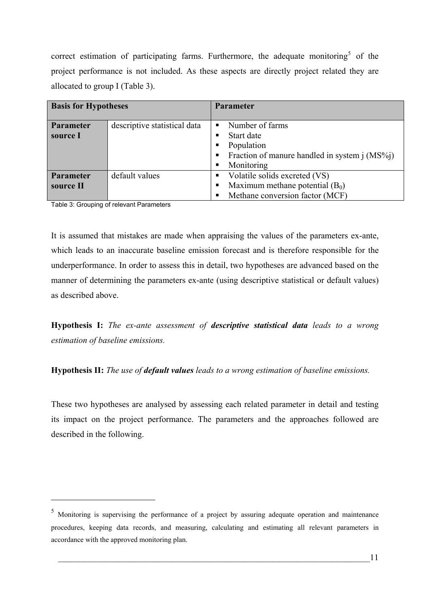<span id="page-24-0"></span>correct estimation of participating farms. Furthermore, the adequate monitoring<sup>[5](#page-24-0)</sup> of the project performance is not included. As these aspects are directly project related they are allocated to group I [\(Table 3\)](#page-24-1).

| <b>Basis for Hypotheses</b> |                              | <b>Parameter</b> |                                                 |
|-----------------------------|------------------------------|------------------|-------------------------------------------------|
| Parameter                   | descriptive statistical data | $\blacksquare$   | Number of farms                                 |
| source I                    |                              | п                | Start date                                      |
|                             |                              | п                | Population                                      |
|                             |                              | $\blacksquare$   | Fraction of manure handled in system $j(MS\%j)$ |
|                             |                              | п                | Monitoring                                      |
| <b>Parameter</b>            | default values               | п                | Volatile solids excreted (VS)                   |
| source II                   |                              | п                | Maximum methane potential $(B_0)$               |
|                             |                              | п                | Methane conversion factor (MCF)                 |

<span id="page-24-1"></span>Table 3: Grouping of relevant Parameters

<u>.</u>

It is assumed that mistakes are made when appraising the values of the parameters ex-ante, which leads to an inaccurate baseline emission forecast and is therefore responsible for the underperformance. In order to assess this in detail, two hypotheses are advanced based on the manner of determining the parameters ex-ante (using descriptive statistical or default values) as described above.

**Hypothesis I:** *The ex-ante assessment of descriptive statistical data leads to a wrong estimation of baseline emissions.* 

**Hypothesis II:** *The use of default values leads to a wrong estimation of baseline emissions.* 

These two hypotheses are analysed by assessing each related parameter in detail and testing its impact on the project performance. The parameters and the approaches followed are described in the following.

<sup>5</sup> Monitoring is supervising the performance of a project by assuring adequate operation and maintenance procedures, keeping data records, and measuring, calculating and estimating all relevant parameters in accordance with the approved monitoring plan.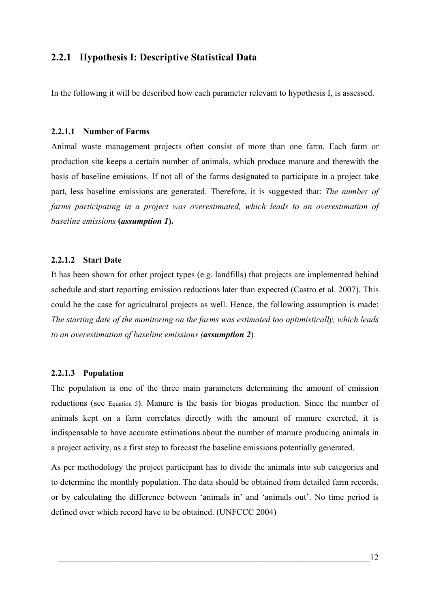# <span id="page-25-0"></span>**2.2.1 Hypothesis I: Descriptive Statistical Data**

In the following it will be described how each parameter relevant to hypothesis I, is assessed.

#### **2.2.1.1 Number of Farms**

Animal waste management projects often consist of more than one farm. Each farm or production site keeps a certain number of animals, which produce manure and therewith the basis of baseline emissions. If not all of the farms designated to participate in a project take part, less baseline emissions are generated. Therefore, it is suggested that: *The number of farms participating in a project was overestimated, which leads to an overestimation of baseline emissions* **(***assumption 1***).**

#### **2.2.1.2 Start Date**

It has been shown for other project types (e.g. landfills) that projects are implemented behind schedule and start reporting emission reductions later than expected (Castro et al. 2007). This could be the case for agricultural projects as well. Hence, the following assumption is made: *The starting date of the monitoring on the farms was estimated too optimistically, which leads to an overestimation of baseline emissions (assumption 2*)*.* 

#### **2.2.1.3 Population**

The population is one of the three main parameters determining the amount of emission reductions (see [Equation 5](#page-22-3)). Manure is the basis for biogas production. Since the number of animals kept on a farm correlates directly with the amount of manure excreted, it is indispensable to have accurate estimations about the number of manure producing animals in a project activity, as a first step to forecast the baseline emissions potentially generated.

As per methodology the project participant has to divide the animals into sub categories and to determine the monthly population. The data should be obtained from detailed farm records, or by calculating the difference between 'animals in' and 'animals out'. No time period is defined over which record have to be obtained. (UNFCCC 2004)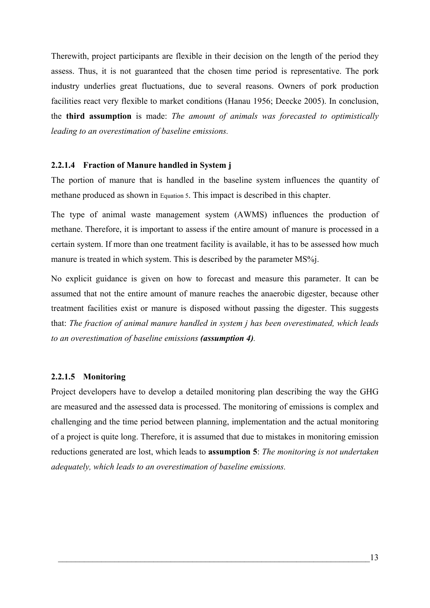<span id="page-26-0"></span>Therewith, project participants are flexible in their decision on the length of the period they assess. Thus, it is not guaranteed that the chosen time period is representative. The pork industry underlies great fluctuations, due to several reasons. Owners of pork production facilities react very flexible to market conditions (Hanau 1956; Deecke 2005). In conclusion, the **third assumption** is made: *The amount of animals was forecasted to optimistically leading to an overestimation of baseline emissions.* 

## **2.2.1.4 Fraction of Manure handled in System j**

The portion of manure that is handled in the baseline system influences the quantity of methane produced as shown in [Equation 5](#page-22-3). This impact is described in this chapter.

The type of animal waste management system (AWMS) influences the production of methane. Therefore, it is important to assess if the entire amount of manure is processed in a certain system. If more than one treatment facility is available, it has to be assessed how much manure is treated in which system. This is described by the parameter MS%*j*.

No explicit guidance is given on how to forecast and measure this parameter. It can be assumed that not the entire amount of manure reaches the anaerobic digester, because other treatment facilities exist or manure is disposed without passing the digester. This suggests that: *The fraction of animal manure handled in system j has been overestimated, which leads to an overestimation of baseline emissions (assumption 4).*

## **2.2.1.5 Monitoring**

Project developers have to develop a detailed monitoring plan describing the way the GHG are measured and the assessed data is processed. The monitoring of emissions is complex and challenging and the time period between planning, implementation and the actual monitoring of a project is quite long. Therefore, it is assumed that due to mistakes in monitoring emission reductions generated are lost, which leads to **assumption 5**: *The monitoring is not undertaken adequately, which leads to an overestimation of baseline emissions.*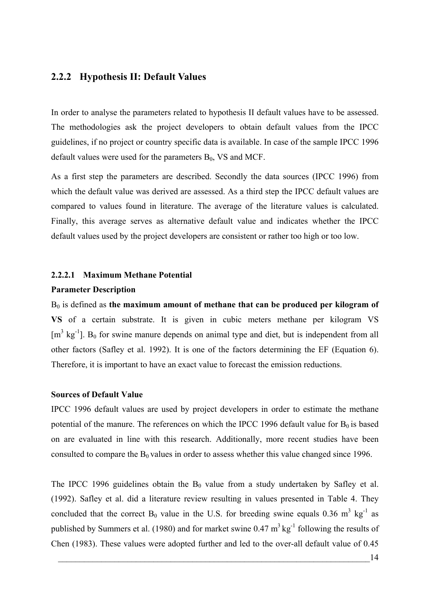# <span id="page-27-0"></span>**2.2.2 Hypothesis II: Default Values**

In order to analyse the parameters related to hypothesis II default values have to be assessed. The methodologies ask the project developers to obtain default values from the IPCC guidelines, if no project or country specific data is available. In case of the sample IPCC 1996 default values were used for the parameters  $B_0$ , VS and MCF.

As a first step the parameters are described. Secondly the data sources (IPCC 1996) from which the default value was derived are assessed. As a third step the IPCC default values are compared to values found in literature. The average of the literature values is calculated. Finally, this average serves as alternative default value and indicates whether the IPCC default values used by the project developers are consistent or rather too high or too low.

#### <span id="page-27-1"></span>**2.2.2.1 Maximum Methane Potential**

#### **Parameter Description**

B0 is defined as **the maximum amount of methane that can be produced per kilogram of VS** of a certain substrate. It is given in cubic meters methane per kilogram VS  $[m<sup>3</sup> kg<sup>-1</sup>]$ . B<sub>0</sub> for swine manure depends on animal type and diet, but is independent from all other factors (Safley et al. 1992). It is one of the factors determining the EF ([Equation 6\)](#page-23-1). Therefore, it is important to have an exact value to forecast the emission reductions.

## **Sources of Default Value**

IPCC 1996 default values are used by project developers in order to estimate the methane potential of the manure. The references on which the IPCC 1996 default value for  $B_0$  is based on are evaluated in line with this research. Additionally, more recent studies have been consulted to compare the  $B_0$  values in order to assess whether this value changed since 1996.

The IPCC 1996 guidelines obtain the  $B_0$  value from a study undertaken by Safley et al. (1992). Safley et al. did a literature review resulting in values presented in [Table 4.](#page-28-1) They concluded that the correct  $B_0$  value in the U.S. for breeding swine equals 0.36 m<sup>3</sup> kg<sup>-1</sup> as published by Summers et al. (1980) and for market swine  $0.47 \text{ m}^3 \text{ kg}^{-1}$  following the results of Chen (1983). These values were adopted further and led to the over-all default value of 0.45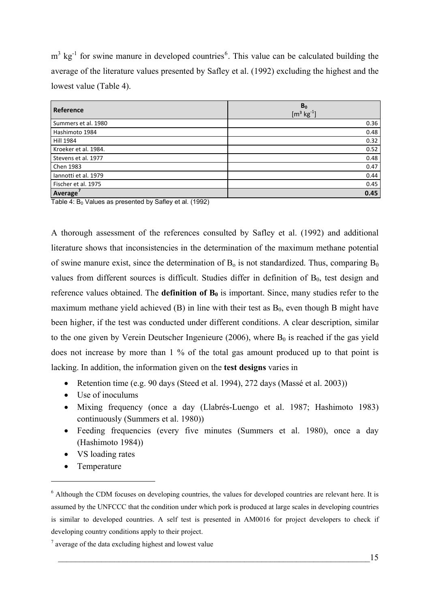<span id="page-28-0"></span> $m<sup>3</sup>$  kg<sup>-1</sup> for swine manure in developed countries<sup>[6](#page-28-0)</sup>. This value can be calculated building the average of the literature values presented by Safley et al. (1992) excluding the highest and the lowest value [\(Table 4\)](#page-28-1).

| Reference            | B <sub>0</sub><br>$[{\rm m}^3 \text{ kg}^{-1}]$ |
|----------------------|-------------------------------------------------|
| Summers et al. 1980  | 0.36                                            |
| Hashimoto 1984       | 0.48                                            |
| <b>Hill 1984</b>     | 0.32                                            |
| Kroeker et al. 1984. | 0.52                                            |
| Stevens et al. 1977  | 0.48                                            |
| Chen 1983            | 0.47                                            |
| Iannotti et al. 1979 | 0.44                                            |
| Fischer et al. 1975  | 0.45                                            |
| Average              | 0.45                                            |

<span id="page-28-1"></span>Table 4:  $B_0$  Values as presented by Safley et al. (1992)

A thorough assessment of the references consulted by Safley et al. (1992) and additional literature shows that inconsistencies in the determination of the maximum methane potential of swine manure exist, since the determination of  $B_0$  is not standardized. Thus, comparing  $B_0$ values from different sources is difficult. Studies differ in definition of  $B<sub>0</sub>$ , test design and reference values obtained. The **definition of**  $B_0$  is important. Since, many studies refer to the maximum methane yield achieved  $(B)$  in line with their test as  $B_0$ , even though B might have been higher, if the test was conducted under different conditions. A clear description, similar to the one given by Verein Deutscher Ingenieure (2006), where  $B_0$  is reached if the gas yield does not increase by more than 1 % of the total gas amount produced up to that point is lacking. In addition, the information given on the **test designs** varies in

- Retention time (e.g. 90 days (Steed et al. 1994), 272 days (Massé et al. 2003))
- Use of inoculums
- Mixing frequency (once a day (Llabrés-Luengo et al. 1987; Hashimoto 1983) continuously (Summers et al. 1980))
- Feeding frequencies (every five minutes (Summers et al. 1980), once a day (Hashimoto 1984))
- VS loading rates
- Temperature

<u>.</u>

<sup>&</sup>lt;sup>6</sup> Although the CDM focuses on developing countries, the values for developed countries are relevant here. It is assumed by the UNFCCC that the condition under which pork is produced at large scales in developing countries is similar to developed countries. A self test is presented in AM0016 for project developers to check if developing country conditions apply to their project.

 $7$  average of the data excluding highest and lowest value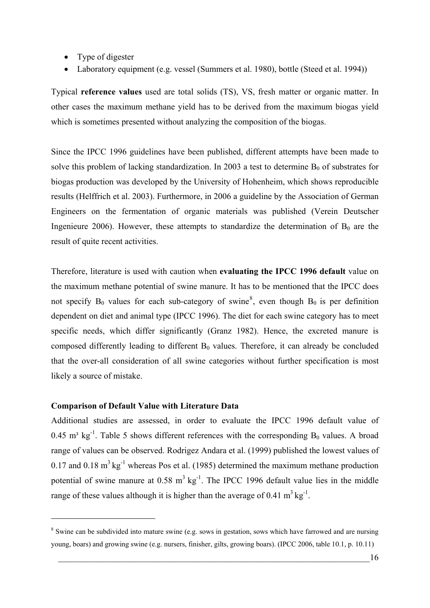- <span id="page-29-0"></span>• Type of digester
- Laboratory equipment (e.g. vessel (Summers et al. 1980), bottle (Steed et al. 1994))

Typical **reference values** used are total solids (TS), VS, fresh matter or organic matter. In other cases the maximum methane yield has to be derived from the maximum biogas yield which is sometimes presented without analyzing the composition of the biogas.

Since the IPCC 1996 guidelines have been published, different attempts have been made to solve this problem of lacking standardization. In 2003 a test to determine  $B_0$  of substrates for biogas production was developed by the University of Hohenheim, which shows reproducible results (Helffrich et al. 2003). Furthermore, in 2006 a guideline by the Association of German Engineers on the fermentation of organic materials was published (Verein Deutscher Ingenieure 2006). However, these attempts to standardize the determination of  $B_0$  are the result of quite recent activities.

Therefore, literature is used with caution when **evaluating the IPCC 1996 default** value on the maximum methane potential of swine manure. It has to be mentioned that the IPCC does not specify  $B_0$  values for each sub-category of swine<sup>[8](#page-29-0)</sup>, even though  $B_0$  is per definition dependent on diet and animal type (IPCC 1996). The diet for each swine category has to meet specific needs, which differ significantly (Granz 1982). Hence, the excreted manure is composed differently leading to different  $B_0$  values. Therefore, it can already be concluded that the over-all consideration of all swine categories without further specification is most likely a source of mistake.

## **Comparison of Default Value with Literature Data**

1

Additional studies are assessed, in order to evaluate the IPCC 1996 default value of 0.45 m<sup>3</sup> kg<sup>-1</sup>. [Table 5](#page-30-1) shows different references with the corresponding  $B_0$  values. A broad range of values can be observed. Rodrigez Andara et al. (1999) published the lowest values of 0.17 and 0.18  $m^3$  kg<sup>-1</sup> whereas Pos et al. (1985) determined the maximum methane production potential of swine manure at  $0.58 \text{ m}^3 \text{ kg}^{-1}$ . The IPCC 1996 default value lies in the middle range of these values although it is higher than the average of 0.41  $m^3$  kg<sup>-1</sup>.

<sup>&</sup>lt;sup>8</sup> Swine can be subdivided into mature swine (e.g. sows in gestation, sows which have farrowed and are nursing young, boars) and growing swine (e.g. nursers, finisher, gilts, growing boars). (IPCC 2006, table 10.1, p. 10.11)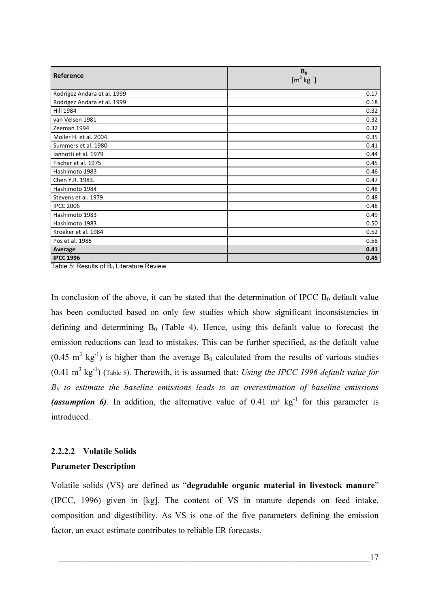<span id="page-30-0"></span>

| Reference                   | B <sub>0</sub><br>$[m^3 \text{ kg}^{-1}]$ |
|-----------------------------|-------------------------------------------|
| Rodrigez Andara et al. 1999 | 0.17                                      |
| Rodrigez Andara et al. 1999 | 0.18                                      |
| <b>Hill 1984</b>            | 0.32                                      |
| van Velsen 1981             | 0.32                                      |
| Zeeman 1994                 | 0.32                                      |
| Moller H. et al. 2004.      | 0.35                                      |
| Summers et al. 1980         | 0.41                                      |
| Iannotti et al. 1979        | 0.44                                      |
| Fischer et al. 1975         | 0.45                                      |
| Hashimoto 1983              | 0.46                                      |
| Chen Y.R. 1983.             | 0.47                                      |
| Hashimoto 1984              | 0.48                                      |
| Stevens et al. 1979         | 0.48                                      |
| <b>IPCC 2006</b>            | 0.48                                      |
| Hashimoto 1983              | 0.49                                      |
| Hashimoto 1983              | 0.50                                      |
| Kroeker et al. 1984         | 0.52                                      |
| Pos et al. 1985             | 0.58                                      |
| Average                     | 0.41                                      |
| <b>IPCC 1996</b>            | 0.45                                      |

<span id="page-30-1"></span>Table 5: Results of  $B_0$  Literature Review

In conclusion of the above, it can be stated that the determination of IPCC  $B_0$  default value has been conducted based on only few studies which show significant inconsistencies in defining and determining  $B_0$  ([Table 4\)](#page-28-1). Hence, using this default value to forecast the emission reductions can lead to mistakes. This can be further specified, as the default value  $(0.45 \text{ m}^3 \text{ kg}^{-1})$  is higher than the average B<sub>0</sub> calculated from the results of various studies  $(0.41 \text{ m}^3 \text{ kg}^{-1})$  [\(Table 5](#page-30-1)). Therewith, it is assumed that: *Using the IPCC 1996 default value for B0 to estimate the baseline emissions leads to an overestimation of baseline emissions (assumption 6)*. In addition, the alternative value of  $0.41 \text{ m}^3 \text{ kg}^{-1}$  for this parameter is introduced.

# **2.2.2.2 Volatile Solids Parameter Description**

Volatile solids (VS) are defined as "**degradable organic material in livestock manure**" (IPCC, 1996) given in [kg]. The content of VS in manure depends on feed intake, composition and digestibility. As VS is one of the five parameters defining the emission factor, an exact estimate contributes to reliable ER forecasts.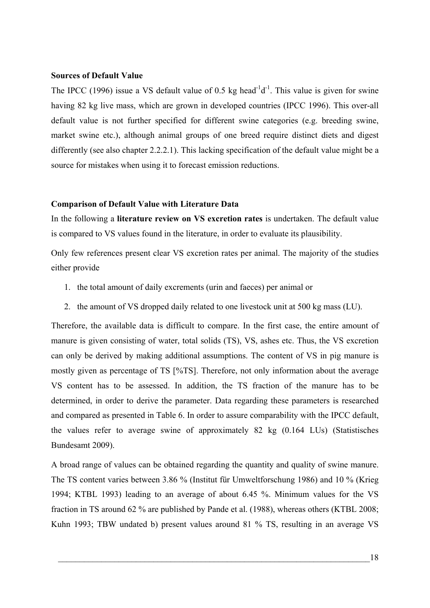## **Sources of Default Value**

The IPCC (1996) issue a VS default value of 0.5 kg head<sup>-1</sup>d<sup>-1</sup>. This value is given for swine having 82 kg live mass, which are grown in developed countries (IPCC 1996). This over-all default value is not further specified for different swine categories (e.g. breeding swine, market swine etc.), although animal groups of one breed require distinct diets and digest differently (see also chapter [2.2.2.1\)](#page-27-1). This lacking specification of the default value might be a source for mistakes when using it to forecast emission reductions.

#### **Comparison of Default Value with Literature Data**

In the following a **literature review on VS excretion rates** is undertaken. The default value is compared to VS values found in the literature, in order to evaluate its plausibility.

Only few references present clear VS excretion rates per animal. The majority of the studies either provide

- 1. the total amount of daily excrements (urin and faeces) per animal or
- 2. the amount of VS dropped daily related to one livestock unit at 500 kg mass (LU).

Therefore, the available data is difficult to compare. In the first case, the entire amount of manure is given consisting of water, total solids (TS), VS, ashes etc. Thus, the VS excretion can only be derived by making additional assumptions. The content of VS in pig manure is mostly given as percentage of TS [%TS]. Therefore, not only information about the average VS content has to be assessed. In addition, the TS fraction of the manure has to be determined, in order to derive the parameter. Data regarding these parameters is researched and compared as presented in [Table 6.](#page-32-1) In order to assure comparability with the IPCC default, the values refer to average swine of approximately 82 kg (0.164 LUs) (Statistisches Bundesamt 2009).

A broad range of values can be obtained regarding the quantity and quality of swine manure. The TS content varies between 3.86 % (Institut für Umweltforschung 1986) and 10 % (Krieg 1994; KTBL 1993) leading to an average of about 6.45 %. Minimum values for the VS fraction in TS around 62 % are published by Pande et al. (1988), whereas others (KTBL 2008; Kuhn 1993; TBW undated b) present values around 81 % TS, resulting in an average VS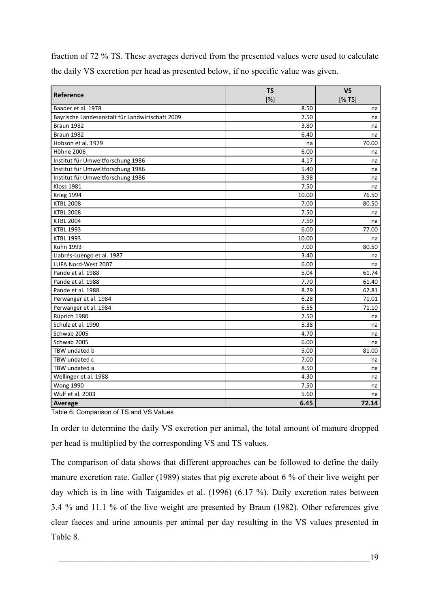<span id="page-32-0"></span>fraction of 72 % TS. These averages derived from the presented values were used to calculate the daily VS excretion per head as presented below, if no specific value was given.

| Reference                                       | <b>TS</b> | <b>VS</b> |  |
|-------------------------------------------------|-----------|-----------|--|
|                                                 | $[\%]$    | [%TS]     |  |
| Baader et al. 1978                              | 8.50      | na        |  |
| Bayrische Landesanstalt für Landwirtschaft 2009 | 7.50      | na        |  |
| Braun 1982                                      | 3.80      | na        |  |
| Braun 1982                                      | 6.40      | na        |  |
| Hobson et al. 1979                              | na        | 70.00     |  |
| <b>Höhne 2006</b>                               | 6.00      | na        |  |
| Institut für Umweltforschung 1986               | 4.17      | na        |  |
| Institut für Umweltforschung 1986               | 5.40      | na        |  |
| Institut für Umweltforschung 1986               | 3.98      | na        |  |
| <b>Kloss 1981</b>                               | 7.50      | na        |  |
| Krieg 1994                                      | 10.00     | 76.50     |  |
| <b>KTBL 2008</b>                                | 7.00      | 80.50     |  |
| <b>KTBL 2008</b>                                | 7.50      | na        |  |
| <b>KTBL 2004</b>                                | 7.50      | na        |  |
| <b>KTBL 1993</b>                                | 6.00      | 77.00     |  |
| <b>KTBL 1993</b>                                | 10.00     | na        |  |
| Kuhn 1993                                       | 7.00      | 80.50     |  |
| Llabrés-Luengo et al. 1987                      | 3.40      | na        |  |
| LUFA Nord-West 2007                             | 6.00      | na        |  |
| Pande et al. 1988                               | 5.04      | 61.74     |  |
| Pande et al. 1988                               | 7.70      | 61.40     |  |
| Pande et al. 1988                               | 8.29      | 62.81     |  |
| Perwanger et al. 1984                           | 6.28      | 71.01     |  |
| Perwanger et al. 1984                           | 6.55      | 71.10     |  |
| Rüprich 1980                                    | 7.50      | na        |  |
| Schulz et al. 1990                              | 5.38      | na        |  |
| Schwab 2005                                     | 4.70      | na        |  |
| Schwab 2005                                     | 6.00      | na        |  |
| TBW undated b                                   | 5.00      | 81.00     |  |
| TBW undated c                                   | 7.00      | na        |  |
| TBW undated a                                   | 8.50      | na        |  |
| Wellinger et al. 1988                           | 4.30      | na        |  |
| <b>Wong 1990</b>                                | 7.50      | na        |  |
| Wulf et al. 2003                                | 5.60      | na        |  |
| Average                                         | 6.45      | 72.14     |  |

<span id="page-32-1"></span>Table 6: Comparison of TS and VS Values

In order to determine the daily VS excretion per animal, the total amount of manure dropped per head is multiplied by the corresponding VS and TS values.

The comparison of data shows that different approaches can be followed to define the daily manure excretion rate. Galler (1989) states that pig excrete about 6 % of their live weight per day which is in line with Taiganides et al. (1996) (6.17 %). Daily excretion rates between 3.4 % and 11.1 % of the live weight are presented by Braun (1982). Other references give clear faeces and urine amounts per animal per day resulting in the VS values presented in [Table 8](#page-34-1).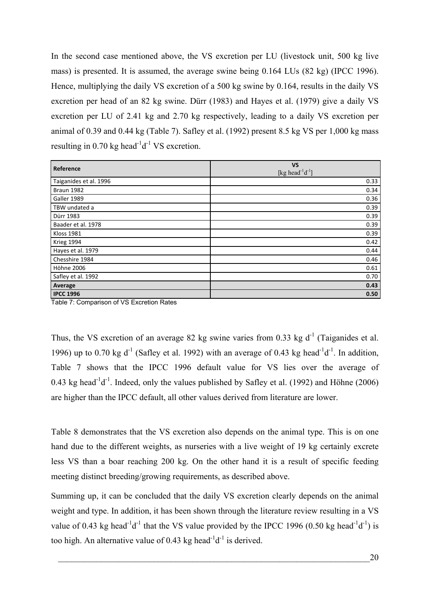<span id="page-33-0"></span>In the second case mentioned above, the VS excretion per LU (livestock unit, 500 kg live mass) is presented. It is assumed, the average swine being 0.164 LUs (82 kg) (IPCC 1996). Hence, multiplying the daily VS excretion of a 500 kg swine by 0.164, results in the daily VS excretion per head of an 82 kg swine. Dürr (1983) and Hayes et al. (1979) give a daily VS excretion per LU of 2.41 kg and 2.70 kg respectively, leading to a daily VS excretion per animal of 0.39 and 0.44 kg ([Table 7](#page-33-1)). Safley et al. (1992) present 8.5 kg VS per 1,000 kg mass resulting in 0.70 kg head<sup>-1</sup> $d^{-1}$  VS excretion.

| Reference              | <b>VS</b><br>[kg head $^{-1}$ d $^{-1}$ ] |
|------------------------|-------------------------------------------|
| Taiganides et al. 1996 | 0.33                                      |
| Braun 1982             | 0.34                                      |
| Galler 1989            | 0.36                                      |
| TBW undated a          | 0.39                                      |
| Dürr 1983              | 0.39                                      |
| Baader et al. 1978     | 0.39                                      |
| <b>Kloss 1981</b>      | 0.39                                      |
| Krieg 1994             | 0.42                                      |
| Hayes et al. 1979      | 0.44                                      |
| Chesshire 1984         | 0.46                                      |
| <b>Höhne 2006</b>      | 0.61                                      |
| Safley et al. 1992     | 0.70                                      |
| Average                | 0.43                                      |
| <b>IPCC 1996</b>       | 0.50                                      |

<span id="page-33-1"></span>Table 7: Comparison of VS Excretion Rates

Thus, the VS excretion of an average 82 kg swine varies from 0.33 kg  $d^{-1}$  (Taiganides et al. 1996) up to 0.70 kg d<sup>-1</sup> (Safley et al. 1992) with an average of 0.43 kg head<sup>-1</sup>d<sup>-1</sup>. In addition, [Table 7](#page-33-1) shows that the IPCC 1996 default value for VS lies over the average of 0.43 kg head<sup>-1</sup>d<sup>-1</sup>. Indeed, only the values published by Safley et al. (1992) and Höhne (2006) are higher than the IPCC default, all other values derived from literature are lower.

[Table 8](#page-34-1) demonstrates that the VS excretion also depends on the animal type. This is on one hand due to the different weights, as nurseries with a live weight of 19 kg certainly excrete less VS than a boar reaching 200 kg. On the other hand it is a result of specific feeding meeting distinct breeding/growing requirements, as described above.

Summing up, it can be concluded that the daily VS excretion clearly depends on the animal weight and type. In addition, it has been shown through the literature review resulting in a VS value of 0.43 kg head<sup>-1</sup>d<sup>-1</sup> that the VS value provided by the IPCC 1996 (0.50 kg head<sup>-1</sup>d<sup>-1</sup>) is too high. An alternative value of 0.43 kg head<sup>-1</sup>d<sup>-1</sup> is derived.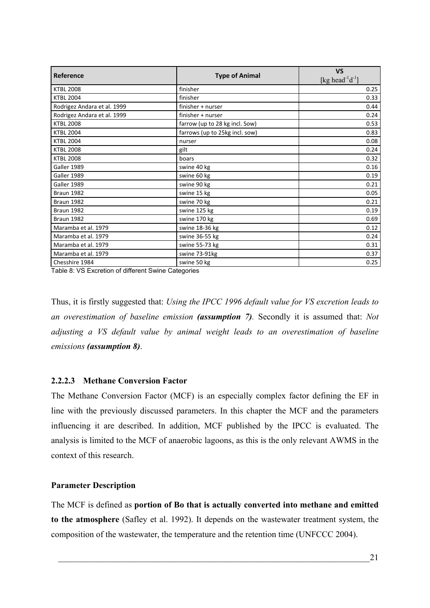<span id="page-34-0"></span>

| Reference                   | <b>Type of Animal</b>          | <b>VS</b><br>[kg head <sup>-1</sup> d <sup>-1</sup> ] |  |
|-----------------------------|--------------------------------|-------------------------------------------------------|--|
| <b>KTBL 2008</b>            | finisher                       | 0.25                                                  |  |
| <b>KTBL 2004</b>            | finisher                       | 0.33                                                  |  |
| Rodrigez Andara et al. 1999 | finisher + nurser              | 0.44                                                  |  |
| Rodrigez Andara et al. 1999 | finisher + nurser              | 0.24                                                  |  |
| <b>KTBL 2008</b>            | farrow (up to 28 kg incl. Sow) | 0.53                                                  |  |
| <b>KTBL 2004</b>            | farrows (up to 25kg incl. sow) | 0.83                                                  |  |
| <b>KTBL 2004</b>            | nurser                         | 0.08                                                  |  |
| <b>KTBL 2008</b>            | gilt                           | 0.24                                                  |  |
| <b>KTBL 2008</b>            | boars                          | 0.32                                                  |  |
| Galler 1989                 | swine 40 kg                    | 0.16                                                  |  |
| Galler 1989                 | swine 60 kg                    | 0.19                                                  |  |
| Galler 1989                 | swine 90 kg                    | 0.21                                                  |  |
| Braun 1982                  | swine 15 kg                    | 0.05                                                  |  |
| Braun 1982                  | swine 70 kg                    | 0.21                                                  |  |
| Braun 1982                  | swine 125 kg                   | 0.19                                                  |  |
| Braun 1982                  | swine 170 kg                   | 0.69                                                  |  |
| Maramba et al. 1979         | swine 18-36 kg                 | 0.12                                                  |  |
| Maramba et al. 1979         | swine 36-55 kg                 | 0.24                                                  |  |
| Maramba et al. 1979         | swine 55-73 kg                 | 0.31                                                  |  |
| Maramba et al. 1979         | swine 73-91kg                  | 0.37                                                  |  |
| Chesshire 1984              | swine 50 kg                    | 0.25                                                  |  |

<span id="page-34-1"></span>Table 8: VS Excretion of different Swine Categories

Thus, it is firstly suggested that: *Using the IPCC 1996 default value for VS excretion leads to an overestimation of baseline emission (assumption 7).* Secondly it is assumed that: *Not adjusting a VS default value by animal weight leads to an overestimation of baseline emissions (assumption 8)*.

# **2.2.2.3 Methane Conversion Factor**

The Methane Conversion Factor (MCF) is an especially complex factor defining the EF in line with the previously discussed parameters. In this chapter the MCF and the parameters influencing it are described. In addition, MCF published by the IPCC is evaluated. The analysis is limited to the MCF of anaerobic lagoons, as this is the only relevant AWMS in the context of this research.

## **Parameter Description**

The MCF is defined as **portion of Bo that is actually converted into methane and emitted to the atmosphere** (Safley et al. 1992). It depends on the wastewater treatment system, the composition of the wastewater, the temperature and the retention time (UNFCCC 2004).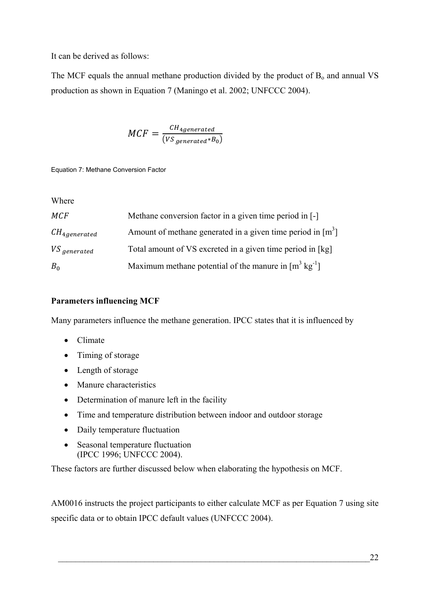<span id="page-35-0"></span>It can be derived as follows:

The MCF equals the annual methane production divided by the product of  $B_0$  and annual VS production as shown in [Equation 7](#page-35-1) (Maningo et al. 2002; UNFCCC 2004).

$$
MCF = \frac{CH_{4generated}}{(VS_{generated}*B_0)}
$$

<span id="page-35-1"></span>Equation 7: Methane Conversion Factor

Wher e

| MCF                | Methane conversion factor in a given time period in [-]            |
|--------------------|--------------------------------------------------------------------|
| $CH_{4,generated}$ | Amount of methane generated in a given time period in $[m^3]$      |
| VS generated       | Total amount of VS excreted in a given time period in [kg]         |
| $B_0$              | Maximum methane potential of the manure in $[m^3 \text{ kg}^{-1}]$ |

# **Parameters influencing MCF**

Many parameters influence the methane generation. IPCC states that it is influenced by

- Climate
- Timing of storage
- Length of storage
- Manure characteristics
- Determination of manure left in the facility
- Time and temperature distribution between indoor and outdoor storage
- Daily temperature fluctuation
- Seasonal temperature fluctuation (IPCC 1996; UNFCCC 2004).

These factors are further discussed below when elaborating the hypothesis on MCF.

AM0016 instructs the project participants to either calculate MCF as per [Equation 7](#page-35-1) using site specific data or to obtain IPCC default values (UNFCCC 2004).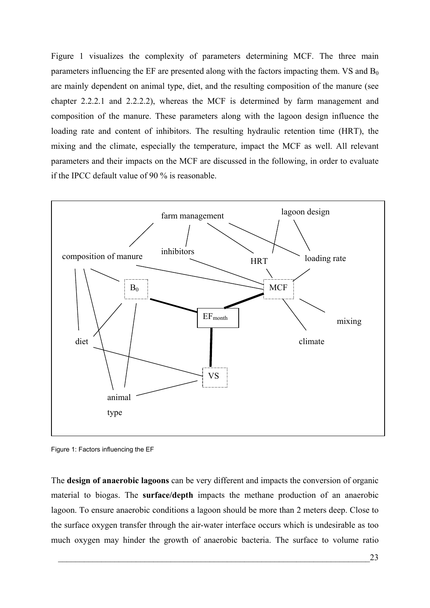[Figure 1](#page-36-0) visualizes the complexity of parameters determining MCF. The three main parameters influencing the EF are presented along with the factors impacting them.  $VS$  and  $B_0$ are mainly dependent on animal type, diet, and the resulting composition of the manure (see chapter [2.2.2.1](#page-27-0) and [2.2.2.2\)](#page-30-0), whereas the MCF is determined by farm management and composition of the manure. These parameters along with the lagoon design influence the loading rate and content of inhibitors. The resulting hydraulic retention time (HRT), the mixing and the climate, especially the temperature, impact the MCF as well. All relevant parameters and their impacts on the MCF are discussed in the following, in order to evaluate if the IPCC default value of 90 % is reasonable.



<span id="page-36-0"></span>Figure 1: Factors influencing the EF

The **design of anaerobic lagoons** can be very different and impacts the conversion of organic material to biogas. The **surface/depth** impacts the methane production of an anaerobic lagoon. To ensure anaerobic conditions a lagoon should be more than 2 meters deep. Close to the surface oxygen transfer through the air-water interface occurs which is undesirable as too much oxygen may hinder the growth of anaerobic bacteria. The surface to volume ratio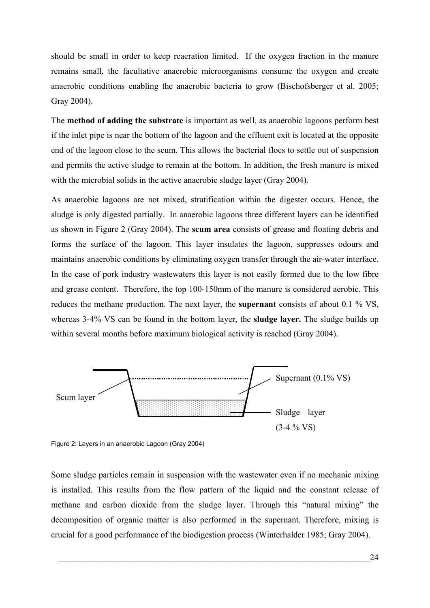should be small in order to keep reaeration limited. If the oxygen fraction in the manure remains small, the facultative anaerobic microorganisms consume the oxygen and create anaerobic conditions enabling the anaerobic bacteria to grow (Bischofsberger et al. 2005; Gray 2004).

The **method of adding the substrate** is important as well, as anaerobic lagoons perform best if the inlet pipe is near the bottom of the lagoon and the effluent exit is located at the opposite end of the lagoon close to the scum. This allows the bacterial flocs to settle out of suspension and permits the active sludge to remain at the bottom. In addition, the fresh manure is mixed with the microbial solids in the active anaerobic sludge layer (Gray 2004).

As anaerobic lagoons are not mixed, stratification within the digester occurs. Hence, the sludge is only digested partially. In anaerobic lagoons three different layers can be identified as shown in [Figure 2](#page-37-0) (Gray 2004). The **scum area** consists of grease and floating debris and forms the surface of the lagoon. This layer insulates the lagoon, suppresses odours and maintains anaerobic conditions by eliminating oxygen transfer through the air-water interface. In the case of pork industry wastewaters this layer is not easily formed due to the low fibre and grease content. Therefore, the top 100-150mm of the manure is considered aerobic. This reduces the methane production. The next layer, the **supernant** consists of about 0.1 % VS, whereas 3-4% VS can be found in the bottom layer, the **sludge layer.** The sludge builds up within several months before maximum biological activity is reached (Gray 2004).



<span id="page-37-0"></span>Figure 2: Layers in an anaerobic Lagoon (Gray 2004)

Some sludge particles remain in suspension with the wastewater even if no mechanic mixing is installed. This results from the flow pattern of the liquid and the constant release of methane and carbon dioxide from the sludge layer. Through this "natural mixing" the decomposition of organic matter is also performed in the supernant. Therefore, mixing is crucial for a good performance of the biodigestion process (Winterhalder 1985; Gray 2004).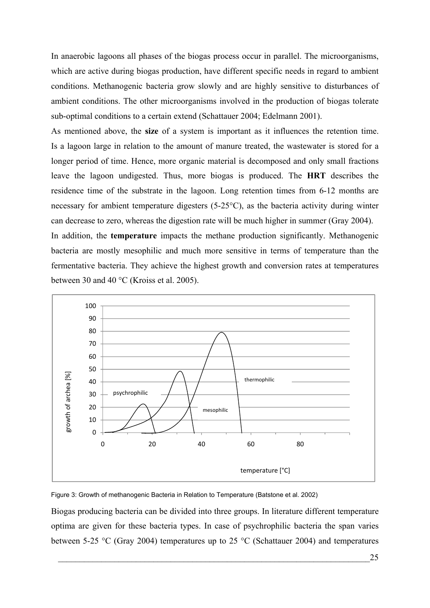In anaerobic lagoons all phases of the biogas process occur in parallel. The microorganisms, which are active during biogas production, have different specific needs in regard to ambient conditions. Methanogenic bacteria grow slowly and are highly sensitive to disturbances of ambient conditions. The other microorganisms involved in the production of biogas tolerate sub-optimal conditions to a certain extend (Schattauer 2004; Edelmann 2001).

As mentioned above, the **size** of a system is important as it influences the retention time. Is a lagoon large in relation to the amount of manure treated, the wastewater is stored for a longer period of time. Hence, more organic material is decomposed and only small fractions leave the lagoon undigested. Thus, more biogas is produced. The **HRT** describes the residence time of the substrate in the lagoon. Long retention times from 6-12 months are necessary for ambient temperature digesters (5-25°C), as the bacteria activity during winter can decrease to zero, whereas the digestion rate will be much higher in summer (Gray 2004). In addition, the **temperature** impacts the methane production significantly. Methanogenic bacteria are mostly mesophilic and much more sensitive in terms of temperature than the fermentative bacteria. They achieve the highest growth and conversion rates at temperatures



<span id="page-38-0"></span>Figure 3: Growth of methanogenic Bacteria in Relation to Temperature (Batstone et al. 2002)

between 30 and 40 °C (Kroiss et al. 2005).

Biogas producing bacteria can be divided into three groups. In literature different temperature optima are given for these bacteria types. In case of psychrophilic bacteria the span varies between 5-25 °C (Gray 2004) temperatures up to 25 °C (Schattauer 2004) and temperatures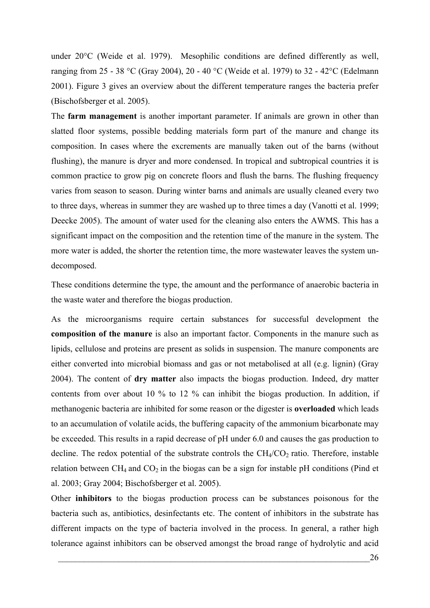under 20°C (Weide et al. 1979). Mesophilic conditions are defined differently as well, ranging from 25 - 38 °C (Gray 2004), 20 - 40 °C (Weide et al. 1979) to 32 - 42°C (Edelmann 2001). [Figure 3](#page-38-0) gives an overview about the different temperature ranges the bacteria prefer (Bischofsberger et al. 2005).

The **farm management** is another important parameter. If animals are grown in other than slatted floor systems, possible bedding materials form part of the manure and change its composition. In cases where the excrements are manually taken out of the barns (without flushing), the manure is dryer and more condensed. In tropical and subtropical countries it is common practice to grow pig on concrete floors and flush the barns. The flushing frequency varies from season to season. During winter barns and animals are usually cleaned every two to three days, whereas in summer they are washed up to three times a day (Vanotti et al. 1999; Deecke 2005). The amount of water used for the cleaning also enters the AWMS. This has a significant impact on the composition and the retention time of the manure in the system. The more water is added, the shorter the retention time, the more wastewater leaves the system undecomposed.

These conditions determine the type, the amount and the performance of anaerobic bacteria in the waste water and therefore the biogas production.

As the microorganisms require certain substances for successful development the **composition of the manure** is also an important factor. Components in the manure such as lipids, cellulose and proteins are present as solids in suspension. The manure components are either converted into microbial biomass and gas or not metabolised at all (e.g. lignin) (Gray 2004). The content of **dry matter** also impacts the biogas production. Indeed, dry matter contents from over about 10 % to 12 % can inhibit the biogas production. In addition, if methanogenic bacteria are inhibited for some reason or the digester is **overloaded** which leads to an accumulation of volatile acids, the buffering capacity of the ammonium bicarbonate may be exceeded. This results in a rapid decrease of pH under 6.0 and causes the gas production to decline. The redox potential of the substrate controls the  $CH_4/CO_2$  ratio. Therefore, instable relation between  $CH_4$  and  $CO_2$  in the biogas can be a sign for instable pH conditions (Pind et al. 2003; Gray 2004; Bischofsberger et al. 2005).

Other **inhibitors** to the biogas production process can be substances poisonous for the bacteria such as, antibiotics, desinfectants etc. The content of inhibitors in the substrate has different impacts on the type of bacteria involved in the process. In general, a rather high tolerance against inhibitors can be observed amongst the broad range of hydrolytic and acid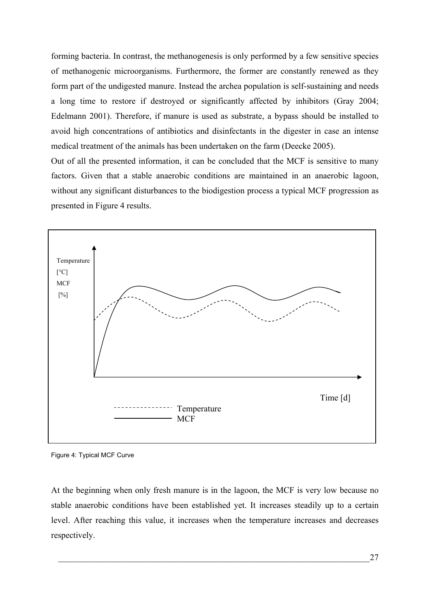forming bacteria. In contrast, the methanogenesis is only performed by a few sensitive species of methanogenic microorganisms. Furthermore, the former are constantly renewed as they form part of the undigested manure. Instead the archea population is self-sustaining and needs a long time to restore if destroyed or significantly affected by inhibitors (Gray 2004; Edelmann 2001). Therefore, if manure is used as substrate, a bypass should be installed to avoid high concentrations of antibiotics and disinfectants in the digester in case an intense medical treatment of the animals has been undertaken on the farm (Deecke 2005).

Out of all the presented information, it can be concluded that the MCF is sensitive to many factors. Given that a stable anaerobic conditions are maintained in an anaerobic lagoon, without any significant disturbances to the biodigestion process a typical MCF progression as presented in [Figure 4](#page-40-0) results.



<span id="page-40-0"></span>Figure 4: Typical MCF Curve

At the beginning when only fresh manure is in the lagoon, the MCF is very low because no stable anaerobic conditions have been established yet. It increases steadily up to a certain level. After reaching this value, it increases when the temperature increases and decreases respectively.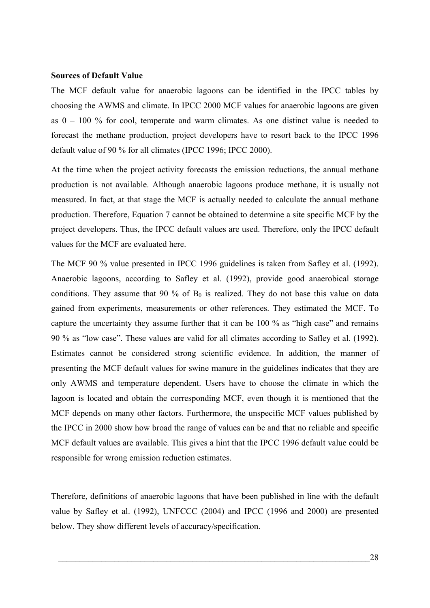### **Sources of Default Value**

The MCF default value for anaerobic lagoons can be identified in the IPCC tables by choosing the AWMS and climate. In IPCC 2000 MCF values for anaerobic lagoons are given as 0 – 100 % for cool, temperate and warm climates. As one distinct value is needed to forecast the methane production, project developers have to resort back to the IPCC 1996 default value of 90 % for all climates (IPCC 1996; IPCC 2000).

At the time when the project activity forecasts the emission reductions, the annual methane production is not available. Although anaerobic lagoons produce methane, it is usually not measured. In fact, at that stage the MCF is actually needed to calculate the annual methane production. Therefore, [Equation 7](#page-35-0) cannot be obtained to determine a site specific MCF by the project developers. Thus, the IPCC default values are used. Therefore, only the IPCC default values for the MCF are evaluated here.

The MCF 90 % value presented in IPCC 1996 guidelines is taken from Safley et al. (1992). Anaerobic lagoons, according to Safley et al. (1992), provide good anaerobical storage conditions. They assume that 90 % of  $B_0$  is realized. They do not base this value on data gained from experiments, measurements or other references. They estimated the MCF. To capture the uncertainty they assume further that it can be 100 % as "high case" and remains 90 % as "low case". These values are valid for all climates according to Safley et al. (1992). Estimates cannot be considered strong scientific evidence. In addition, the manner of presenting the MCF default values for swine manure in the guidelines indicates that they are only AWMS and temperature dependent. Users have to choose the climate in which the lagoon is located and obtain the corresponding MCF, even though it is mentioned that the MCF depends on many other factors. Furthermore, the unspecific MCF values published by the IPCC in 2000 show how broad the range of values can be and that no reliable and specific MCF default values are available. This gives a hint that the IPCC 1996 default value could be responsible for wrong emission reduction estimates.

Therefore, definitions of anaerobic lagoons that have been published in line with the default value by Safley et al. (1992), UNFCCC (2004) and IPCC (1996 and 2000) are presented below. They show different levels of accuracy/specification.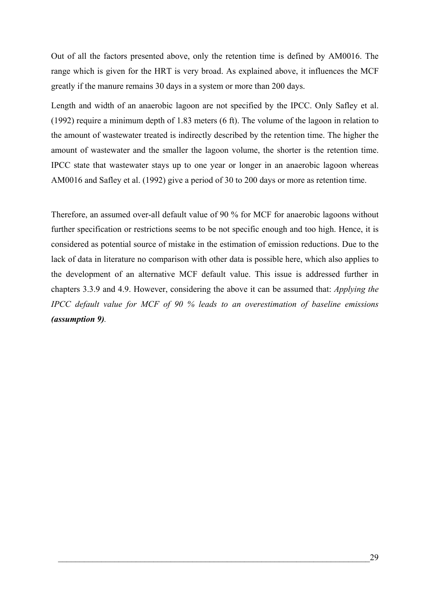Out of all the factors presented above, only the retention time is defined by AM0016. The range which is given for the HRT is very broad. As explained above, it influences the MCF greatly if the manure remains 30 days in a system or more than 200 days.

Length and width of an anaerobic lagoon are not specified by the IPCC. Only Safley et al. (1992) require a minimum depth of 1.83 meters (6 ft). The volume of the lagoon in relation to the amount of wastewater treated is indirectly described by the retention time. The higher the amount of wastewater and the smaller the lagoon volume, the shorter is the retention time. IPCC state that wastewater stays up to one year or longer in an anaerobic lagoon whereas AM0016 and Safley et al. (1992) give a period of 30 to 200 days or more as retention time.

Therefore, an assumed over-all default value of 90 % for MCF for anaerobic lagoons without further specification or restrictions seems to be not specific enough and too high. Hence, it is considered as potential source of mistake in the estimation of emission reductions. Due to the lack of data in literature no comparison with other data is possible here, which also applies to the development of an alternative MCF default value. This issue is addressed further in chapters [3.3.9](#page-55-0) and [4.9](#page-74-0). However, considering the above it can be assumed that: *Applying the IPCC default value for MCF of 90 % leads to an overestimation of baseline emissions (assumption 9).*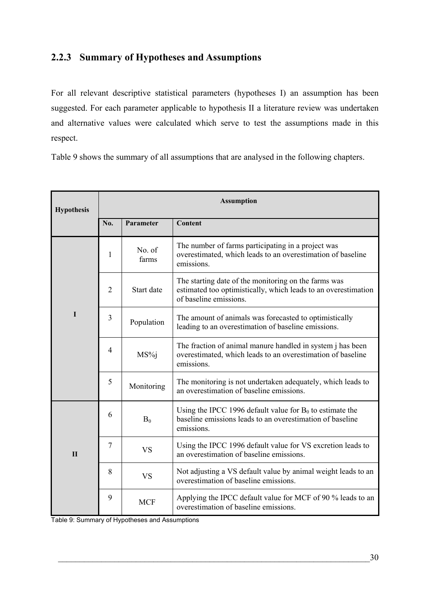# **2.2.3 Summary of Hypotheses and Assumptions**

For all relevant descriptive statistical parameters (hypotheses I) an assumption has been suggested. For each parameter applicable to hypothesis II a literature review was undertaken and alternative values were calculated which serve to test the assumptions made in this respect.

[Table 9](#page-43-0) shows the summary of all assumptions that are analysed in the following chapters.

| <b>Hypothesis</b> | <b>Assumption</b> |                 |                                                                                                                                                  |
|-------------------|-------------------|-----------------|--------------------------------------------------------------------------------------------------------------------------------------------------|
|                   | No.               | Parameter       | <b>Content</b>                                                                                                                                   |
|                   | 1                 | No. of<br>farms | The number of farms participating in a project was<br>overestimated, which leads to an overestimation of baseline<br>emissions.                  |
| I                 | $\overline{2}$    | Start date      | The starting date of the monitoring on the farms was<br>estimated too optimistically, which leads to an overestimation<br>of baseline emissions. |
|                   | $\overline{3}$    | Population      | The amount of animals was forecasted to optimistically<br>leading to an overestimation of baseline emissions.                                    |
|                   | $\overline{4}$    | MS%j            | The fraction of animal manure handled in system j has been<br>overestimated, which leads to an overestimation of baseline<br>emissions.          |
|                   | 5                 | Monitoring      | The monitoring is not undertaken adequately, which leads to<br>an overestimation of baseline emissions.                                          |
|                   | 6                 | $B_0$           | Using the IPCC 1996 default value for $B_0$ to estimate the<br>baseline emissions leads to an overestimation of baseline<br>emissions.           |
| $\mathbf{I}$      | $\overline{7}$    | <b>VS</b>       | Using the IPCC 1996 default value for VS excretion leads to<br>an overestimation of baseline emissions.                                          |
|                   | 8                 | <b>VS</b>       | Not adjusting a VS default value by animal weight leads to an<br>overestimation of baseline emissions.                                           |
|                   | 9                 | <b>MCF</b>      | Applying the IPCC default value for MCF of 90 % leads to an<br>overestimation of baseline emissions.                                             |

<span id="page-43-0"></span>Table 9: Summary of Hypotheses and Assumptions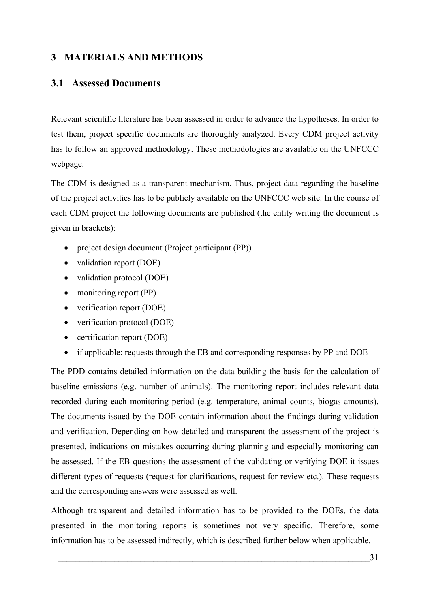# **3 MATERIALS AND METHODS**

# **3.1 Assessed Documents**

Relevant scientific literature has been assessed in order to advance the hypotheses. In order to test them, project specific documents are thoroughly analyzed. Every CDM project activity has to follow an approved methodology. These methodologies are available on the UNFCCC webpage.

The CDM is designed as a transparent mechanism. Thus, project data regarding the baseline of the project activities has to be publicly available on the UNFCCC web site. In the course of each CDM project the following documents are published (the entity writing the document is given in brackets):

- project design document (Project participant (PP))
- validation report (DOE)
- validation protocol (DOE)
- monitoring report (PP)
- verification report (DOE)
- verification protocol (DOE)
- certification report (DOE)
- if applicable: requests through the EB and corresponding responses by PP and DOE

The PDD contains detailed information on the data building the basis for the calculation of baseline emissions (e.g. number of animals). The monitoring report includes relevant data recorded during each monitoring period (e.g. temperature, animal counts, biogas amounts). The documents issued by the DOE contain information about the findings during validation and verification. Depending on how detailed and transparent the assessment of the project is presented, indications on mistakes occurring during planning and especially monitoring can be assessed. If the EB questions the assessment of the validating or verifying DOE it issues different types of requests (request for clarifications, request for review etc.). These requests and the corresponding answers were assessed as well.

Although transparent and detailed information has to be provided to the DOEs, the data presented in the monitoring reports is sometimes not very specific. Therefore, some information has to be assessed indirectly, which is described further below when applicable.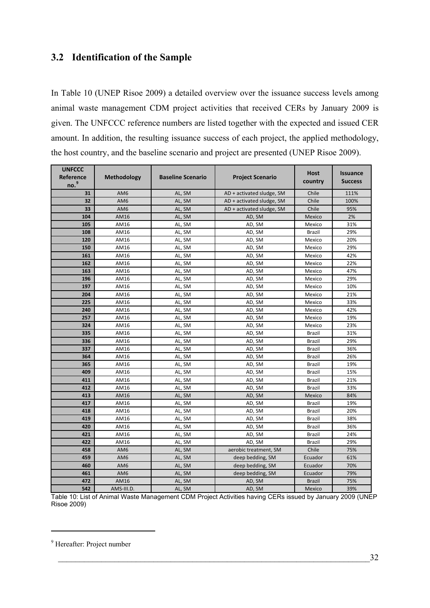# <span id="page-45-2"></span><span id="page-45-1"></span>**3.2 Identification of the Sample**

In [Table 10](#page-45-0) (UNEP Risoe 2009) a detailed overview over the issuance success levels among animal waste management CDM project activities that received CERs by January 2009 is given. The UNFCCC reference numbers are listed together with the expected and issued CER amount. In addition, the resulting issuance success of each project, the applied methodology, the host country, and the baseline scenario and project are presented (UNEP Risoe 2009).

| <b>UNFCCC</b>    |                 |                          |                           | <b>Host</b>   | <b>Issuance</b> |
|------------------|-----------------|--------------------------|---------------------------|---------------|-----------------|
| Reference        | Methodology     | <b>Baseline Scenario</b> | <b>Project Scenario</b>   | country       | <b>Success</b>  |
| no. <sup>9</sup> |                 |                          |                           |               |                 |
| 31               | AM <sub>6</sub> | AL, SM                   | AD + activated sludge, SM | Chile         | 111%            |
| 32               | AM6             | AL, SM                   | AD + activated sludge, SM | Chile         | 100%            |
| 33               | AM6             | AL, SM                   | AD + activated sludge, SM | Chile         | 95%             |
| 104              | AM16            | AL, SM                   | AD, SM                    | Mexico        | 2%              |
| 105              | AM16            | AL, SM                   | AD, SM                    | Mexico        | 31%             |
| 108              | AM16            | AL, SM                   | AD, SM                    | <b>Brazil</b> | 29%             |
| 120              | AM16            | AL, SM                   | AD, SM                    | Mexico        | 20%             |
| 150              | AM16            | AL, SM                   | AD, SM                    | Mexico        | 29%             |
| 161              | AM16            | AL, SM                   | AD, SM                    | Mexico        | 42%             |
| 162              | AM16            | AL, SM                   | AD, SM                    | Mexico        | 22%             |
| 163              | AM16            | AL, SM                   | AD, SM                    | Mexico        | 47%             |
| 196              | AM16            | AL, SM                   | AD, SM                    | Mexico        | 29%             |
| 197              | AM16            | AL, SM                   | AD, SM                    | Mexico        | 10%             |
| 204              | AM16            | AL, SM                   | AD, SM                    | Mexico        | 21%             |
| 225              | AM16            | AL, SM                   | AD, SM                    | Mexico        | 33%             |
| 240              | AM16            | AL, SM                   | AD, SM                    | Mexico        | 42%             |
| 257              | AM16            | AL, SM                   | AD, SM                    | Mexico        | 19%             |
| 324              | AM16            | AL, SM                   | AD, SM                    | Mexico        | 23%             |
| 335              | AM16            | AL, SM                   | AD, SM                    | Brazil        | 31%             |
| 336              | AM16            | AL, SM                   | AD, SM                    | <b>Brazil</b> | 29%             |
| 337              | AM16            | AL, SM                   | AD, SM                    | Brazil        | 36%             |
| 364              | AM16            | AL, SM                   | AD, SM                    | Brazil        | 26%             |
| 365              | AM16            | AL, SM                   | AD, SM                    | <b>Brazil</b> | 19%             |
| 409              | AM16            | AL, SM                   | AD, SM                    | Brazil        | 15%             |
| 411              | AM16            | AL, SM                   | AD, SM                    | <b>Brazil</b> | 21%             |
| 412              | AM16            | AL, SM                   | AD, SM                    | Brazil        | 33%             |
| 413              | AM16            | AL, SM                   | AD, SM                    | Mexico        | 84%             |
| 417              | AM16            | AL, SM                   | AD, SM                    | <b>Brazil</b> | 19%             |
| 418              | AM16            | AL, SM                   | AD, SM                    | Brazil        | 20%             |
| 419              | AM16            | AL, SM                   | AD, SM                    | Brazil        | 38%             |
| 420              | AM16            | AL, SM                   | AD, SM                    | <b>Brazil</b> | 36%             |
| 421              | AM16            | AL, SM                   | AD, SM                    | <b>Brazil</b> | 24%             |
| 422              | AM16            | AL, SM                   | AD, SM                    | <b>Brazil</b> | 29%             |
| 458              | AM <sub>6</sub> | AL, SM                   | aerobic treatment, SM     | Chile         | 75%             |
| 459              | AM6             | AL, SM                   | deep bedding, SM          | Ecuador       | 61%             |
| 460              | AM <sub>6</sub> | AL, SM                   | deep bedding, SM          | Ecuador       | 70%             |
| 461              | AM6             | AL, SM                   | deep bedding, SM          | Ecuador       | 79%             |
| 472              | AM16            | AL, SM                   | AD, SM                    | <b>Brazil</b> | 75%             |
| 542              | AMS-III.D.      | AL, SM                   | AD, SM                    | Mexico        | 39%             |

<span id="page-45-0"></span>Table 10: List of Animal Waste Management CDM Project Activities having CERs issued by January 2009 (UNEP Risoe 2009)

Hereafter: Project number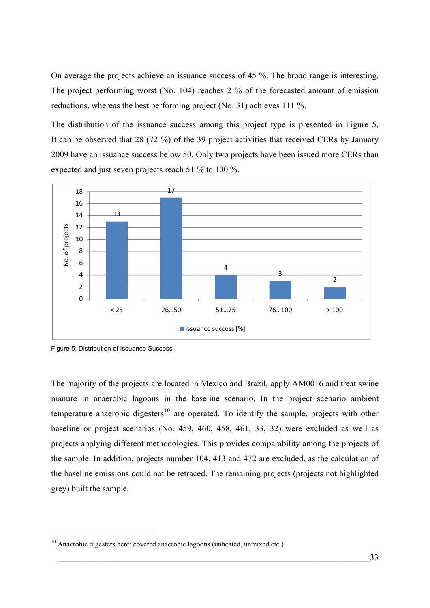<span id="page-46-1"></span>On average the projects achieve an issuance success of 45 %. The broad range is interesting. The project performing worst (No. 104) reaches 2 % of the forecasted amount of emission reductions, whereas the best performing project (No. 31) achieves 111 %.

The distribution of the issuance success among this project type is presented in [Figure 5](#page-46-0). It can be observed that 28 (72 %) of the 39 project activities that received CERs by January 2009 have an issuance success below 50. Only two projects have been issued more CERs than expected and just seven projects reach 51 % to 100 %.



<span id="page-46-0"></span>Figure 5: Distribution of Issuance Success

1

The majority of the projects are located in Mexico and Brazil, apply AM0016 and treat swine manure in anaerobic lagoons in the baseline scenario. In the project scenario ambient temperature anaerobic digesters<sup>[10](#page-46-1)</sup> are operated. To identify the sample, projects with other baseline or project scenarios (No. 459, 460, 458, 461, 33, 32) were excluded as well as projects applying different methodologies. This provides comparability among the projects of the sample. In addition, projects number 104, 413 and 472 are excluded, as the calculation of the baseline emissions could not be retraced. The remaining projects (projects not highlighted grey) built the sample.

 $10$  Anaerobic digesters here: covered anaerobic lagoons (unheated, unmixed etc.)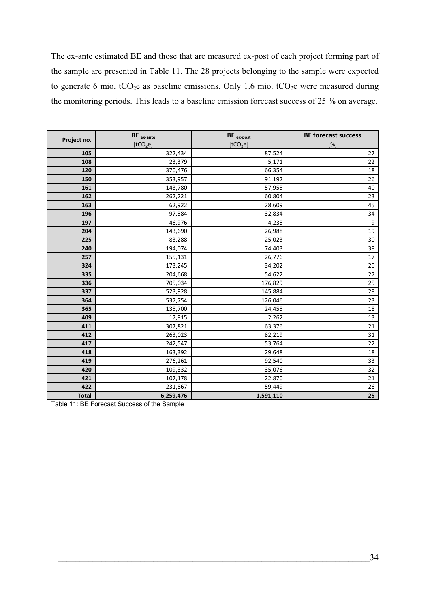The ex-ante estimated BE and those that are measured ex-post of each project forming part of the sample are presented in [Table 11.](#page-47-0) The 28 projects belonging to the sample were expected to generate 6 mio.  $tCO_2e$  as baseline emissions. Only 1.6 mio.  $tCO_2e$  were measured during the monitoring periods. This leads to a baseline emission forecast success of 25 % on average.

|              | $BE_{ex-ante}$       | BE ex-post           | <b>BE forecast success</b>                                                                                                                                                                                           |
|--------------|----------------------|----------------------|----------------------------------------------------------------------------------------------------------------------------------------------------------------------------------------------------------------------|
| Project no.  | [tCO <sub>2</sub> e] | [tCO <sub>2</sub> e] | $[%] % \begin{center} \includegraphics[width=0.3\textwidth]{images/Trigers.png} \end{center} % \vspace*{-1em} \caption{The figure shows the results of the estimators in the left and right.} \label{fig:Trigers} %$ |
| 105          | 322,434              | 87,524               | 27                                                                                                                                                                                                                   |
| 108          | 23,379               | 5,171                | 22                                                                                                                                                                                                                   |
| 120          | 370,476              | 66,354               | 18                                                                                                                                                                                                                   |
| 150          | 353,957              | 91,192               | 26                                                                                                                                                                                                                   |
| 161          | 143,780              | 57,955               | 40                                                                                                                                                                                                                   |
| 162          | 262,221              | 60,804               | 23                                                                                                                                                                                                                   |
| 163          | 62,922               | 28,609               | 45                                                                                                                                                                                                                   |
| 196          | 97,584               | 32,834               | 34                                                                                                                                                                                                                   |
| 197          | 46,976               | 4,235                | 9                                                                                                                                                                                                                    |
| 204          | 143,690              | 26,988               | 19                                                                                                                                                                                                                   |
| 225          | 83,288               | 25,023               | 30                                                                                                                                                                                                                   |
| 240          | 194,074              | 74,403               | 38                                                                                                                                                                                                                   |
| 257          | 155,131              | 26,776               | 17                                                                                                                                                                                                                   |
| 324          | 173,245              | 34,202               | $20\,$                                                                                                                                                                                                               |
| 335          | 204,668              | 54,622               | $27\,$                                                                                                                                                                                                               |
| 336          | 705,034              | 176,829              | 25                                                                                                                                                                                                                   |
| 337          | 523,928              | 145,884              | 28                                                                                                                                                                                                                   |
| 364          | 537,754              | 126,046              | 23                                                                                                                                                                                                                   |
| 365          | 135,700              | 24,455               | 18                                                                                                                                                                                                                   |
| 409          | 17,815               | 2,262                | 13                                                                                                                                                                                                                   |
| 411          | 307,821              | 63,376               | 21                                                                                                                                                                                                                   |
| 412          | 263,023              | 82,219               | 31                                                                                                                                                                                                                   |
| 417          | 242,547              | 53,764               | 22                                                                                                                                                                                                                   |
| 418          | 163,392              | 29,648               | 18                                                                                                                                                                                                                   |
| 419          | 276,261              | 92,540               | 33                                                                                                                                                                                                                   |
| 420          | 109,332              | 35,076               | 32                                                                                                                                                                                                                   |
| 421          | 107,178              | 22,870               | 21                                                                                                                                                                                                                   |
| 422          | 231,867              | 59,449               | 26                                                                                                                                                                                                                   |
| <b>Total</b> | 6,259,476            | 1,591,110            | 25                                                                                                                                                                                                                   |

<span id="page-47-0"></span>Table 11: BE Forecast Success of the Sample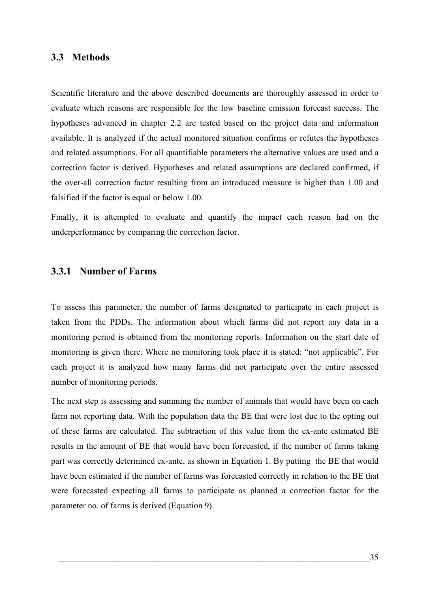### **3.3 Methods**

Scientific literature and the above described documents are thoroughly assessed in order to evaluate which reasons are responsible for the low baseline emission forecast success. The hypotheses advanced in chapter [2.2](#page-22-0) are tested based on the project data and information available. It is analyzed if the actual monitored situation confirms or refutes the hypotheses and related assumptions. For all quantifiable parameters the alternative values are used and a correction factor is derived. Hypotheses and related assumptions are declared confirmed, if the over-all correction factor resulting from an introduced measure is higher than 1.00 and falsified if the factor is equal or below 1.00.

Finally, it is attempted to evaluate and quantify the impact each reason had on the underperformance by comparing the correction factor.

### **3.3.1 Number of Farms**

To assess this parameter, the number of farms designated to participate in each project is taken from the PDDs. The information about which farms did not report any data in a monitoring period is obtained from the monitoring reports. Information on the start date of monitoring is given there. Where no monitoring took place it is stated: "not applicable". For each project it is analyzed how many farms did not participate over the entire assessed number of monitoring periods.

The next step is assessing and summing the number of animals that would have been on each farm not reporting data. With the population data the BE that were lost due to the opting out of these farms are calculated. The subtraction of this value from the ex-ante estimated BE results in the amount of BE that would have been forecasted, if the number of farms taking part was correctly determined ex-ante, as shown in [Equation 1.](#page-17-0) By putting the BE that would have been estimated if the number of farms was forecasted correctly in relation to the BE that were forecasted expecting all farms to participate as planned a correction factor for the parameter no. of farms is derived [\(Equation 9\)](#page-49-0).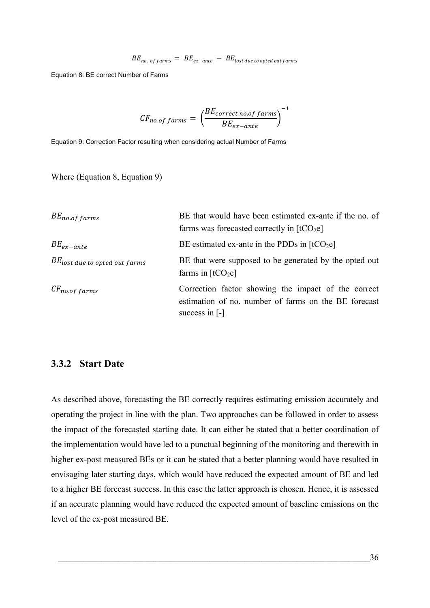$$
BE_{no. of farms} = BE_{ex-ante} - BE_{lost due to opted out farms}
$$

<span id="page-49-1"></span>Equation 8: BE correct Number of Farms

$$
CF_{no. of \, farms} = \left(\frac{BE_{correct\,no. of \, farms}}{BE_{ex-ante}}\right)^{-1}
$$

<span id="page-49-0"></span>Equation 9: Correction Factor resulting when considering actual Number of Farms

Where ([Equation 8](#page-49-1), [Equation 9\)](#page-49-0)

| $BE_{no.of$ farms                  | BE that would have been estimated ex-ante if the no. of<br>farms was forecasted correctly in $[tCO2e]$                                      |
|------------------------------------|---------------------------------------------------------------------------------------------------------------------------------------------|
| $BE_{ex-ante}$                     | BE estimated ex-ante in the PDDs in $[tCO2e]$                                                                                               |
| $BE_{lost}$ due to opted out farms | BE that were supposed to be generated by the opted out<br>farms in $[tCO2e]$                                                                |
| $CF_{no.of\, farms}$               | Correction factor showing the impact of the correct<br>estimation of no. number of farms on the BE forecast<br>success in $\lceil - \rceil$ |

### **3.3.2 Start Date**

As described above, forecasting the BE correctly requires estimating emission accurately and operating the project in line with the plan. Two approaches can be followed in order to assess the impact of the forecasted starting date. It can either be stated that a better coordination of the implementation would have led to a punctual beginning of the monitoring and therewith in higher ex-post measured BEs or it can be stated that a better planning would have resulted in envisaging later starting days, which would have reduced the expected amount of BE and led to a higher BE forecast success. In this case the latter approach is chosen. Hence, it is assessed if an accurate planning would have reduced the expected amount of baseline emissions on the level of the ex-post measured BE.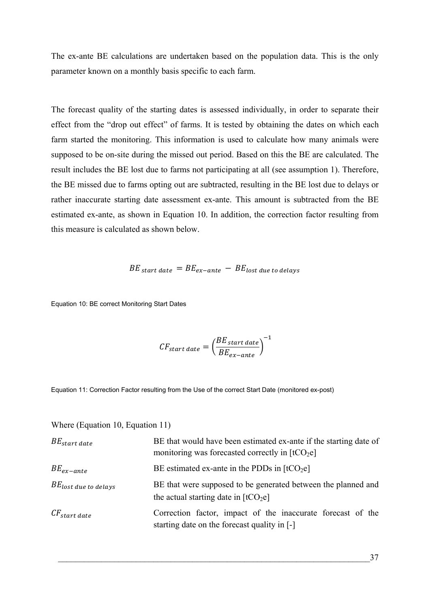The ex-ante BE calculations are undertaken based on the population data. This is the only parameter known on a monthly basis specific to each farm.

The forecast quality of the starting dates is assessed individually, in order to separate their effect from the "drop out effect" of farms. It is tested by obtaining the dates on which each farm started the monitoring. This information is used to calculate how many animals were supposed to be on-site during the missed out period. Based on this the BE are calculated. The result includes the BE lost due to farms not participating at all (see assumption 1). Therefore, the BE missed due to farms opting out are subtracted, resulting in the BE lost due to delays or rather inaccurate starting date assessment ex-ante. This amount is subtracted from the BE estimated ex-ante, as shown in [Equation 10.](#page-50-0) In addition, the correction factor resulting from this measure is calculated as shown below.

$$
BE_{start\ date} = BE_{ex-ante} - BE_{lost\ due\ to\ delays}
$$

<span id="page-50-0"></span>Equation 10: BE correct Monitoring Start Dates

$$
CF_{start\ date} = \left(\frac{BE_{start\ date}}{BE_{ex-ante}}\right)^{-1}
$$

<span id="page-50-1"></span>Equation 11: Correction Factor resulting from the Use of the correct Start Date (monitored ex-post)

| Where (Equation 10, Equation 11) |                                                                                                                       |
|----------------------------------|-----------------------------------------------------------------------------------------------------------------------|
| $BE_{start\ date}$               | BE that would have been estimated ex-ante if the starting date of<br>monitoring was forecasted correctly in $[tCO2e]$ |
| $BE_{ex-ante}$                   | BE estimated ex-ante in the PDDs in $[tCO2e]$                                                                         |
| $BE_{lost}$ due to delays        | BE that were supposed to be generated between the planned and<br>the actual starting date in $[tCO2e]$                |
| $CF_{start\ date}$               | Correction factor, impact of the inaccurate forecast of the<br>starting date on the forecast quality in [-]           |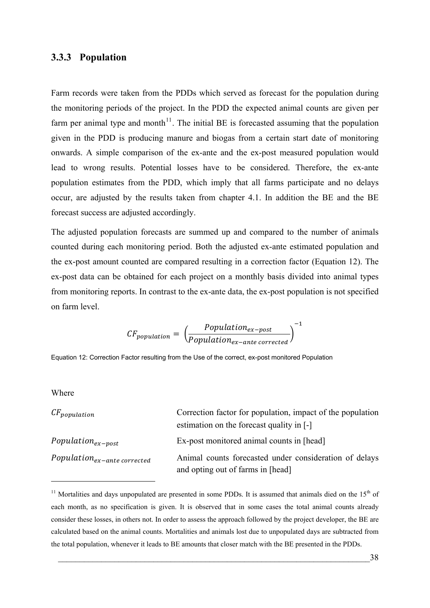### <span id="page-51-0"></span>**3.3.3 Population**

Farm records were taken from the PDDs which served as forecast for the population during the monitoring periods of the project. In the PDD the expected animal counts are given per farm per animal type and month<sup>[11](#page-51-0)</sup>. The initial BE is forecasted assuming that the population given in the PDD is producing manure and biogas from a certain start date of monitoring onwards. A simple comparison of the ex-ante and the ex-post measured population would lead to wrong results. Potential losses have to be considered. Therefore, the ex-ante population estimates from the PDD, which imply that all farms participate and no delays occur, are adjusted by the results taken from chapter [4.1.](#page-60-0) In addition the BE and the BE forecast success are adjusted accordingly.

The adjusted population forecasts are summed up and compared to the number of animals counted during each monitoring period. Both the adjusted ex-ante estimated population and the ex-post amount counted are compared resulting in a correction factor ([Equation 12](#page-51-1)). The ex-post data can be obtained for each project on a monthly basis divided into animal types from monitoring reports. In contrast to the ex-ante data, the ex-post population is not specified on farm level.

$$
CF_{population} = \left(\frac{Population_{ex-post}}{Population_{ex-ante\,corrected}}\right)^{-1}
$$

<span id="page-51-1"></span>Equation 12: Correction Factor resulting from the Use of the correct, ex-post monitored Population

#### Wh ere

<u>.</u>

| $CF_{population}$                 | Correction factor for population, impact of the population                                  |
|-----------------------------------|---------------------------------------------------------------------------------------------|
|                                   | estimation on the forecast quality in [-]                                                   |
| $Population_{ex-post}$            | Ex-post monitored animal counts in [head]                                                   |
| $Population_{ex-ante\ corrected}$ | Animal counts forecasted under consideration of delays<br>and opting out of farms in [head] |

<sup>&</sup>lt;sup>11</sup> Mortalities and days unpopulated are presented in some PDDs. It is assumed that animals died on the  $15<sup>th</sup>$  of each month, as no specification is given. It is observed that in some cases the total animal counts already consider these losses, in others not. In order to assess the approach followed by the project developer, the BE are calculated based on the animal counts. Mortalities and animals lost due to unpopulated days are subtracted from the total population, whenever it leads to BE amounts that closer match with the BE presented in the PDDs.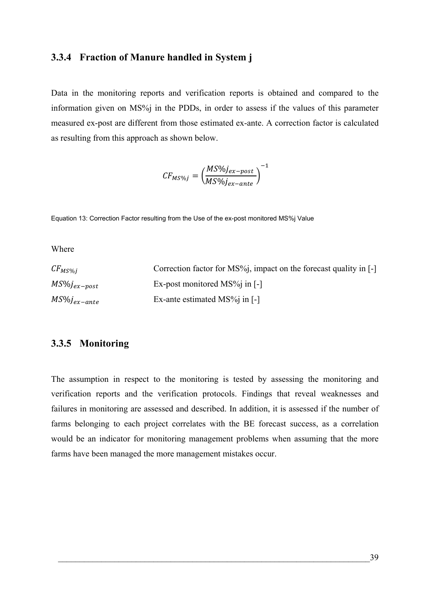# **3.3.4 Fraction of Manure handled in System j**

Data in the monitoring reports and verification reports is obtained and compared to the information given on MS%j in the PDDs, in order to assess if the values of this parameter measured ex-post are different from those estimated ex-ante. A correction factor is calculated as resulting from this approach as shown below.

$$
CF_{MS\%j} = \left(\frac{MS\%j_{ex-post}}{MS\%j_{ex-ante}}\right)^{-1}
$$

Equation 13: Correction Factor resulting from the Use of the ex-post monitored MS%j Value

Wh ere

| $CF_{MS\%j}$      | Correction factor for $MS\%$ , impact on the forecast quality in [-] |
|-------------------|----------------------------------------------------------------------|
| $MS\%j_{ex-post}$ | Ex-post monitored $MS\%$ in [-]                                      |
| $MS\%j_{ex-ante}$ | Ex-ante estimated $MS\%$ in [-]                                      |

### **3.3.5 Monitoring**

The assumption in respect to the monitoring is tested by assessing the monitoring and verification reports and the verification protocols. Findings that reveal weaknesses and failures in monitoring are assessed and described. In addition, it is assessed if the number of farms belonging to each project correlates with the BE forecast success, as a correlation would be an indicator for monitoring management problems when assuming that the more farms have been managed the more management mistakes occur.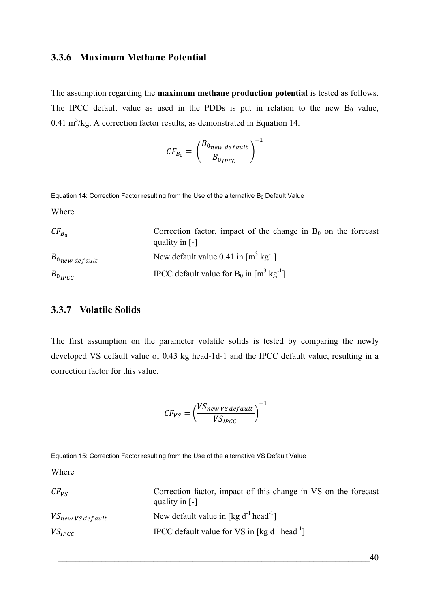# **3.3.6 Maximum Methane Potential**

The assumption regarding the **maximum methane production potential** is tested as follows. The IPCC default value as used in the PDDs is put in relation to the new  $B_0$  value,  $0.41 \text{ m}^3/\text{kg}$ . A correction factor results, as demonstrated in Equation 14.

$$
CF_{B_0} = \left(\frac{B_{0new\,default}}{B_{0\,PLCC}}\right)^{-1}
$$

<span id="page-53-0"></span>Equation 14: Correction Factor resulting from the Use of the alternative  $B_0$  Default Value

Wh ere

| $CF_{B_0}$                     | Correction factor, impact of the change in $B_0$ on the forecast |
|--------------------------------|------------------------------------------------------------------|
|                                | quality in $\lceil - \rceil$                                     |
| $B_{0}$ <sub>new default</sub> | New default value 0.41 in $\lceil m^3 \text{ kg}^{-1} \rceil$    |
| $B_{0 \mu p c c}$              | IPCC default value for $B_0$ in $[m^3 \text{ kg}^{-1}]$          |

### <span id="page-53-1"></span>**3.3.7 Volatile Solids**

The first assumption on the parameter volatile solids is tested by comparing the newly developed VS default value of 0.43 kg head-1d-1 and the IPCC default value, resulting in a correction factor for this value.

$$
CF_{VS} = \left(\frac{VS_{new\,vs\,default}}{VS_{IPCC}}\right)^{-1}
$$

Equation 15: Correction Factor resulting from the Use of the alternative VS Default Value

Wh ere

| $CF_{VS}$             | Correction factor, impact of this change in VS on the forecast<br>quality in $\lceil - \rceil$ |
|-----------------------|------------------------------------------------------------------------------------------------|
| $VS_{new}$ vs default | New default value in [kg $d^{-1}$ head <sup>-1</sup> ]                                         |
| $VS_{IPCC}$           | IPCC default value for VS in [kg $d^{-1}$ head <sup>-1</sup> ]                                 |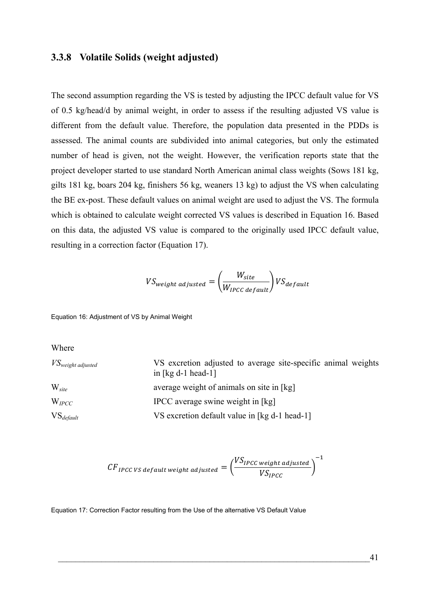### **3.3.8 Volatile Solids (weight adjusted)**

The second assumption regarding the VS is tested by adjusting the IPCC default value for VS of 0.5 kg/head/d by animal weight, in order to assess if the resulting adjusted VS value is different from the default value. Therefore, the population data presented in the PDDs is assessed. The animal counts are subdivided into animal categories, but only the estimated number of head is given, not the weight. However, the verification reports state that the project developer started to use standard North American animal class weights (Sows 181 kg, gilts 181 kg, boars 204 kg, finishers 56 kg, weaners 13 kg) to adjust the VS when calculating the BE ex-post. These default values on animal weight are used to adjust the VS. The formula which is obtained to calculate weight corrected VS values is described in [Equation 16.](#page-54-0) Based on this data, the adjusted VS value is compared to the originally used IPCC default value, resulting in a correction factor [\(Equation 17](#page-54-1)).

$$
VS_{weight\ adjusted} = \left(\frac{W_{site}}{W_{IPCC\ default}}\right) VS_{default}
$$

<span id="page-54-0"></span>Equation 16: Adjustment of VS by Animal Weight

Where

| $VS_{weight\ adjusted}$ | VS excretion adjusted to average site-specific animal weights<br>in $\lceil \text{kg d-1 head-1} \rceil$ |
|-------------------------|----------------------------------------------------------------------------------------------------------|
| $W_{site}$              | average weight of animals on site in [kg]                                                                |
| $W_{\text{IPCC}}$       | IPCC average swine weight in [kg]                                                                        |
| $VS_{default}$          | VS excretion default value in [kg d-1 head-1]                                                            |

$$
CF_{IPCC\;VS\;default\;weight\;adjusted} = \left(\frac{VS_{IPCC\;weight\;adjusted}}{VS_{IPCC}}\right)^{-1}
$$

<span id="page-54-1"></span>Equation 17: Correction Factor resulting from the Use of the alternative VS Default Value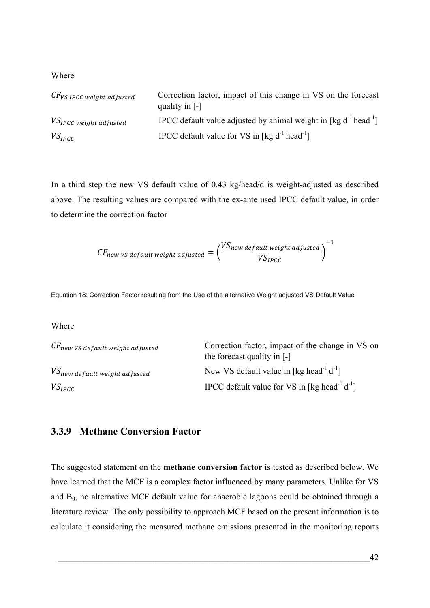Wh ere

| $\mathcal{C}\mathit{F}_{\mathit{VS}}$ ipcc weight adjusted | Correction factor, impact of this change in VS on the forecast<br>quality in $[-]$ |
|------------------------------------------------------------|------------------------------------------------------------------------------------|
| $VS_{IPCC}$ weight adjusted                                | IPCC default value adjusted by animal weight in [kg $d^{-1}$ head <sup>-1</sup> ]  |
| $VS_{IPCC}$                                                | IPCC default value for VS in [kg $d^{-1}$ head <sup>-1</sup> ]                     |

In a third step the new VS default value of 0.43 kg/head/d is weight-adjusted as described above. The resulting values are compared with the ex-ante used IPCC default value, in order to determine the correction factor

$$
CF_{new\,VS\,default\,weight\,adjusted} = \left(\frac{VS_{new\,default\,weighted}}{VS_{IPCC}}\right)^{-1}
$$

Equation 18: Correction Factor resulting from the Use of the alternative Weight adjusted VS Default Value

Wh ere

| $\mathit{CF}_{new}$ vs default weight adjusted | Correction factor, impact of the change in VS on<br>the forecast quality in $\lceil - \rceil$ |
|------------------------------------------------|-----------------------------------------------------------------------------------------------|
| $\mathit{VS}_{new}$ default weight adjusted    | New VS default value in [kg head <sup>-1</sup> d <sup>-1</sup> ]                              |
| $VS_{IPCC}$                                    | IPCC default value for VS in [kg head <sup>-1</sup> d <sup>-1</sup> ]                         |

# <span id="page-55-0"></span>**3.3.9 Methane Conversion Factor**

The suggested statement on the **methane conversion factor** is tested as described below. We have learned that the MCF is a complex factor influenced by many parameters. Unlike for VS and  $B_0$ , no alternative MCF default value for anaerobic lagoons could be obtained through a literature review. The only possibility to approach MCF based on the present information is to calculate it considering the measured methane emissions presented in the monitoring reports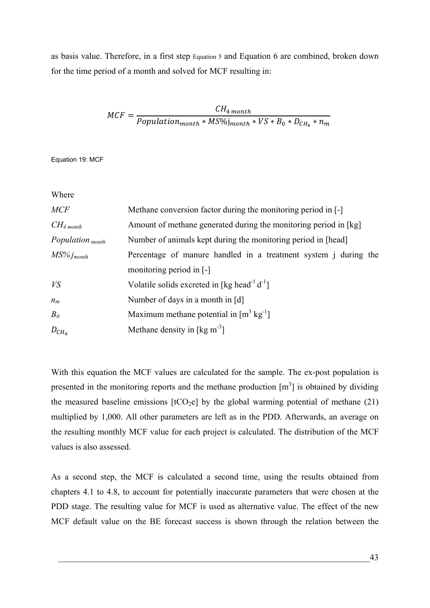as basis value. Therefore, in a first step [Equation 5](#page-22-1) and [Equation 6](#page-23-0) are combined, broken down for the time period of a month and solved for MCF resulting in:

$$
MCF = \frac{CH_{4 \, month}}{Population_{month} * MS\%j_{month} * VS * B_0 * D_{CH_4} * n_m}
$$

Equation 19: MCF

Where

| <b>MCF</b>                  | Methane conversion factor during the monitoring period in [-]          |
|-----------------------------|------------------------------------------------------------------------|
| $CH_4$ month                | Amount of methane generated during the monitoring period in [kg]       |
| Population <sub>month</sub> | Number of animals kept during the monitoring period in [head]          |
| $MS\%j_{month}$             | Percentage of manure handled in a treatment system <i>j</i> during the |
|                             | monitoring period in [-]                                               |
| VS                          | Volatile solids excreted in [kg head <sup>-1</sup> d <sup>-1</sup> ]   |
| $n_m$                       | Number of days in a month in [d]                                       |
| B <sub>0</sub>              | Maximum methane potential in $[m^3 \text{ kg}^{-1}]$                   |
| $D_{CH_4}$                  | Methane density in $\lceil \text{kg m}^{-3} \rceil$                    |

With this equation the MCF values are calculated for the sample. The ex-post population is presented in the monitoring reports and the methane production  $[m<sup>3</sup>]$  is obtained by dividing the measured baseline emissions  $[tCO<sub>2</sub>e]$  by the global warming potential of methane (21) multiplied by 1,000. All other parameters are left as in the PDD. Afterwards, an average on the resulting monthly MCF value for each project is calculated. The distribution of the MCF values is also assessed.

As a second step, the MCF is calculated a second time, using the results obtained from chapters [4.1](#page-60-0) to [4.8,](#page-71-0) to account for potentially inaccurate parameters that were chosen at the PDD stage. The resulting value for MCF is used as alternative value. The effect of the new MCF default value on the BE forecast success is shown through the relation between the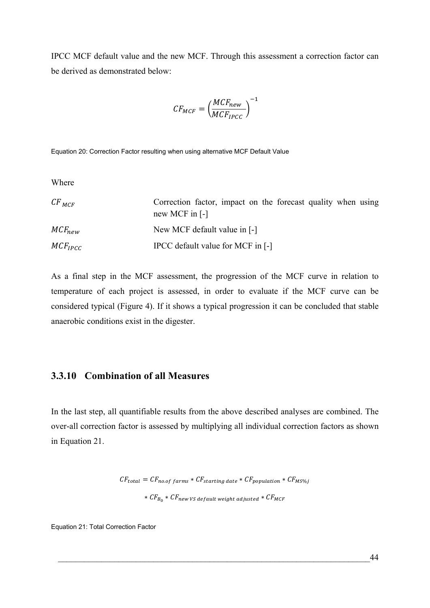IPCC MCF default value and the new MCF. Through this assessment a correction factor can be derived as demonstrated below:

$$
CF_{MCF} = \left(\frac{MCF_{new}}{MCF_{IPCC}}\right)^{-1}
$$

Equation 20: Correction Factor resulting when using alternative MCF Default Value

Wh ere

| $CF_{MCF}$   | Correction factor, impact on the forecast quality when using<br>new MCF in $\lceil - \rceil$ |
|--------------|----------------------------------------------------------------------------------------------|
| $MCF_{new}$  | New MCF default value in [-]                                                                 |
| $MCF_{IPCC}$ | IPCC default value for MCF in [-]                                                            |

As a final step in the MCF assessment, the progression of the MCF curve in relation to temperature of each project is assessed, in order to evaluate if the MCF curve can be considered typical [\(Figure 4](#page-40-0)). If it shows a typical progression it can be concluded that stable anaerobic conditions exist in the digester.

# **3.3.10 Combination of all Measures**

In the last step, all quantifiable results from the above described analyses are combined. The over-all correction factor is assessed by multiplying all individual correction factors as shown in [Equation 21.](#page-57-0)

$$
CF_{total} = CF_{no.of\ farms} * CF_{starting\ date} * CF_{population} * CF_{MS\%j}
$$
  
\* 
$$
CF_{Bo} * CF_{new\ VS\ default\ weight\ adjusted} * CF_{MCF}
$$

<span id="page-57-0"></span>Equation 21: Total Correction Factor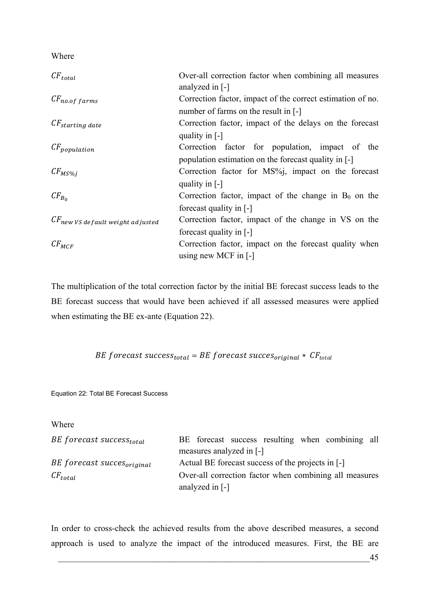Wh ere

| $CF_{total}$                          | Over-all correction factor when combining all measures<br>analyzed in $\lceil - \rceil$ |
|---------------------------------------|-----------------------------------------------------------------------------------------|
| $CF_{no.of$ farms                     | Correction factor, impact of the correct estimation of no.                              |
|                                       | number of farms on the result in [-]                                                    |
| $CF_{starting\ date}$                 | Correction factor, impact of the delays on the forecast                                 |
|                                       | quality in $\lceil - \rceil$                                                            |
| $CF_{population}$                     | Correction factor for population, impact of the                                         |
|                                       | population estimation on the forecast quality in [-]                                    |
| $CF_{MS\%j}$                          | Correction factor for MS%, impact on the forecast                                       |
|                                       | quality in $\lceil - \rceil$                                                            |
| $CF_{B_0}$                            | Correction factor, impact of the change in $B_0$ on the                                 |
|                                       | forecast quality in [-]                                                                 |
| $CF_{new}$ vs default weight adjusted | Correction factor, impact of the change in VS on the                                    |
|                                       | forecast quality in [-]                                                                 |
| $CF_{MCF}$                            | Correction factor, impact on the forecast quality when                                  |
|                                       | using new MCF in $\lceil - \rceil$                                                      |

The multiplication of the total correction factor by the initial BE forecast success leads to the BE forecast success that would have been achieved if all assessed measures were applied when estimating the BE ex-ante [\(Equation 22\)](#page-58-0).

*BE* forecast success<sub>total</sub> = BE forecast succes<sub>original</sub> \*  $CF_{total}$ 

<span id="page-58-0"></span>Equation 22: Total BE Forecast Success

Where

| BE forecast success <sub>total</sub>   |                                                        |                               |  |                                                   | BE forecast success resulting when combining all |  |
|----------------------------------------|--------------------------------------------------------|-------------------------------|--|---------------------------------------------------|--------------------------------------------------|--|
|                                        |                                                        | measures analyzed in [-]      |  |                                                   |                                                  |  |
| BE forecast succes <sub>original</sub> |                                                        |                               |  | Actual BE forecast success of the projects in [-] |                                                  |  |
| $CF_{total}$                           | Over-all correction factor when combining all measures |                               |  |                                                   |                                                  |  |
|                                        |                                                        | analyzed in $\lceil - \rceil$ |  |                                                   |                                                  |  |

In order to cross-check the achieved results from the above described measures, a second approach is used to analyze the impact of the introduced measures. First, the BE are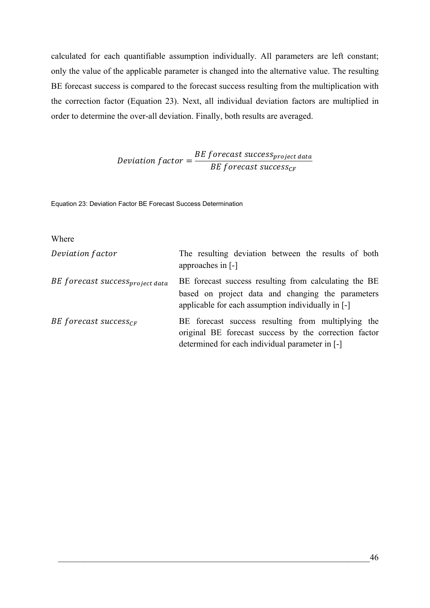calculated for each quantifiable assumption individually. All parameters are left constant; only the value of the applicable parameter is changed into the alternative value. The resulting BE forecast success is compared to the forecast success resulting from the multiplication with the correction factor ([Equation 23\)](#page-59-0). Next, all individual deviation factors are multiplied in order to determine the over-all deviation. Finally, both results are averaged.

> Deviation factor  $=$   $\frac{BE\,forecast\,success_{project\,data}}{BE\,f}$ BE forecast success<sub>CF</sub>

<span id="page-59-0"></span>Equation 23: Deviation Factor BE Forecast Success Determination

#### Where

| Deviation factor                            | The resulting deviation between the results of both<br>approaches in [-]                                                                                         |
|---------------------------------------------|------------------------------------------------------------------------------------------------------------------------------------------------------------------|
| BE forecast success <sub>project data</sub> | BE forecast success resulting from calculating the BE<br>based on project data and changing the parameters<br>applicable for each assumption individually in [-] |
| BE forecast success <sub>CF</sub>           | BE forecast success resulting from multiplying the<br>original BE forecast success by the correction factor<br>determined for each individual parameter in [-]   |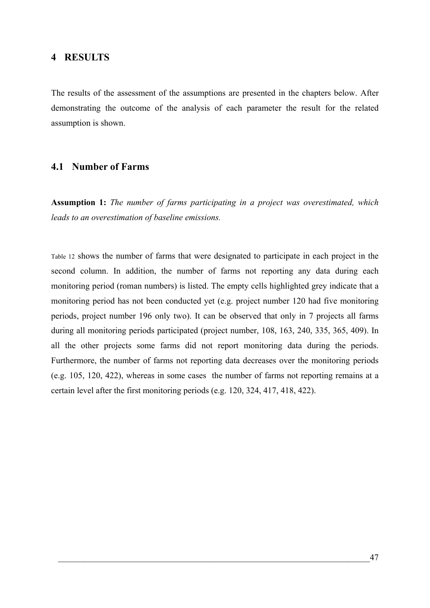### **4 RESULTS**

The results of the assessment of the assumptions are presented in the chapters below. After demonstrating the outcome of the analysis of each parameter the result for the related assumption is shown.

### <span id="page-60-0"></span>**4.1 Number of Farms**

**Assumption 1:** *The number of farms participating in a project was overestimated, which leads to an overestimation of baseline emissions.* 

[Table 12](#page-61-0) shows the number of farms that were designated to participate in each project in the second column. In addition, the number of farms not reporting any data during each monitoring period (roman numbers) is listed. The empty cells highlighted grey indicate that a monitoring period has not been conducted yet (e.g. project number 120 had five monitoring periods, project number 196 only two). It can be observed that only in 7 projects all farms during all monitoring periods participated (project number, 108, 163, 240, 335, 365, 409). In all the other projects some farms did not report monitoring data during the periods. Furthermore, the number of farms not reporting data decreases over the monitoring periods (e.g. 105, 120, 422), whereas in some cases the number of farms not reporting remains at a certain level after the first monitoring periods (e.g. 120, 324, 417, 418, 422).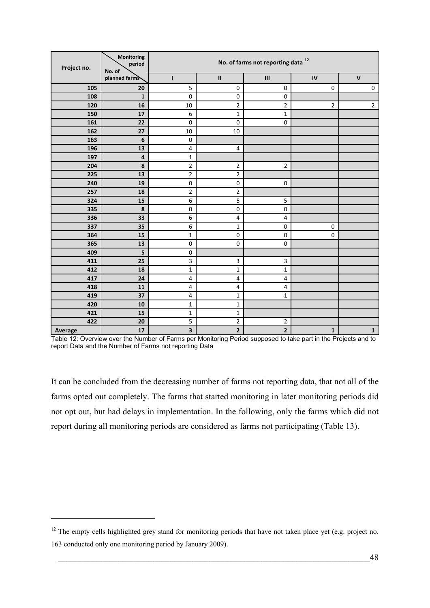<span id="page-61-1"></span>

| Project no. | Monitoring<br>period<br>No. of | No. of farms not reporting data <sup>12</sup> |                         |                                    |             |                |
|-------------|--------------------------------|-----------------------------------------------|-------------------------|------------------------------------|-------------|----------------|
|             | planned farms                  | $\mathbf{I}$                                  | $\sf II$                | $\ensuremath{\mathsf{III}}\xspace$ | ${\sf IV}$  | $\mathsf{V}$   |
| 105         | 20                             | 5                                             | $\mathbf 0$             | $\mathbf 0$                        | $\mathbf 0$ | $\pmb{0}$      |
| 108         | $\mathbf 1$                    | $\pmb{0}$                                     | $\mathbf 0$             | $\pmb{0}$                          |             |                |
| 120         | 16                             | 10                                            | $\mathbf 2$             | $\mathbf 2$                        | 2           | $\overline{2}$ |
| 150         | 17                             | 6                                             | $\mathbf{1}$            | $\mathbf{1}$                       |             |                |
| 161         | 22                             | 0                                             | $\pmb{0}$               | $\mathbf 0$                        |             |                |
| 162         | 27                             | 10                                            | 10                      |                                    |             |                |
| 163         | $\boldsymbol{6}$               | $\boldsymbol{0}$                              |                         |                                    |             |                |
| 196         | 13                             | $\overline{\mathbf{4}}$                       | $\overline{4}$          |                                    |             |                |
| 197         | $\pmb{4}$                      | $\mathbf 1$                                   |                         |                                    |             |                |
| 204         | 8                              | $\overline{2}$                                | $\overline{2}$          | $\overline{2}$                     |             |                |
| 225         | 13                             | $\mathbf 2$                                   | $\overline{2}$          |                                    |             |                |
| 240         | 19                             | $\pmb{0}$                                     | $\pmb{0}$               | 0                                  |             |                |
| 257         | 18                             | $\overline{2}$                                | $\overline{\mathbf{c}}$ |                                    |             |                |
| 324         | 15                             | 6                                             | 5                       | 5                                  |             |                |
| 335         | 8                              | $\pmb{0}$                                     | $\pmb{0}$               | $\pmb{0}$                          |             |                |
| 336         | 33                             | 6                                             | 4                       | $\pmb{4}$                          |             |                |
| 337         | 35                             | 6                                             | $\mathbf 1$             | $\pmb{0}$                          | $\mathbf 0$ |                |
| 364         | 15                             | $\mathbf 1$                                   | $\pmb{0}$               | 0                                  | $\mathbf 0$ |                |
| 365         | 13                             | $\pmb{0}$                                     | $\mathbf 0$             | 0                                  |             |                |
| 409         | 5                              | $\pmb{0}$                                     |                         |                                    |             |                |
| 411         | 25                             | 3                                             | 3                       | 3                                  |             |                |
| 412         | 18                             | $\mathbf 1$                                   | 1                       | $\mathbf{1}$                       |             |                |
| 417         | 24                             | $\overline{\mathbf{4}}$                       | 4                       | 4                                  |             |                |
| 418         | 11                             | $\overline{\mathbf{4}}$                       | $\pmb{4}$               | 4                                  |             |                |
| 419         | 37                             | $\pmb{4}$                                     | 1                       | $\mathbf 1$                        |             |                |
| 420         | 10                             | $\mathbf 1$                                   | 1                       |                                    |             |                |
| 421         | 15                             | $\mathbf 1$                                   | 1                       |                                    |             |                |
| 422         | 20                             | 5                                             | $\mathbf 2$             | $\mathbf 2$                        |             |                |
| Average     | 17                             | 3                                             | $\mathbf 2$             | $\mathbf{2}$                       | $\mathbf 1$ | $\mathbf 1$    |

<span id="page-61-0"></span>Table 12: Overview over the Number of Farms per Monitoring Period supposed to take part in the Projects and to report Data and the Number of Farms not reporting Data

It can be concluded from the decreasing number of farms not reporting data, that not all of the farms opted out completely. The farms that started monitoring in later monitoring periods did not opt out, but had delays in implementation. In the following, only the farms which did not report during all monitoring periods are considered as farms not participating [\(Table 13\)](#page-62-0).

<sup>&</sup>lt;sup>12</sup> The empty cells highlighted grey stand for monitoring periods that have not taken place yet (e.g. project no. 163 conducted only one monitoring period by January 2009).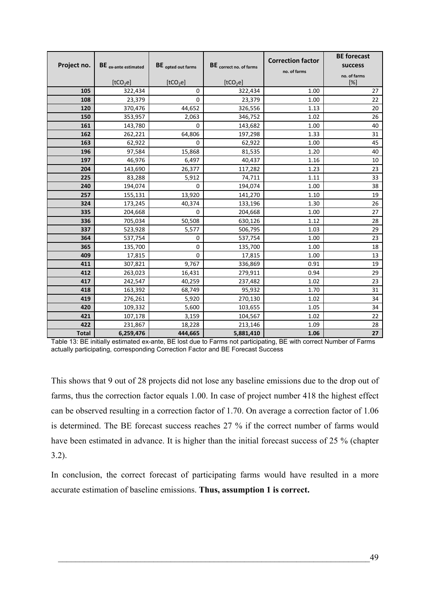| Project no.  | BE ex-ante estimated<br>[tCO <sub>2</sub> e] | <b>BE</b> opted out farms<br>[tCO <sub>2</sub> e] | BE correct no. of farms<br>[tCO <sub>2</sub> e] | <b>Correction factor</b><br>no. of farms | <b>BE</b> forecast<br>success<br>no. of farms<br>[%] |
|--------------|----------------------------------------------|---------------------------------------------------|-------------------------------------------------|------------------------------------------|------------------------------------------------------|
| 105          | 322,434                                      | 0                                                 | 322,434                                         | 1.00                                     | 27                                                   |
| 108          | 23,379                                       | $\Omega$                                          | 23,379                                          | 1.00                                     | 22                                                   |
| 120          | 370,476                                      | 44,652                                            | 326,556                                         | 1.13                                     | 20                                                   |
| 150          | 353,957                                      | 2,063                                             | 346,752                                         | 1.02                                     | 26                                                   |
| 161          | 143,780                                      | $\mathbf 0$                                       | 143,682                                         | 1.00                                     | 40                                                   |
| 162          | 262,221                                      | 64,806                                            | 197,298                                         | 1.33                                     | 31                                                   |
| 163          | 62,922                                       | $\mathbf 0$                                       | 62,922                                          | 1.00                                     | 45                                                   |
| 196          | 97,584                                       | 15,868                                            | 81,535                                          | 1.20                                     | 40                                                   |
| 197          | 46,976                                       | 6,497                                             | 40,437                                          | 1.16                                     | 10                                                   |
| 204          | 143,690                                      | 26,377                                            | 117,282                                         | 1.23                                     | 23                                                   |
| 225          | 83,288                                       | 5,912                                             | 74,711                                          | 1.11                                     | 33                                                   |
| 240          | 194,074                                      | 0                                                 | 194,074                                         | 1.00                                     | 38                                                   |
| 257          | 155,131                                      | 13,920                                            | 141,270                                         | 1.10                                     | 19                                                   |
| 324          | 173,245                                      | 40,374                                            | 133,196                                         | 1.30                                     | 26                                                   |
| 335          | 204,668                                      | 0                                                 | 204,668                                         | 1.00                                     | 27                                                   |
| 336          | 705,034                                      | 50,508                                            | 630,126                                         | 1.12                                     | 28                                                   |
| 337          | 523,928                                      | 5,577                                             | 506,795                                         | 1.03                                     | 29                                                   |
| 364          | 537,754                                      | 0                                                 | 537,754                                         | 1.00                                     | 23                                                   |
| 365          | 135,700                                      | 0                                                 | 135,700                                         | 1.00                                     | 18                                                   |
| 409          | 17,815                                       | 0                                                 | 17,815                                          | 1.00                                     | 13                                                   |
| 411          | 307,821                                      | 9,767                                             | 336,869                                         | 0.91                                     | 19                                                   |
| 412          | 263,023                                      | 16,431                                            | 279,911                                         | 0.94                                     | 29                                                   |
| 417          | 242,547                                      | 40,259                                            | 237,482                                         | 1.02                                     | 23                                                   |
| 418          | 163,392                                      | 68,749                                            | 95,932                                          | 1.70                                     | 31                                                   |
| 419          | 276,261                                      | 5,920                                             | 270,130                                         | 1.02                                     | 34                                                   |
| 420          | 109,332                                      | 5,600                                             | 103,655                                         | 1.05                                     | 34                                                   |
| 421          | 107,178                                      | 3,159                                             | 104,567                                         | 1.02                                     | 22                                                   |
| 422          | 231,867                                      | 18,228                                            | 213,146                                         | 1.09                                     | 28                                                   |
| <b>Total</b> | 6,259,476                                    | 444,665                                           | 5,881,410                                       | 1.06                                     | 27                                                   |

<span id="page-62-0"></span>Table 13: BE initially estimated ex-ante, BE lost due to Farms not participating, BE with correct Number of Farms actually participating, corresponding Correction Factor and BE Forecast Success

This shows that 9 out of 28 projects did not lose any baseline emissions due to the drop out of farms, thus the correction factor equals 1.00. In case of project number 418 the highest effect can be observed resulting in a correction factor of 1.70. On average a correction factor of 1.06 is determined. The BE forecast success reaches 27 % if the correct number of farms would have been estimated in advance. It is higher than the initial forecast success of 25 % (chapter [3.2\)](#page-45-2).

In conclusion, the correct forecast of participating farms would have resulted in a more accurate estimation of baseline emissions. **Thus, assumption 1 is correct.**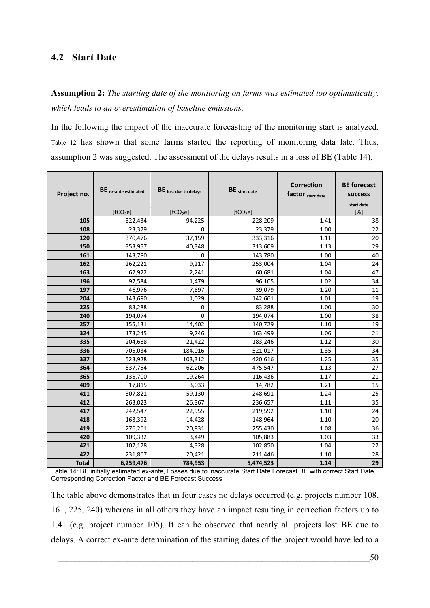# **4.2 Start Date**

**Assumption 2:** *The starting date of the monitoring on farms was estimated too optimistically, which leads to an overestimation of baseline emissions.*

In the following the impact of the inaccurate forecasting of the monitoring start is analyzed. [Table 12](#page-61-0) has shown that some farms started the reporting of monitoring data late. Thus, assumption 2 was suggested. The assessment of the delays results in a loss of BE ([Table 14](#page-63-0)).

| Project no.  | BE ex-ante estimated | BE lost due to delays | BE start date        | <b>Correction</b><br>factor start date | <b>BE</b> forecast<br>success<br>start date |
|--------------|----------------------|-----------------------|----------------------|----------------------------------------|---------------------------------------------|
|              | [tCO <sub>2</sub> e] | [tCO <sub>2</sub> e]  | [tCO <sub>2</sub> e] |                                        | [%]                                         |
| 105          | 322,434              | 94,225                | 228,209              | 1.41                                   | 38                                          |
| 108          | 23,379               | $\Omega$              | 23,379               | 1.00                                   | 22                                          |
| 120          | 370,476              | 37,159                | 333,316              | 1.11                                   | 20                                          |
| 150          | 353,957              | 40,348                | 313,609              | 1.13                                   | 29                                          |
| 161          | 143,780              | 0                     | 143,780              | 1.00                                   | 40                                          |
| 162          | 262,221              | 9,217                 | 253,004              | 1.04                                   | 24                                          |
| 163          | 62,922               | 2,241                 | 60,681               | 1.04                                   | 47                                          |
| 196          | 97,584               | 1,479                 | 96,105               | 1.02                                   | 34                                          |
| 197          | 46,976               | 7,897                 | 39,079               | 1.20                                   | 11                                          |
| 204          | 143,690              | 1,029                 | 142,661              | 1.01                                   | 19                                          |
| 225          | 83,288               | 0                     | 83,288               | 1.00                                   | 30                                          |
| 240          | 194,074              | 0                     | 194,074              | 1.00                                   | 38                                          |
| 257          | 155,131              | 14,402                | 140,729              | 1.10                                   | 19                                          |
| 324          | 173,245              | 9,746                 | 163,499              | 1.06                                   | 21                                          |
| 335          | 204,668              | 21,422                | 183,246              | 1.12                                   | 30                                          |
| 336          | 705,034              | 184,016               | 521,017              | 1.35                                   | 34                                          |
| 337          | 523,928              | 103,312               | 420,616              | 1.25                                   | 35                                          |
| 364          | 537,754              | 62,206                | 475,547              | 1.13                                   | 27                                          |
| 365          | 135,700              | 19,264                | 116,436              | 1.17                                   | 21                                          |
| 409          | 17,815               | 3,033                 | 14,782               | 1.21                                   | 15                                          |
| 411          | 307,821              | 59,130                | 248,691              | 1.24                                   | 25                                          |
| 412          | 263,023              | 26,367                | 236,657              | 1.11                                   | 35                                          |
| 417          | 242,547              | 22,955                | 219,592              | 1.10                                   | 24                                          |
| 418          | 163,392              | 14,428                | 148,964              | 1.10                                   | 20                                          |
| 419          | 276,261              | 20,831                | 255,430              | 1.08                                   | 36                                          |
| 420          | 109,332              | 3,449                 | 105,883              | 1.03                                   | 33                                          |
| 421          | 107,178              | 4,328                 | 102,850              | 1.04                                   | 22                                          |
| 422          | 231,867              | 20,421                | 211,446              | 1.10                                   | 28                                          |
| <b>Total</b> | 6,259,476            | 784,953               | 5,474,523            | 1.14                                   | 29                                          |

<span id="page-63-0"></span>Table 14: BE initially estimated ex-ante, Losses due to inaccurate Start Date Forecast BE with correct Start Date, Corresponding Correction Factor and BE Forecast Success

The table above demonstrates that in four cases no delays occurred (e.g. projects number 108, 161, 225, 240) whereas in all others they have an impact resulting in correction factors up to 1.41 (e.g. project number 105). It can be observed that nearly all projects lost BE due to delays. A correct ex-ante determination of the starting dates of the project would have led to a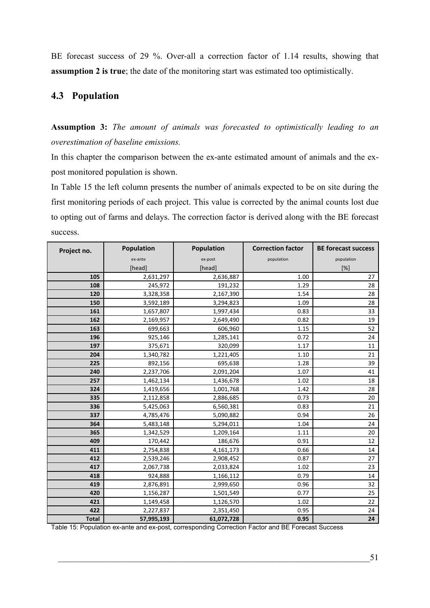BE forecast success of 29 %. Over-all a correction factor of 1.14 results, showing that **assumption 2 is true**; the date of the monitoring start was estimated too optimistically.

# **4.3 Population**

**Assumption 3:** *The amount of animals was forecasted to optimistically leading to an overestimation of baseline emissions.* 

In this chapter the comparison between the ex-ante estimated amount of animals and the expost monitored population is shown.

In [Table 15](#page-64-0) the left column presents the number of animals expected to be on site during the first monitoring periods of each project. This value is corrected by the animal counts lost due to opting out of farms and delays. The correction factor is derived along with the BE forecast success.

| Project no.  | <b>Population</b> | Population | <b>Correction factor</b> | <b>BE forecast success</b> |
|--------------|-------------------|------------|--------------------------|----------------------------|
|              | ex-ante           | ex-post    | population               | population                 |
|              | [head]            | [head]     |                          | $[\%]$                     |
| 105          | 2,631,297         | 2,636,887  | 1.00                     | 27                         |
| 108          | 245,972           | 191,232    | 1.29                     | 28                         |
| 120          | 3,328,358         | 2,167,390  | 1.54                     | 28                         |
| 150          | 3,592,189         | 3,294,823  | 1.09                     | 28                         |
| 161          | 1,657,807         | 1,997,434  | 0.83                     | 33                         |
| 162          | 2,169,957         | 2,649,490  | 0.82                     | 19                         |
| 163          | 699,663           | 606,960    | 1.15                     | 52                         |
| 196          | 925,146           | 1,285,141  | 0.72                     | 24                         |
| 197          | 375,671           | 320,099    | 1.17                     | 11                         |
| 204          | 1,340,782         | 1,221,405  | 1.10                     | 21                         |
| 225          | 892,156           | 695,638    | 1.28                     | 39                         |
| 240          | 2,237,706         | 2,091,204  | 1.07                     | 41                         |
| 257          | 1,462,134         | 1,436,678  | 1.02                     | 18                         |
| 324          | 1,419,656         | 1,001,768  | 1.42                     | 28                         |
| 335          | 2,112,858         | 2,886,685  | 0.73                     | 20                         |
| 336          | 5,425,063         | 6,560,381  | 0.83                     | 21                         |
| 337          | 4,785,476         | 5,090,882  | 0.94                     | 26                         |
| 364          | 5,483,148         | 5,294,011  | 1.04                     | 24                         |
| 365          | 1,342,529         | 1,209,164  | 1.11                     | 20                         |
| 409          | 170,442           | 186,676    | 0.91                     | 12                         |
| 411          | 2,754,838         | 4,161,173  | 0.66                     | 14                         |
| 412          | 2,539,246         | 2,908,452  | 0.87                     | 27                         |
| 417          | 2,067,738         | 2,033,824  | 1.02                     | 23                         |
| 418          | 924,888           | 1,166,112  | 0.79                     | 14                         |
| 419          | 2,876,891         | 2,999,650  | 0.96                     | 32                         |
| 420          | 1,156,287         | 1,501,549  | 0.77                     | 25                         |
| 421          | 1,149,458         | 1,126,570  | 1.02                     | 22                         |
| 422          | 2,227,837         | 2,351,450  | 0.95                     | 24                         |
| <b>Total</b> | 57,995,193        | 61,072,728 | 0.95                     | 24                         |

<span id="page-64-0"></span>Table 15: Population ex-ante and ex-post, corresponding Correction Factor and BE Forecast Success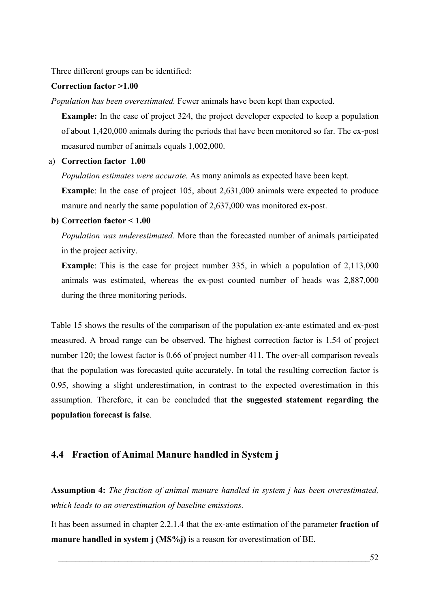Three different groups can be identified:

#### **Correction factor >1.00**

*Population has been overestimated.* Fewer animals have been kept than expected.

**Example:** In the case of project 324, the project developer expected to keep a population of about 1,420,000 animals during the periods that have been monitored so far. The ex-post measured number of animals equals 1,002,000.

#### a) **Correction factor 1.00**

*Population estimates were accurate.* As many animals as expected have been kept.

**Example**: In the case of project 105, about 2,631,000 animals were expected to produce manure and nearly the same population of 2,637,000 was monitored ex-post.

#### **b) Correction factor < 1.00**

*Population was underestimated.* More than the forecasted number of animals participated in the project activity.

**Example**: This is the case for project number 335, in which a population of 2,113,000 animals was estimated, whereas the ex-post counted number of heads was 2,887,000 during the three monitoring periods.

[Table 15](#page-64-0) shows the results of the comparison of the population ex-ante estimated and ex-post measured. A broad range can be observed. The highest correction factor is 1.54 of project number 120; the lowest factor is 0.66 of project number 411. The over-all comparison reveals that the population was forecasted quite accurately. In total the resulting correction factor is 0.95, showing a slight underestimation, in contrast to the expected overestimation in this assumption. Therefore, it can be concluded that **the suggested statement regarding the population forecast is false**.

### **4.4 Fraction of Animal Manure handled in System j**

**Assumption 4:** *The fraction of animal manure handled in system j has been overestimated, which leads to an overestimation of baseline emissions.* 

It has been assumed in chapter [2.2.1.4](#page-26-0) that the ex-ante estimation of the parameter **fraction of manure handled in system j (MS%j)** is a reason for overestimation of BE.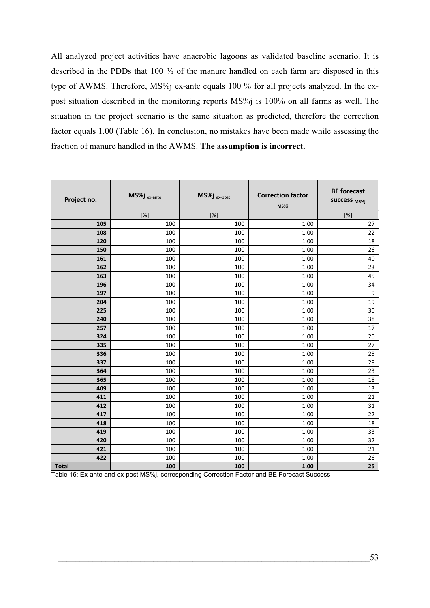All analyzed project activities have anaerobic lagoons as validated baseline scenario. It is described in the PDDs that 100 % of the manure handled on each farm are disposed in this type of AWMS. Therefore, MS%j ex-ante equals 100 % for all projects analyzed. In the expost situation described in the monitoring reports MS%j is 100% on all farms as well. The situation in the project scenario is the same situation as predicted, therefore the correction factor equals 1.00 [\(Table 16](#page-66-0)). In conclusion, no mistakes have been made while assessing the fraction of manure handled in the AWMS. **The assumption is incorrect.** 

| Project no.  | MS%j ex-ante | MS%j ex-post | <b>Correction factor</b><br>MS%j | <b>BE</b> forecast<br><b>SUCCESS MS%j</b>                                                                                                                                                                                               |
|--------------|--------------|--------------|----------------------------------|-----------------------------------------------------------------------------------------------------------------------------------------------------------------------------------------------------------------------------------------|
|              | [%]          | [%]          |                                  | $[%] % \begin{center} \includegraphics[width=0.3\textwidth]{images/TrDiM1-Architecture.png} \end{center} % \vspace*{-1em} \caption{The figure shows the number of parameters in the left and right.} \label{fig:TrDiM2-Architecture} %$ |
| 105          | 100          | 100          | 1.00                             | 27                                                                                                                                                                                                                                      |
| 108          | 100          | 100          | 1.00                             | 22                                                                                                                                                                                                                                      |
| 120          | 100          | 100          | 1.00                             | 18                                                                                                                                                                                                                                      |
| 150          | 100          | 100          | 1.00                             | 26                                                                                                                                                                                                                                      |
| 161          | 100          | 100          | 1.00                             | 40                                                                                                                                                                                                                                      |
| 162          | 100          | 100          | 1.00                             | 23                                                                                                                                                                                                                                      |
| 163          | 100          | 100          | 1.00                             | 45                                                                                                                                                                                                                                      |
| 196          | 100          | 100          | 1.00                             | 34                                                                                                                                                                                                                                      |
| 197          | 100          | 100          | 1.00                             | 9                                                                                                                                                                                                                                       |
| 204          | 100          | 100          | 1.00                             | 19                                                                                                                                                                                                                                      |
| 225          | 100          | 100          | 1.00                             | 30                                                                                                                                                                                                                                      |
| 240          | 100          | 100          | 1.00                             | 38                                                                                                                                                                                                                                      |
| 257          | 100          | 100          | 1.00                             | 17                                                                                                                                                                                                                                      |
| 324          | 100          | 100          | 1.00                             | 20                                                                                                                                                                                                                                      |
| 335          | 100          | 100          | 1.00                             | 27                                                                                                                                                                                                                                      |
| 336          | 100          | 100          | 1.00                             | 25                                                                                                                                                                                                                                      |
| 337          | 100          | 100          | 1.00                             | 28                                                                                                                                                                                                                                      |
| 364          | 100          | 100          | 1.00                             | 23                                                                                                                                                                                                                                      |
| 365          | 100          | 100          | 1.00                             | 18                                                                                                                                                                                                                                      |
| 409          | 100          | 100          | 1.00                             | 13                                                                                                                                                                                                                                      |
| 411          | 100          | 100          | 1.00                             | 21                                                                                                                                                                                                                                      |
| 412          | 100          | 100          | 1.00                             | 31                                                                                                                                                                                                                                      |
| 417          | 100          | 100          | 1.00                             | 22                                                                                                                                                                                                                                      |
| 418          | 100          | 100          | 1.00                             | 18                                                                                                                                                                                                                                      |
| 419          | 100          | 100          | 1.00                             | 33                                                                                                                                                                                                                                      |
| 420          | 100          | 100          | 1.00                             | 32                                                                                                                                                                                                                                      |
| 421          | 100          | 100          | 1.00                             | 21                                                                                                                                                                                                                                      |
| 422          | 100          | 100          | 1.00                             | 26                                                                                                                                                                                                                                      |
| <b>Total</b> | 100          | 100          | 1.00                             | 25                                                                                                                                                                                                                                      |

<span id="page-66-0"></span>Table 16: Ex-ante and ex-post MS%j, corresponding Correction Factor and BE Forecast Success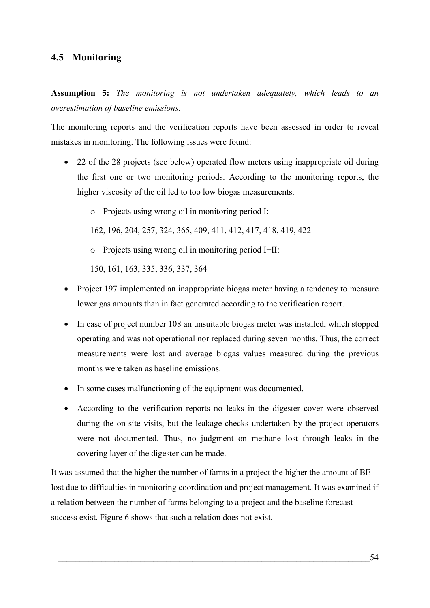# **4.5 Monitoring**

**Assumption 5:** *The monitoring is not undertaken adequately, which leads to an overestimation of baseline emissions.*

The monitoring reports and the verification reports have been assessed in order to reveal mistakes in monitoring. The following issues were found:

- 22 of the 28 projects (see below) operated flow meters using inappropriate oil during the first one or two monitoring periods. According to the monitoring reports, the higher viscosity of the oil led to too low biogas measurements.
	- o Projects using wrong oil in monitoring period I:

162, 196, 204, 257, 324, 365, 409, 411, 412, 417, 418, 419, 422

o Projects using wrong oil in monitoring period I+II:

150, 161, 163, 335, 336, 337, 364

- Project 197 implemented an inappropriate biogas meter having a tendency to measure lower gas amounts than in fact generated according to the verification report.
- In case of project number 108 an unsuitable biogas meter was installed, which stopped operating and was not operational nor replaced during seven months. Thus, the correct measurements were lost and average biogas values measured during the previous months were taken as baseline emissions.
- In some cases malfunctioning of the equipment was documented.
- According to the verification reports no leaks in the digester cover were observed during the on-site visits, but the leakage-checks undertaken by the project operators were not documented. Thus, no judgment on methane lost through leaks in the covering layer of the digester can be made.

It was assumed that the higher the number of farms in a project the higher the amount of BE lost due to difficulties in monitoring coordination and project management. It was examined if a relation between the number of farms belonging to a project and the baseline forecast success exist. [Figure 6](#page-68-0) shows that such a relation does not exist.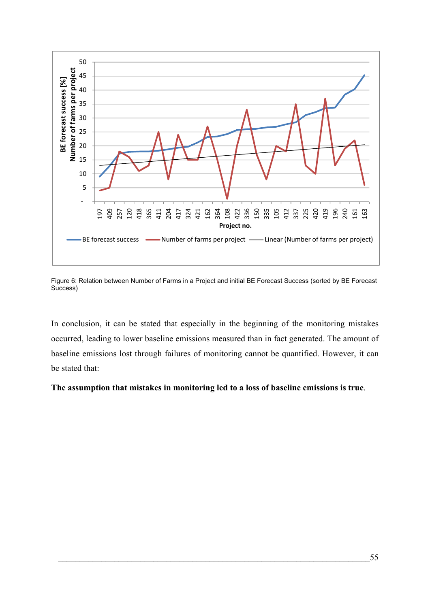

<span id="page-68-0"></span>Figure 6: Relation between Number of Farms in a Project and initial BE Forecast Success (sorted by BE Forecast Success)

In conclusion, it can be stated that especially in the beginning of the monitoring mistakes occurred, leading to lower baseline emissions measured than in fact generated. The amount of baseline emissions lost through failures of monitoring cannot be quantified. However, it can be stated that:

### **The assumption that mistakes in monitoring led to a loss of baseline emissions is true**.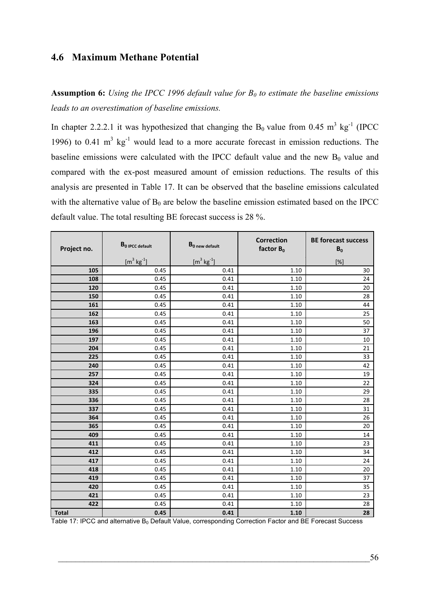## **4.6 Maximum Methane Potential**

Assumption 6: *Using the IPCC 1996 default value for B<sub>0</sub> to estimate the baseline emissions leads to an overestimation of baseline emissions.*

In chapter [2.2.2.1](#page-27-0) it was hypothesized that changing the  $B_0$  value from 0.45 m<sup>3</sup> kg<sup>-1</sup> (IPCC 1996) to 0.41  $m^3$  kg<sup>-1</sup> would lead to a more accurate forecast in emission reductions. The baseline emissions were calculated with the IPCC default value and the new  $B_0$  value and compared with the ex-post measured amount of emission reductions. The results of this analysis are presented in [Table 17.](#page-69-0) It can be observed that the baseline emissions calculated with the alternative value of  $B_0$  are below the baseline emission estimated based on the IPCC default value. The total resulting BE forecast success is 28 %.

| Project no.  | B <sub>0</sub> IPCC default | $B_0$ new default                         | <b>Correction</b><br>factor $B_0$ | <b>BE forecast success</b><br>$B_0$                                                                                                                                                                                |
|--------------|-----------------------------|-------------------------------------------|-----------------------------------|--------------------------------------------------------------------------------------------------------------------------------------------------------------------------------------------------------------------|
|              | $[m^3 \text{ kg}^{-1}]$     | $\mathrm{[m}^3\,\mathrm{kg}^{\text{-}1}]$ |                                   | $[%] % \begin{center} \includegraphics[width=0.3\textwidth]{images/TrDiM1.png} \end{center} % \vspace*{-1em} \caption{The figure shows the results of the estimators in the left and right.} \label{fig:TrDiM2} %$ |
| 105          | 0.45                        | 0.41                                      | 1.10                              | 30                                                                                                                                                                                                                 |
| 108          | 0.45                        | 0.41                                      | 1.10                              | 24                                                                                                                                                                                                                 |
| 120          | 0.45                        | 0.41                                      | 1.10                              | 20                                                                                                                                                                                                                 |
| 150          | 0.45                        | 0.41                                      | 1.10                              | 28                                                                                                                                                                                                                 |
| 161          | 0.45                        | 0.41                                      | 1.10                              | 44                                                                                                                                                                                                                 |
| 162          | 0.45                        | 0.41                                      | 1.10                              | 25                                                                                                                                                                                                                 |
| 163          | 0.45                        | 0.41                                      | 1.10                              | 50                                                                                                                                                                                                                 |
| 196          | 0.45                        | 0.41                                      | 1.10                              | 37                                                                                                                                                                                                                 |
| 197          | 0.45                        | 0.41                                      | 1.10                              | $10\,$                                                                                                                                                                                                             |
| 204          | 0.45                        | 0.41                                      | 1.10                              | 21                                                                                                                                                                                                                 |
| 225          | 0.45                        | 0.41                                      | 1.10                              | 33                                                                                                                                                                                                                 |
| 240          | 0.45                        | 0.41                                      | 1.10                              | 42                                                                                                                                                                                                                 |
| 257          | 0.45                        | 0.41                                      | 1.10                              | 19                                                                                                                                                                                                                 |
| 324          | 0.45                        | 0.41                                      | 1.10                              | 22                                                                                                                                                                                                                 |
| 335          | 0.45                        | 0.41                                      | 1.10                              | 29                                                                                                                                                                                                                 |
| 336          | 0.45                        | 0.41                                      | 1.10                              | 28                                                                                                                                                                                                                 |
| 337          | 0.45                        | 0.41                                      | 1.10                              | 31                                                                                                                                                                                                                 |
| 364          | 0.45                        | 0.41                                      | 1.10                              | 26                                                                                                                                                                                                                 |
| 365          | 0.45                        | 0.41                                      | 1.10                              | 20                                                                                                                                                                                                                 |
| 409          | 0.45                        | 0.41                                      | 1.10                              | 14                                                                                                                                                                                                                 |
| 411          | 0.45                        | 0.41                                      | 1.10                              | 23                                                                                                                                                                                                                 |
| 412          | 0.45                        | 0.41                                      | 1.10                              | 34                                                                                                                                                                                                                 |
| 417          | 0.45                        | 0.41                                      | $1.10\,$                          | 24                                                                                                                                                                                                                 |
| 418          | 0.45                        | 0.41                                      | 1.10                              | $20\,$                                                                                                                                                                                                             |
| 419          | 0.45                        | 0.41                                      | 1.10                              | 37                                                                                                                                                                                                                 |
| 420          | 0.45                        | 0.41                                      | 1.10                              | 35                                                                                                                                                                                                                 |
| 421          | 0.45                        | 0.41                                      | $1.10\,$                          | 23                                                                                                                                                                                                                 |
| 422          | 0.45                        | 0.41                                      | 1.10                              | 28                                                                                                                                                                                                                 |
| <b>Total</b> | 0.45                        | 0.41                                      | $1.10$                            | 28                                                                                                                                                                                                                 |

<span id="page-69-0"></span>Table 17: IPCC and alternative B<sub>0</sub> Default Value, corresponding Correction Factor and BE Forecast Success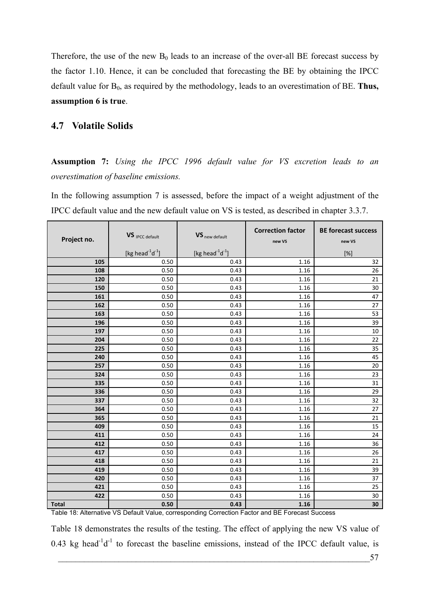Therefore, the use of the new  $B_0$  leads to an increase of the over-all BE forecast success by the factor 1.10. Hence, it can be concluded that forecasting the BE by obtaining the IPCC default value for B<sub>0</sub>, as required by the methodology, leads to an overestimation of BE. Thus, **assumption 6 is true**.

### **4.7 Volatile Solids**

**Assumption 7:** *Using the IPCC 1996 default value for VS excretion leads to an overestimation of baseline emissions.* 

In the following assumption 7 is assessed, before the impact of a weight adjustment of the IPCC default value and the new default value on VS is tested, as described in chapter [3.3.7](#page-53-1).

| Project no.  | VS <sub>IPCC</sub> default   | VS new default               | <b>Correction factor</b><br>new VS | <b>BE forecast success</b><br>new VS |
|--------------|------------------------------|------------------------------|------------------------------------|--------------------------------------|
|              | [kg head $^{-1}$ d $^{-1}$ ] | [kg head $^{-1}$ d $^{-1}$ ] |                                    | $[\%]$                               |
| 105          | 0.50                         | 0.43                         | 1.16                               | 32                                   |
| 108          | 0.50                         | 0.43                         | 1.16                               | 26                                   |
| 120          | 0.50                         | 0.43                         | 1.16                               | 21                                   |
| 150          | 0.50                         | 0.43                         | 1.16                               | $30\,$                               |
| 161          | 0.50                         | 0.43                         | 1.16                               | 47                                   |
| 162          | 0.50                         | 0.43                         | 1.16                               | 27                                   |
| 163          | 0.50                         | 0.43                         | 1.16                               | 53                                   |
| 196          | 0.50                         | 0.43                         | 1.16                               | 39                                   |
| 197          | 0.50                         | 0.43                         | 1.16                               | 10                                   |
| 204          | $0.50\,$                     | 0.43                         | 1.16                               | 22                                   |
| 225          | 0.50                         | 0.43                         | 1.16                               | 35                                   |
| 240          | 0.50                         | 0.43                         | 1.16                               | 45                                   |
| 257          | 0.50                         | 0.43                         | 1.16                               | 20                                   |
| 324          | $0.50\,$                     | 0.43                         | 1.16                               | 23                                   |
| 335          | 0.50                         | 0.43                         | 1.16                               | 31                                   |
| 336          | 0.50                         | 0.43                         | 1.16                               | 29                                   |
| 337          | 0.50                         | 0.43                         | 1.16                               | 32                                   |
| 364          | 0.50                         | 0.43                         | 1.16                               | 27                                   |
| 365          | 0.50                         | 0.43                         | 1.16                               | 21                                   |
| 409          | 0.50                         | 0.43                         | 1.16                               | 15                                   |
| 411          | 0.50                         | 0.43                         | 1.16                               | 24                                   |
| 412          | $0.50\,$                     | 0.43                         | 1.16                               | 36                                   |
| 417          | 0.50                         | 0.43                         | 1.16                               | 26                                   |
| 418          | 0.50                         | 0.43                         | 1.16                               | 21                                   |
| 419          | 0.50                         | 0.43                         | 1.16                               | 39                                   |
| 420          | 0.50                         | 0.43                         | 1.16                               | 37                                   |
| 421          | 0.50                         | 0.43                         | 1.16                               | 25                                   |
| 422          | 0.50                         | 0.43                         | 1.16                               | 30                                   |
| <b>Total</b> | 0.50                         | 0.43                         | 1.16                               | 30                                   |

<span id="page-70-0"></span>Table 18: Alternative VS Default Value, corresponding Correction Factor and BE Forecast Success

[Table 18](#page-70-0) demonstrates the results of the testing. The effect of applying the new VS value of 0.43 kg head<sup>-1</sup> $d^{-1}$  to forecast the baseline emissions, instead of the IPCC default value, is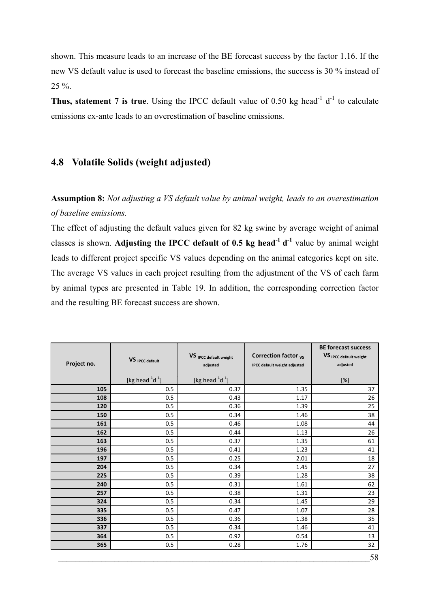shown. This measure leads to an increase of the BE forecast success by the factor 1.16. If the new VS default value is used to forecast the baseline emissions, the success is 30 % instead of  $25 \%$ .

Thus, statement 7 is true. Using the IPCC default value of 0.50 kg head<sup>-1</sup> d<sup>-1</sup> to calculate emissions ex-ante leads to an overestimation of baseline emissions.

# <span id="page-71-0"></span>**4.8 Volatile Solids (weight adjusted)**

**Assumption 8:** *Not adjusting a VS default value by animal weight, leads to an overestimation of baseline emissions.* 

The effect of adjusting the default values given for 82 kg swine by average weight of animal classes is shown. **Adjusting the IPCC default of 0.5 kg head-1 d-1** value by animal weight leads to different project specific VS values depending on the animal categories kept on site. The average VS values in each project resulting from the adjustment of the VS of each farm by animal types are presented in [Table 19.](#page-72-0) In addition, the corresponding correction factor and the resulting BE forecast success are shown.

| Project no. | VS <sub>IPCC</sub> default   | VS IPCC default weight<br>adjusted | Correction factor <sub>vs</sub><br><b>IPCC default weight adjusted</b> | <b>BE forecast success</b><br>VS IPCC default weight<br>adjusted                                                                                                                                               |
|-------------|------------------------------|------------------------------------|------------------------------------------------------------------------|----------------------------------------------------------------------------------------------------------------------------------------------------------------------------------------------------------------|
|             | [kg head $^{-1}$ d $^{-1}$ ] | [kg head $^{-1}$ d $^{-1}$ ]       |                                                                        | $[%] % \begin{center} \includegraphics[width=0.3\textwidth]{images/Trigers.png} \end{center} % \vspace*{-1em} \caption{The figure shows the number of parameters in the left and right.} \label{fig:Trigers}%$ |
| 105         | 0.5                          | 0.37                               | 1.35                                                                   | 37                                                                                                                                                                                                             |
| 108         | 0.5                          | 0.43                               | 1.17                                                                   | 26                                                                                                                                                                                                             |
| 120         | 0.5                          | 0.36                               | 1.39                                                                   | 25                                                                                                                                                                                                             |
| 150         | 0.5                          | 0.34                               | 1.46                                                                   | 38                                                                                                                                                                                                             |
| 161         | 0.5                          | 0.46                               | 1.08                                                                   | 44                                                                                                                                                                                                             |
| 162         | 0.5                          | 0.44                               | 1.13                                                                   | 26                                                                                                                                                                                                             |
| 163         | 0.5                          | 0.37                               | 1.35                                                                   | 61                                                                                                                                                                                                             |
| 196         | 0.5                          | 0.41                               | 1.23                                                                   | 41                                                                                                                                                                                                             |
| 197         | 0.5                          | 0.25                               | 2.01                                                                   | 18                                                                                                                                                                                                             |
| 204         | 0.5                          | 0.34                               | 1.45                                                                   | 27                                                                                                                                                                                                             |
| 225         | 0.5                          | 0.39                               | 1.28                                                                   | 38                                                                                                                                                                                                             |
| 240         | 0.5                          | 0.31                               | 1.61                                                                   | 62                                                                                                                                                                                                             |
| 257         | 0.5                          | 0.38                               | 1.31                                                                   | 23                                                                                                                                                                                                             |
| 324         | 0.5                          | 0.34                               | 1.45                                                                   | 29                                                                                                                                                                                                             |
| 335         | 0.5                          | 0.47                               | 1.07                                                                   | 28                                                                                                                                                                                                             |
| 336         | 0.5                          | 0.36                               | 1.38                                                                   | 35                                                                                                                                                                                                             |
| 337         | 0.5                          | 0.34                               | 1.46                                                                   | 41                                                                                                                                                                                                             |
| 364         | 0.5                          | 0.92                               | 0.54                                                                   | 13                                                                                                                                                                                                             |
| 365         | 0.5                          | 0.28                               | 1.76                                                                   | 32                                                                                                                                                                                                             |
|             |                              |                                    |                                                                        | 58                                                                                                                                                                                                             |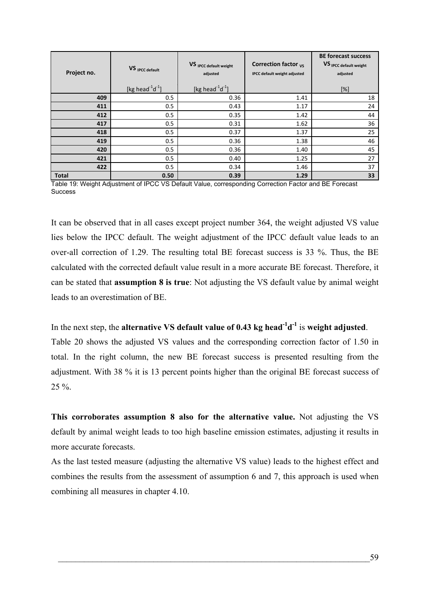| Project no.  | VS <sub>IPCC</sub> default<br>[kg head $^{-1}$ d $^{-1}$ ] | VS <sub>IPCC</sub> default weight<br>adjusted<br>[kg head $^{-1}$ d $^{-1}$ ] | Correction factor $vs$<br><b>IPCC default weight adjusted</b> | <b>BE forecast success</b><br>VS <sub>IPCC</sub> default weight<br>adjusted<br>[%] |
|--------------|------------------------------------------------------------|-------------------------------------------------------------------------------|---------------------------------------------------------------|------------------------------------------------------------------------------------|
| 409          | 0.5                                                        | 0.36                                                                          | 1.41                                                          | 18                                                                                 |
| 411          | 0.5                                                        | 0.43                                                                          | 1.17                                                          | 24                                                                                 |
| 412          | 0.5                                                        | 0.35                                                                          | 1.42                                                          | 44                                                                                 |
| 417          | 0.5                                                        | 0.31                                                                          | 1.62                                                          | 36                                                                                 |
| 418          | 0.5                                                        | 0.37                                                                          | 1.37                                                          | 25                                                                                 |
| 419          | 0.5                                                        | 0.36                                                                          | 1.38                                                          | 46                                                                                 |
| 420          | 0.5                                                        | 0.36                                                                          | 1.40                                                          | 45                                                                                 |
| 421          | 0.5                                                        | 0.40                                                                          | 1.25                                                          | 27                                                                                 |
| 422          | 0.5                                                        | 0.34                                                                          | 1.46                                                          | 37                                                                                 |
| <b>Total</b> | 0.50                                                       | 0.39                                                                          | 1.29                                                          | 33                                                                                 |

Table 19: Weight Adjustment of IPCC VS Default Value, corresponding Correction Factor and BE Forecast **Success** 

It can be observed that in all cases except project number 364, the weight adjusted VS value lies below the IPCC default. The weight adjustment of the IPCC default value leads to an over-all correction of 1.29. The resulting total BE forecast success is 33 %. Thus, the BE calculated with the corrected default value result in a more accurate BE forecast. Therefore, it can be stated that **assumption 8 is true**: Not adjusting the VS default value by animal weight leads to an overestimation of BE.

In the next step, the **alternative VS** default value of 0.43 kg head<sup>-1</sup>d<sup>-1</sup> is weight adjusted. [Table 20](#page-73-0) shows the adjusted VS values and the corresponding correction factor of 1.50 in total. In the right column, the new BE forecast success is presented resulting from the adjustment. With 38 % it is 13 percent points higher than the original BE forecast success of  $25\%$ 

**This corroborates assumption 8 also for the alternative value.** Not adjusting the VS default by animal weight leads to too high baseline emission estimates, adjusting it results in more accurate forecasts.

As the last tested measure (adjusting the alternative VS value) leads to the highest effect and combines the results from the assessment of assumption 6 and 7, this approach is used when combining all measures in chapter [4.10](#page-80-0).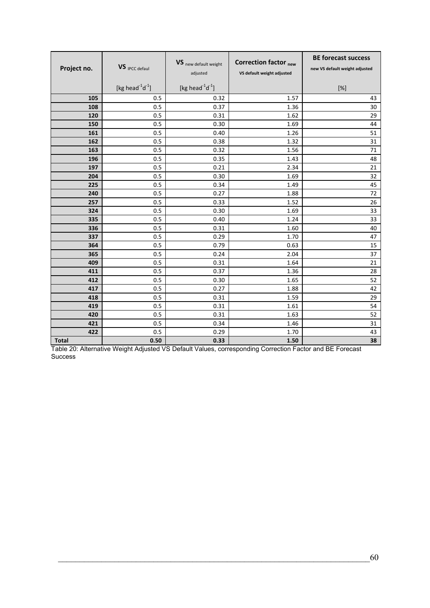| Project no.  | VS IPCC defaul               | VS new default weight<br>adjusted | <b>Correction factor <sub>new</sub></b><br>VS default weight adjusted | <b>BE forecast success</b><br>new VS default weight adjusted                                                                                                                                                  |
|--------------|------------------------------|-----------------------------------|-----------------------------------------------------------------------|---------------------------------------------------------------------------------------------------------------------------------------------------------------------------------------------------------------|
|              | [kg head $^{-1}$ d $^{-1}$ ] | [kg head $^{-1}$ d $^{-1}$ ]      |                                                                       | $[%] % \begin{center} \includegraphics[width=0.3\textwidth]{images/TrDiM1.png} \end{center} % \vspace*{-1em} \caption{The figure shows the number of parameters in the left and right.} \label{fig:TrDiM2} %$ |
| 105          | 0.5                          | 0.32                              | 1.57                                                                  | 43                                                                                                                                                                                                            |
| 108          | 0.5                          | 0.37                              | 1.36                                                                  | 30                                                                                                                                                                                                            |
| 120          | 0.5                          | 0.31                              | 1.62                                                                  | 29                                                                                                                                                                                                            |
| 150          | 0.5                          | 0.30                              | 1.69                                                                  | 44                                                                                                                                                                                                            |
| 161          | 0.5                          | 0.40                              | 1.26                                                                  | 51                                                                                                                                                                                                            |
| 162          | 0.5                          | 0.38                              | 1.32                                                                  | 31                                                                                                                                                                                                            |
| 163          | 0.5                          | 0.32                              | 1.56                                                                  | 71                                                                                                                                                                                                            |
| 196          | 0.5                          | 0.35                              | 1.43                                                                  | 48                                                                                                                                                                                                            |
| 197          | 0.5                          | 0.21                              | 2.34                                                                  | 21                                                                                                                                                                                                            |
| 204          | 0.5                          | 0.30                              | 1.69                                                                  | 32                                                                                                                                                                                                            |
| 225          | 0.5                          | 0.34                              | 1.49                                                                  | 45                                                                                                                                                                                                            |
| 240          | 0.5                          | 0.27                              | 1.88                                                                  | 72                                                                                                                                                                                                            |
| 257          | 0.5                          | 0.33                              | 1.52                                                                  | 26                                                                                                                                                                                                            |
| 324          | 0.5                          | 0.30                              | 1.69                                                                  | 33                                                                                                                                                                                                            |
| 335          | 0.5                          | 0.40                              | 1.24                                                                  | 33                                                                                                                                                                                                            |
| 336          | 0.5                          | 0.31                              | 1.60                                                                  | 40                                                                                                                                                                                                            |
| 337          | 0.5                          | 0.29                              | 1.70                                                                  | 47                                                                                                                                                                                                            |
| 364          | 0.5                          | 0.79                              | 0.63                                                                  | 15                                                                                                                                                                                                            |
| 365          | 0.5                          | 0.24                              | 2.04                                                                  | 37                                                                                                                                                                                                            |
| 409          | 0.5                          | 0.31                              | 1.64                                                                  | 21                                                                                                                                                                                                            |
| 411<br>412   | 0.5                          | 0.37                              | 1.36                                                                  | 28                                                                                                                                                                                                            |
| 417          | 0.5<br>0.5                   | 0.30<br>0.27                      | 1.65<br>1.88                                                          | 52<br>42                                                                                                                                                                                                      |
| 418          | 0.5                          | 0.31                              | 1.59                                                                  | 29                                                                                                                                                                                                            |
| 419          | 0.5                          | 0.31                              | 1.61                                                                  | 54                                                                                                                                                                                                            |
| 420          | 0.5                          | 0.31                              | 1.63                                                                  | 52                                                                                                                                                                                                            |
| 421          | 0.5                          | 0.34                              | 1.46                                                                  | 31                                                                                                                                                                                                            |
| 422          | 0.5                          | 0.29                              | 1.70                                                                  | 43                                                                                                                                                                                                            |
| <b>Total</b> | 0.50                         | 0.33                              | 1.50                                                                  | 38                                                                                                                                                                                                            |

<span id="page-73-0"></span>Table 20: Alternative Weight Adjusted VS Default Values, corresponding Correction Factor and BE Forecast Success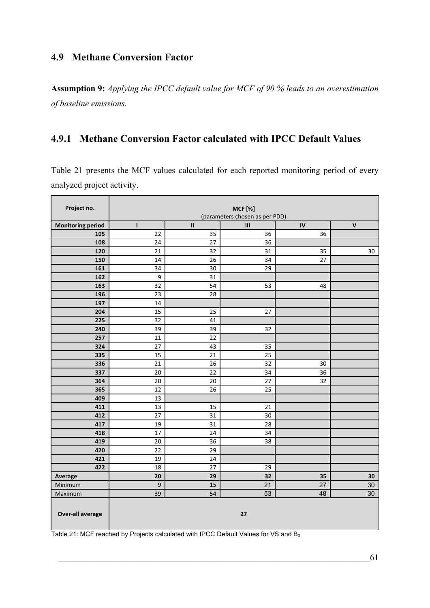## <span id="page-74-1"></span>**4.9 Methane Conversion Factor**

 $\blacksquare$ 

**Assumption 9:** *Applying the IPCC default value for MCF of 90 % leads to an overestimation of baseline emissions.* 

# **4.9.1 Methane Conversion Factor calculated with IPCC Default Values**

[Table 21](#page-74-0) presents the MCF values calculated for each reported monitoring period of every analyzed project activity.

| Project no.                     | <b>MCF</b> [%]<br>(parameters chosen as per PDD) |               |         |          |                    |  |  |  |
|---------------------------------|--------------------------------------------------|---------------|---------|----------|--------------------|--|--|--|
|                                 |                                                  | $\mathbf{II}$ |         |          | $\pmb{\mathsf{V}}$ |  |  |  |
| <b>Monitoring period</b><br>105 | ı<br>22                                          | 35            | Ш<br>36 | IV<br>36 |                    |  |  |  |
| 108                             | 24                                               | 27            | 36      |          |                    |  |  |  |
| 120                             | 21                                               | 32            | 31      | 35       | 30                 |  |  |  |
| 150                             | 14                                               | 26            | 34      | 27       |                    |  |  |  |
| 161                             | 34                                               | 30            | 29      |          |                    |  |  |  |
| 162                             | $\boldsymbol{9}$                                 | 31            |         |          |                    |  |  |  |
| 163                             | 32                                               | 54            | 53      | 48       |                    |  |  |  |
| 196                             | 23                                               | 28            |         |          |                    |  |  |  |
| 197                             | 14                                               |               |         |          |                    |  |  |  |
| 204                             | 15                                               | 25            | 27      |          |                    |  |  |  |
| 225                             | 32                                               | 41            |         |          |                    |  |  |  |
| 240                             | 39                                               | 39            | 32      |          |                    |  |  |  |
| 257                             | 11                                               | 22            |         |          |                    |  |  |  |
| 324                             | 27                                               | 43            | 35      |          |                    |  |  |  |
| 335                             | 15                                               | 21            | 25      |          |                    |  |  |  |
| 336                             | 21                                               | 26            | 32      | 30       |                    |  |  |  |
| 337                             | 20                                               | 22            | 34      | 36       |                    |  |  |  |
| 364                             | 20                                               | 20            | 27      | 32       |                    |  |  |  |
| 365                             | 12                                               | 26            | 25      |          |                    |  |  |  |
| 409                             | 13                                               |               |         |          |                    |  |  |  |
| 411                             | 13                                               | 15            | 21      |          |                    |  |  |  |
| 412                             | 27                                               | 31            | 30      |          |                    |  |  |  |
| 417                             | 19                                               | 31            | 28      |          |                    |  |  |  |
| 418                             | 17                                               | 24            | 34      |          |                    |  |  |  |
| 419                             | 20                                               | 36            | 38      |          |                    |  |  |  |
| 420                             | 22                                               | 29            |         |          |                    |  |  |  |
| 421                             | 19                                               | 24            |         |          |                    |  |  |  |
| 422                             | 18                                               | 27            | 29      |          |                    |  |  |  |
| Average                         | 20                                               | 29            | 32      | 35       | 30                 |  |  |  |
| Minimum                         | 9                                                | 15            | 21      | 27       | 30                 |  |  |  |
| Maximum                         | 39                                               | 54            | 53      | 48       | 30                 |  |  |  |
| <b>Over-all average</b>         |                                                  |               | 27      |          |                    |  |  |  |

<span id="page-74-0"></span>Table 21: MCF reached by Projects calculated with IPCC Default Values for VS and  $B_0$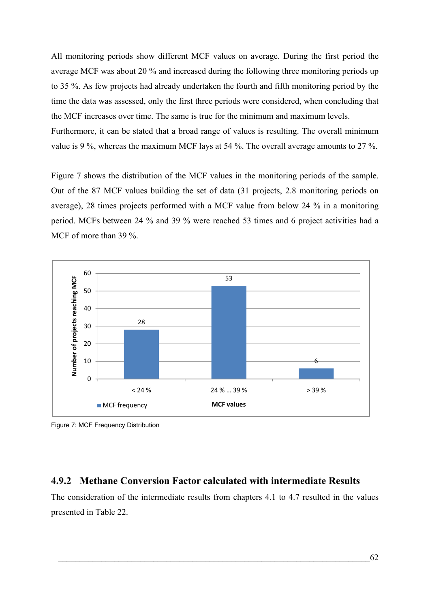All monitoring periods show different MCF values on average. During the first period the average MCF was about 20 % and increased during the following three monitoring periods up to 35 %. As few projects had already undertaken the fourth and fifth monitoring period by the time the data was assessed, only the first three periods were considered, when concluding that the MCF increases over time. The same is true for the minimum and maximum levels.

Furthermore, it can be stated that a broad range of values is resulting. The overall minimum value is 9 %, whereas the maximum MCF lays at 54 %. The overall average amounts to 27 %.

[Figure 7](#page-75-0) shows the distribution of the MCF values in the monitoring periods of the sample. Out of the 87 MCF values building the set of data (31 projects, 2.8 monitoring periods on average), 28 times projects performed with a MCF value from below 24 % in a monitoring period. MCFs between 24 % and 39 % were reached 53 times and 6 project activities had a MCF of more than 39 %.



<span id="page-75-0"></span>Figure 7: MCF Frequency Distribution

### **4.9.2 Methane Conversion Factor calculated with intermediate Results**

The consideration of the intermediate results from chapters [4.1](#page-60-0) to [4.7](#page-70-0) resulted in the values presented in [Table 22.](#page-76-0)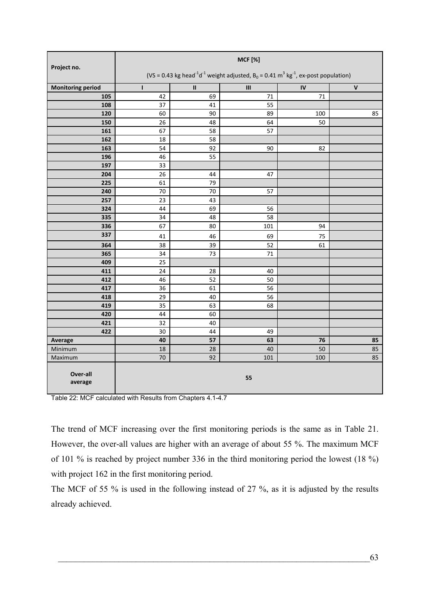| Project no.              | <b>MCF</b> [%]                                                                                                                       |          |                                    |            |                    |  |  |
|--------------------------|--------------------------------------------------------------------------------------------------------------------------------------|----------|------------------------------------|------------|--------------------|--|--|
|                          | (VS = 0.43 kg head <sup>-1</sup> d <sup>-1</sup> weight adjusted, $B_0 = 0.41$ m <sup>3</sup> kg <sup>-1</sup> , ex-post population) |          |                                    |            |                    |  |  |
| <b>Monitoring period</b> | I.                                                                                                                                   | $\sf II$ | $\ensuremath{\mathsf{III}}\xspace$ | ${\sf IV}$ | $\pmb{\mathsf{V}}$ |  |  |
| 105                      | 42                                                                                                                                   | 69       | 71                                 | 71         |                    |  |  |
| 108                      | 37                                                                                                                                   | 41       | $\overline{55}$                    |            |                    |  |  |
| 120                      | 60                                                                                                                                   | 90       | 89                                 | 100        | 85                 |  |  |
| 150                      | 26                                                                                                                                   | 48       | 64                                 | 50         |                    |  |  |
| 161                      | 67                                                                                                                                   | 58       | 57                                 |            |                    |  |  |
| 162                      | 18                                                                                                                                   | 58       |                                    |            |                    |  |  |
| 163                      | 54                                                                                                                                   | 92       | 90                                 | 82         |                    |  |  |
| 196                      | 46                                                                                                                                   | 55       |                                    |            |                    |  |  |
| 197                      | 33                                                                                                                                   |          |                                    |            |                    |  |  |
| 204                      | 26                                                                                                                                   | 44       | 47                                 |            |                    |  |  |
| 225                      | 61                                                                                                                                   | 79       |                                    |            |                    |  |  |
| 240                      | 70                                                                                                                                   | 70       | 57                                 |            |                    |  |  |
| 257                      | 23                                                                                                                                   | 43       |                                    |            |                    |  |  |
| 324                      | 44                                                                                                                                   | 69       | 56                                 |            |                    |  |  |
| 335                      | 34                                                                                                                                   | 48       | 58                                 |            |                    |  |  |
| 336                      | 67                                                                                                                                   | 80       | 101                                | 94         |                    |  |  |
| 337                      | 41                                                                                                                                   | 46       | 69                                 | 75         |                    |  |  |
| 364                      | 38                                                                                                                                   | 39       | 52                                 | 61         |                    |  |  |
| 365                      | 34                                                                                                                                   | 73       | $71\,$                             |            |                    |  |  |
| 409                      | 25                                                                                                                                   |          |                                    |            |                    |  |  |
| 411                      | 24                                                                                                                                   | 28       | 40                                 |            |                    |  |  |
| 412                      | 46                                                                                                                                   | 52       | 50                                 |            |                    |  |  |
| 417                      | 36                                                                                                                                   | 61       | $\overline{56}$                    |            |                    |  |  |
| 418                      | 29                                                                                                                                   | 40       | 56                                 |            |                    |  |  |
| 419                      | 35                                                                                                                                   | 63       | 68                                 |            |                    |  |  |
| 420                      | 44                                                                                                                                   | 60       |                                    |            |                    |  |  |
| 421                      | 32                                                                                                                                   | 40       |                                    |            |                    |  |  |
| 422                      | 30                                                                                                                                   | 44       | 49                                 |            |                    |  |  |
| Average                  | 40                                                                                                                                   | 57       | 63                                 | 76         | 85                 |  |  |
| Minimum                  | $18\,$                                                                                                                               | 28       | 40                                 | 50         | 85                 |  |  |
| Maximum                  | 70                                                                                                                                   | 92       | 101                                | 100        | 85                 |  |  |
| Over-all<br>average      | 55                                                                                                                                   |          |                                    |            |                    |  |  |

<span id="page-76-0"></span>Table 22: MCF calculated with Results from Chapters [4.1-](#page-60-0)[4.7](#page-70-0)

The trend of MCF increasing over the first monitoring periods is the same as in [Table 21.](#page-74-0) However, the over-all values are higher with an average of about 55 %. The maximum MCF of 101 % is reached by project number 336 in the third monitoring period the lowest (18 %) with project 162 in the first monitoring period.

The MCF of 55 % is used in the following instead of 27 %, as it is adjusted by the results already achieved.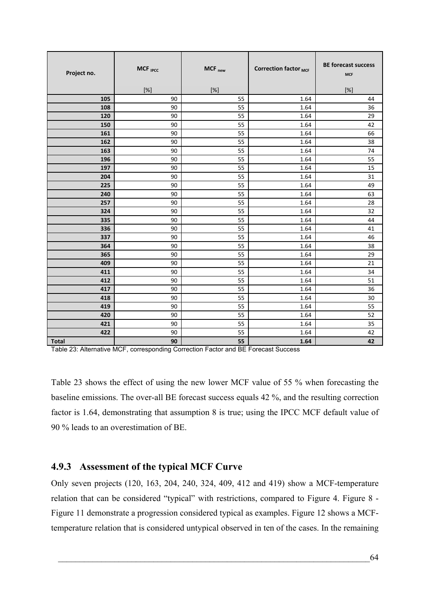| Project no.  | MCF <sub>IPCC</sub> | MCF <sub>new</sub> | Correction factor MCF | <b>BE forecast success</b><br><b>MCF</b> |  |
|--------------|---------------------|--------------------|-----------------------|------------------------------------------|--|
|              | [%]                 | $[\%]$             |                       | [%]                                      |  |
| 105          | 90                  | 55                 | 1.64                  | 44                                       |  |
| 108          | 90                  | 55                 | 1.64                  | 36                                       |  |
| 120          | 90                  | 55                 | 1.64                  | 29                                       |  |
| 150          | 90                  | 55                 | 1.64                  | 42                                       |  |
| 161          | 90                  | 55                 | 1.64                  | 66                                       |  |
| 162          | 90                  | 55                 | 1.64                  | 38                                       |  |
| 163          | 90                  | 55                 | 1.64                  | 74                                       |  |
| 196          | 90                  | 55                 | 1.64                  | 55                                       |  |
| 197          | 90<br>90            | 55<br>55           | 1.64<br>1.64          | 15<br>31                                 |  |
| 204<br>225   | 90                  | 55                 |                       |                                          |  |
| 240          | 90                  | 55                 | 1.64<br>1.64          | 49<br>63                                 |  |
| 257          | 90                  | 55                 | 1.64                  | 28                                       |  |
| 324          | 90                  | 55                 | 1.64                  | 32                                       |  |
| 335          | 90                  | 55                 | 1.64                  | 44                                       |  |
| 336          | 90                  | 55                 | 1.64                  | 41                                       |  |
| 337          | 90                  | 55                 | 1.64                  | 46                                       |  |
| 364          | 90                  | 55                 | 1.64                  | 38                                       |  |
| 365          | 90                  | 55                 | 1.64                  | 29                                       |  |
| 409          | 90                  | 55                 | 1.64                  | 21                                       |  |
| 411          | 90                  | 55                 | 1.64                  | 34                                       |  |
| 412          | 90                  | 55                 | 1.64                  | 51                                       |  |
| 417          | 90                  | 55                 | 1.64                  | 36                                       |  |
| 418          | 90                  | 55                 | 1.64                  | 30                                       |  |
| 419          | 90                  | 55                 | 1.64                  | 55                                       |  |
| 420          | 90                  | 55                 | 1.64                  | 52                                       |  |
| 421          | 90                  | 55                 | 1.64                  | 35                                       |  |
| 422          | 90                  | 55                 | 1.64                  | 42                                       |  |
| <b>Total</b> | 90                  | 55                 | 1.64                  | 42                                       |  |

<span id="page-77-0"></span>Table 23: Alternative MCF, corresponding Correction Factor and BE Forecast Success

[Table 23](#page-77-0) shows the effect of using the new lower MCF value of 55 % when forecasting the baseline emissions. The over-all BE forecast success equals 42 %, and the resulting correction factor is 1.64, demonstrating that assumption 8 is true; using the IPCC MCF default value of 90 % leads to an overestimation of BE.

## **4.9.3 Assessment of the typical MCF Curve**

Only seven projects (120, 163, 204, 240, 324, 409, 412 and 419) show a MCF-temperature relation that can be considered "typical" with restrictions, compared to [Figure 4](#page-40-0). [Figure 8](#page-78-0) - [Figure 11](#page-79-0) demonstrate a progression considered typical as examples. [Figure 12](#page-79-1) shows a MCFtemperature relation that is considered untypical observed in ten of the cases. In the remaining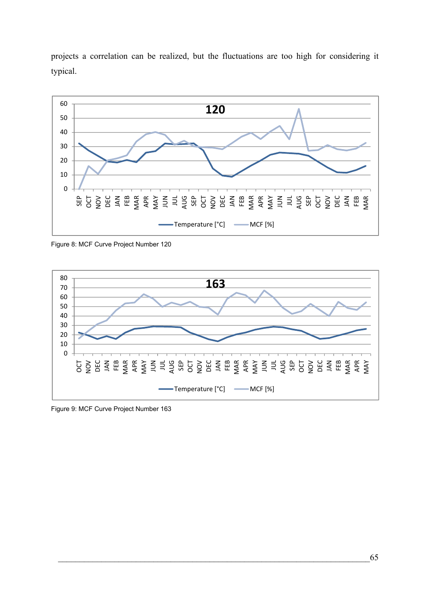projects a correlation can be realized, but the fluctuations are too high for considering it typical.



<span id="page-78-0"></span>Figure 8: MCF Curve Project Number 120



Figure 9: MCF Curve Project Number 163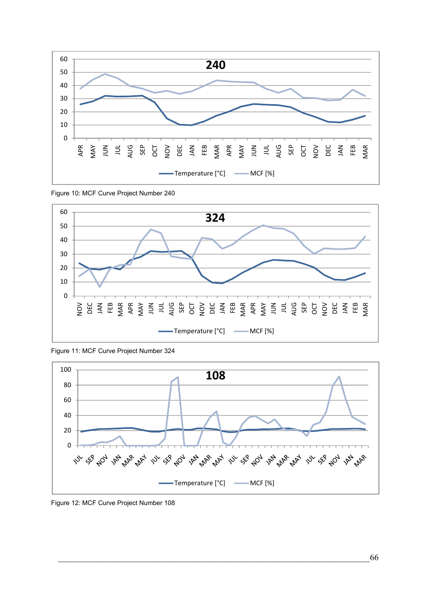

Figure 10: MCF Curve Project Number 240



<span id="page-79-0"></span>Figure 11: MCF Curve Project Number 324



<span id="page-79-1"></span>Figure 12: MCF Curve Project Number 108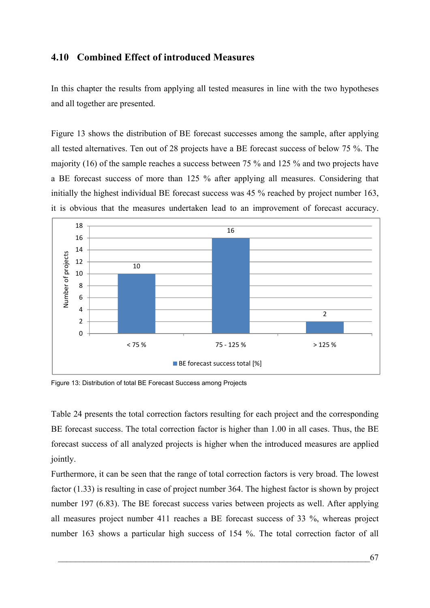### <span id="page-80-0"></span>**4.10 Combined Effect of introduced Measures**

In this chapter the results from applying all tested measures in line with the two hypotheses and all together are presented.

[Figure 13](#page-80-1) shows the distribution of BE forecast successes among the sample, after applying all tested alternatives. Ten out of 28 projects have a BE forecast success of below 75 %. The majority (16) of the sample reaches a success between 75 % and 125 % and two projects have a BE forecast success of more than 125 % after applying all measures. Considering that initially the highest individual BE forecast success was 45 % reached by project number 163, it is obvious that the measures undertaken lead to an improvement of forecast accuracy.



<span id="page-80-1"></span>Figure 13: Distribution of total BE Forecast Success among Projects

[Table 24](#page-81-0) presents the total correction factors resulting for each project and the corresponding BE forecast success. The total correction factor is higher than 1.00 in all cases. Thus, the BE forecast success of all analyzed projects is higher when the introduced measures are applied jointly.

Furthermore, it can be seen that the range of total correction factors is very broad. The lowest factor (1.33) is resulting in case of project number 364. The highest factor is shown by project number 197 (6.83). The BE forecast success varies between projects as well. After applying all measures project number 411 reaches a BE forecast success of 33 %, whereas project number 163 shows a particular high success of 154 %. The total correction factor of all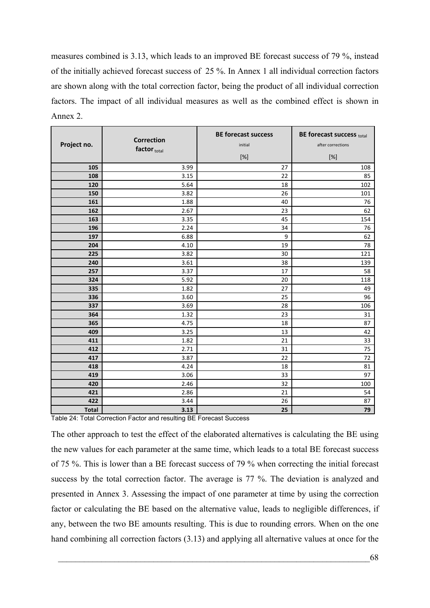measures combined is 3.13, which leads to an improved BE forecast success of 79 %, instead of the initially achieved forecast success of 25 %. In Annex 1 all individual correction factors are shown along with the total correction factor, being the product of all individual correction factors. The impact of all individual measures as well as the combined effect is shown in Annex 2.

| Project no.  | <b>Correction</b><br>factor $_{\text{total}}$ | <b>BE forecast success</b><br>initial<br>$[\%]$ | BE forecast success total<br>after corrections<br>$[\%]$ |
|--------------|-----------------------------------------------|-------------------------------------------------|----------------------------------------------------------|
| 105          | 3.99                                          | 27                                              | 108                                                      |
| 108          | 3.15                                          | 22                                              | 85                                                       |
| 120          | 5.64                                          | 18                                              | 102                                                      |
| 150          | 3.82                                          | 26                                              | 101                                                      |
| 161          | 1.88                                          | 40                                              | 76                                                       |
| 162          | 2.67                                          | 23                                              | 62                                                       |
| 163          | 3.35                                          | 45                                              | 154                                                      |
| 196          | 2.24                                          | 34                                              | 76                                                       |
| 197          | 6.88                                          | 9                                               | 62                                                       |
| 204          | 4.10                                          | 19                                              | 78                                                       |
| 225          | 3.82                                          | 30                                              | 121                                                      |
| 240          | 3.61                                          | 38                                              | 139                                                      |
| 257          | 3.37                                          | 17                                              | 58                                                       |
| 324          | 5.92                                          | 20                                              | 118                                                      |
| 335          | 1.82                                          | 27                                              | 49                                                       |
| 336          | 3.60                                          | 25                                              | 96                                                       |
| 337          | 3.69                                          | 28                                              | 106                                                      |
| 364          | 1.32                                          | 23                                              | 31                                                       |
| 365          | 4.75                                          | 18                                              | 87                                                       |
| 409          | 3.25                                          | 13                                              | 42                                                       |
| 411          | 1.82                                          | 21                                              | 33                                                       |
| 412          | 2.71                                          | 31                                              | 75                                                       |
| 417          | 3.87                                          | 22                                              | 72                                                       |
| 418          | 4.24                                          | 18                                              | 81                                                       |
| 419          | 3.06                                          | 33                                              | 97                                                       |
| 420          | 2.46                                          | 32                                              | 100                                                      |
| 421          | 2.86                                          | 21                                              | 54                                                       |
| 422          | 3.44                                          | 26                                              | 87                                                       |
| <b>Total</b> | 3.13                                          | 25                                              | 79                                                       |

<span id="page-81-0"></span>Table 24: Total Correction Factor and resulting BE Forecast Success

The other approach to test the effect of the elaborated alternatives is calculating the BE using the new values for each parameter at the same time, which leads to a total BE forecast success of 75 %. This is lower than a BE forecast success of 79 % when correcting the initial forecast success by the total correction factor. The average is 77 %. The deviation is analyzed and presented in Annex 3. Assessing the impact of one parameter at time by using the correction factor or calculating the BE based on the alternative value, leads to negligible differences, if any, between the two BE amounts resulting. This is due to rounding errors. When on the one hand combining all correction factors (3.13) and applying all alternative values at once for the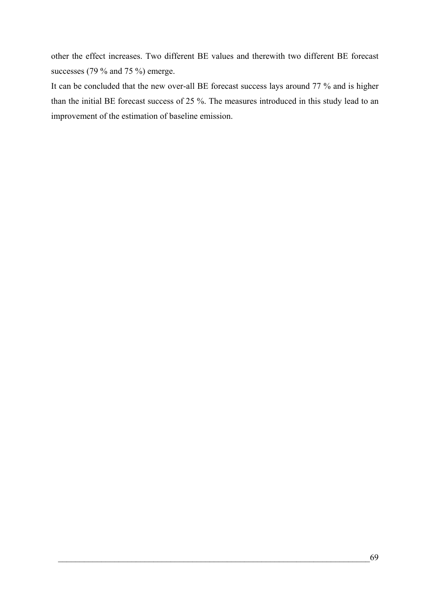other the effect increases. Two different BE values and therewith two different BE forecast successes (79 % and 75 %) emerge.

It can be concluded that the new over-all BE forecast success lays around 77 % and is higher than the initial BE forecast success of 25 %. The measures introduced in this study lead to an improvement of the estimation of baseline emission.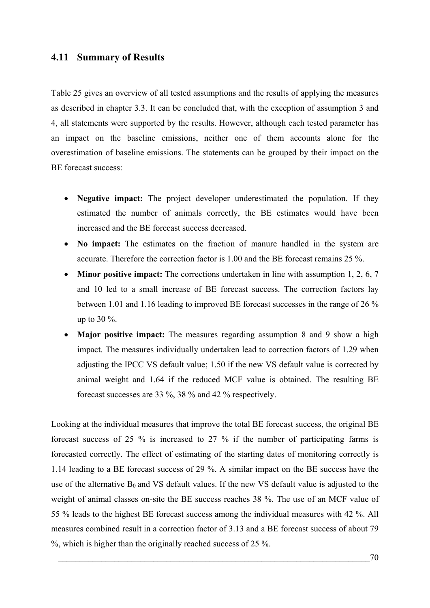#### **4.11 Summary of Results**

[Table 25](#page-84-0) gives an overview of all tested assumptions and the results of applying the measures as described in chapter [3.3](#page-48-0). It can be concluded that, with the exception of assumption 3 and 4, all statements were supported by the results. However, although each tested parameter has an impact on the baseline emissions, neither one of them accounts alone for the overestimation of baseline emissions. The statements can be grouped by their impact on the BE forecast success:

- **Negative impact:** The project developer underestimated the population. If they estimated the number of animals correctly, the BE estimates would have been increased and the BE forecast success decreased.
- **No impact:** The estimates on the fraction of manure handled in the system are accurate. Therefore the correction factor is 1.00 and the BE forecast remains 25 %.
- **Minor positive impact:** The corrections undertaken in line with assumption 1, 2, 6, 7 and 10 led to a small increase of BE forecast success. The correction factors lay between 1.01 and 1.16 leading to improved BE forecast successes in the range of 26 % up to 30 %.
- **Major positive impact:** The measures regarding assumption 8 and 9 show a high impact. The measures individually undertaken lead to correction factors of 1.29 when adjusting the IPCC VS default value; 1.50 if the new VS default value is corrected by animal weight and 1.64 if the reduced MCF value is obtained. The resulting BE forecast successes are 33 %, 38 % and 42 % respectively.

Looking at the individual measures that improve the total BE forecast success, the original BE forecast success of 25 % is increased to 27 % if the number of participating farms is forecasted correctly. The effect of estimating of the starting dates of monitoring correctly is 1.14 leading to a BE forecast success of 29 %. A similar impact on the BE success have the use of the alternative  $B_0$  and VS default values. If the new VS default value is adjusted to the weight of animal classes on-site the BE success reaches 38 %. The use of an MCF value of 55 % leads to the highest BE forecast success among the individual measures with 42 %. All measures combined result in a correction factor of 3.13 and a BE forecast success of about 79 %, which is higher than the originally reached success of 25 %.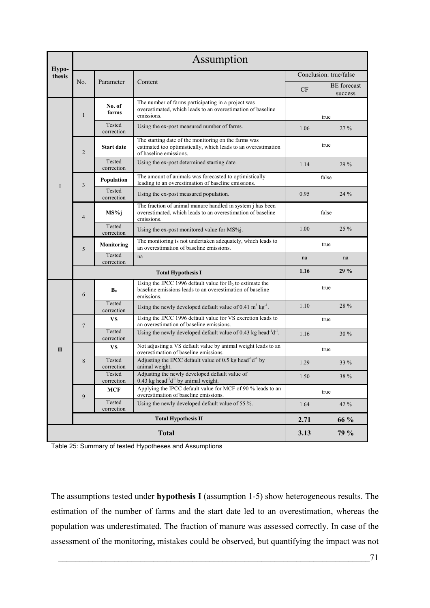| Hypo-        | Assumption     |                      |                                                                                                                                                  |              |                               |  |  |  |  |
|--------------|----------------|----------------------|--------------------------------------------------------------------------------------------------------------------------------------------------|--------------|-------------------------------|--|--|--|--|
| thesis       |                |                      |                                                                                                                                                  |              | Conclusion: true/false        |  |  |  |  |
|              | No.            | Parameter            | Content                                                                                                                                          | <b>CF</b>    | <b>BE</b> forecast<br>success |  |  |  |  |
|              | $\mathbf{1}$   | No. of<br>farms      | The number of farms participating in a project was<br>overestimated, which leads to an overestimation of baseline<br>emissions.                  | true         |                               |  |  |  |  |
|              |                | Tested<br>correction | Using the ex-post measured number of farms.                                                                                                      | 1.06         | 27 %                          |  |  |  |  |
|              | $\overline{2}$ | <b>Start date</b>    | The starting date of the monitoring on the farms was<br>estimated too optimistically, which leads to an overestimation<br>of baseline emissions. | true         |                               |  |  |  |  |
|              |                | Tested<br>correction | Using the ex-post determined starting date.                                                                                                      | 1.14         | 29 %                          |  |  |  |  |
| I            | 3              | Population           | The amount of animals was forecasted to optimistically<br>leading to an overestimation of baseline emissions.                                    |              | false                         |  |  |  |  |
|              |                | Tested<br>correction | Using the ex-post measured population.                                                                                                           | 0.95         | 24 %                          |  |  |  |  |
|              | $\overline{4}$ | MS%j                 | The fraction of animal manure handled in system <i>i</i> has been<br>overestimated, which leads to an overestimation of baseline<br>emissions.   | false        |                               |  |  |  |  |
|              |                | Tested<br>correction | Using the ex-post monitored value for MS%j.                                                                                                      | 25 %<br>1.00 |                               |  |  |  |  |
|              | 5              | Monitoring           | The monitoring is not undertaken adequately, which leads to<br>an overestimation of baseline emissions.                                          |              | true                          |  |  |  |  |
|              |                | Tested<br>correction | na                                                                                                                                               | na           | na                            |  |  |  |  |
|              |                |                      | 1.16                                                                                                                                             | 29%          |                               |  |  |  |  |
|              | 6              | $B_0$                | Using the IPCC 1996 default value for $B_0$ to estimate the<br>baseline emissions leads to an overestimation of baseline<br>emissions.           | true         |                               |  |  |  |  |
|              |                | Tested<br>correction | Using the newly developed default value of 0.41 $m^3$ kg <sup>-1</sup> .                                                                         | 1.10         | 28 %                          |  |  |  |  |
|              | $\overline{7}$ | VS                   | Using the IPCC 1996 default value for VS excretion leads to<br>an overestimation of baseline emissions.                                          | true         |                               |  |  |  |  |
|              |                | Tested<br>correction | Using the newly developed default value of 0.43 kg head <sup>-1</sup> d <sup>-1</sup> .                                                          | 1.16         | 30 %                          |  |  |  |  |
| $\mathbf{I}$ |                | VS.                  | Not adjusting a VS default value by animal weight leads to an<br>overestimation of baseline emissions.                                           | true         |                               |  |  |  |  |
|              | 8              | Tested<br>correction | Adjusting the IPCC default value of 0.5 kg head <sup>-1</sup> d <sup>-1</sup> by<br>animal weight.                                               | 1.29         | 33 %                          |  |  |  |  |
|              |                | Tested<br>correction | Adjusting the newly developed default value of<br>$0.43$ kg head <sup>-1</sup> d <sup>-1</sup> by animal weight.                                 | 1.50<br>38 % |                               |  |  |  |  |
|              | 9              | <b>MCF</b>           | Applying the IPCC default value for MCF of 90 % leads to an<br>overestimation of baseline emissions.                                             | true         |                               |  |  |  |  |
|              |                | Tested<br>correction | Using the newly developed default value of 55 %.                                                                                                 | 1.64         | 42 %                          |  |  |  |  |
|              |                | 2.71                 | 66 %                                                                                                                                             |              |                               |  |  |  |  |
|              |                |                      | 3.13                                                                                                                                             | 79 %         |                               |  |  |  |  |

<span id="page-84-0"></span>Table 25: Summary of tested Hypotheses and Assumptions

The assumptions tested under **hypothesis I** (assumption 1-5) show heterogeneous results. The estimation of the number of farms and the start date led to an overestimation, whereas the population was underestimated. The fraction of manure was assessed correctly. In case of the assessment of the monitoring**,** mistakes could be observed, but quantifying the impact was not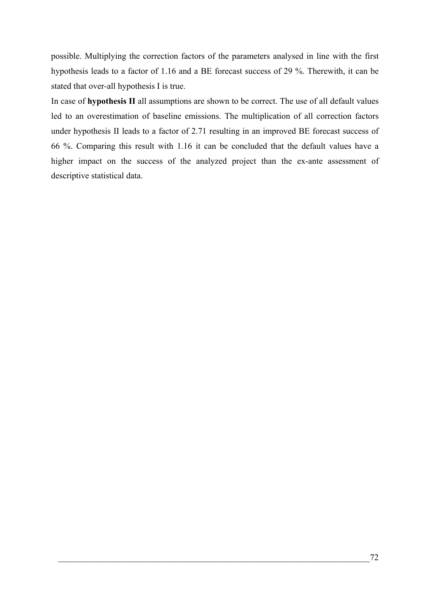possible. Multiplying the correction factors of the parameters analysed in line with the first hypothesis leads to a factor of 1.16 and a BE forecast success of 29 %. Therewith, it can be stated that over-all hypothesis I is true.

In case of **hypothesis II** all assumptions are shown to be correct. The use of all default values led to an overestimation of baseline emissions. The multiplication of all correction factors under hypothesis II leads to a factor of 2.71 resulting in an improved BE forecast success of 66 %. Comparing this result with 1.16 it can be concluded that the default values have a higher impact on the success of the analyzed project than the ex-ante assessment of descriptive statistical data.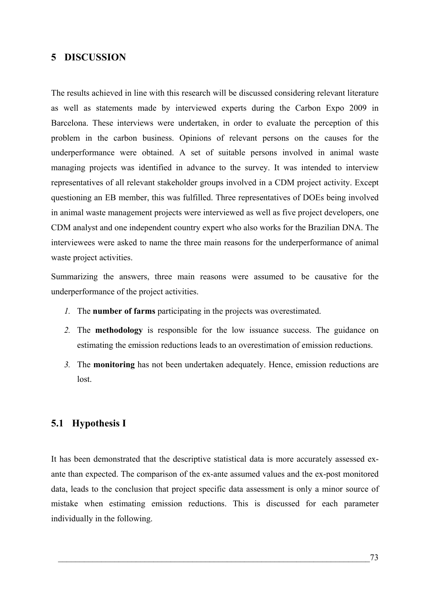## **5 DISCUSSION**

The results achieved in line with this research will be discussed considering relevant literature as well as statements made by interviewed experts during the Carbon Expo 2009 in Barcelona. These interviews were undertaken, in order to evaluate the perception of this problem in the carbon business. Opinions of relevant persons on the causes for the underperformance were obtained. A set of suitable persons involved in animal waste managing projects was identified in advance to the survey. It was intended to interview representatives of all relevant stakeholder groups involved in a CDM project activity. Except questioning an EB member, this was fulfilled. Three representatives of DOEs being involved in animal waste management projects were interviewed as well as five project developers, one CDM analyst and one independent country expert who also works for the Brazilian DNA. The interviewees were asked to name the three main reasons for the underperformance of animal waste project activities.

Summarizing the answers, three main reasons were assumed to be causative for the underperformance of the project activities.

- *1.* The **number of farms** participating in the projects was overestimated.
- *2.* The **methodology** is responsible for the low issuance success. The guidance on estimating the emission reductions leads to an overestimation of emission reductions.
- *3.* The **monitoring** has not been undertaken adequately. Hence, emission reductions are lost.

### **5.1 Hypothesis I**

It has been demonstrated that the descriptive statistical data is more accurately assessed exante than expected. The comparison of the ex-ante assumed values and the ex-post monitored data, leads to the conclusion that project specific data assessment is only a minor source of mistake when estimating emission reductions. This is discussed for each parameter individually in the following.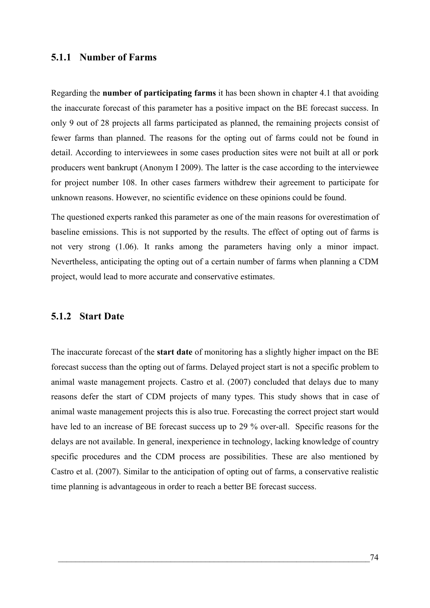### **5.1.1 Number of Farms**

Regarding the **number of participating farms** it has been shown in chapter [4.1](#page-60-0) that avoiding the inaccurate forecast of this parameter has a positive impact on the BE forecast success. In only 9 out of 28 projects all farms participated as planned, the remaining projects consist of fewer farms than planned. The reasons for the opting out of farms could not be found in detail. According to interviewees in some cases production sites were not built at all or pork producers went bankrupt (Anonym I 2009). The latter is the case according to the interviewee for project number 108. In other cases farmers withdrew their agreement to participate for unknown reasons. However, no scientific evidence on these opinions could be found.

The questioned experts ranked this parameter as one of the main reasons for overestimation of baseline emissions. This is not supported by the results. The effect of opting out of farms is not very strong (1.06). It ranks among the parameters having only a minor impact. Nevertheless, anticipating the opting out of a certain number of farms when planning a CDM project, would lead to more accurate and conservative estimates.

#### **5.1.2 Start Date**

The inaccurate forecast of the **start date** of monitoring has a slightly higher impact on the BE forecast success than the opting out of farms. Delayed project start is not a specific problem to animal waste management projects. Castro et al. (2007) concluded that delays due to many reasons defer the start of CDM projects of many types. This study shows that in case of animal waste management projects this is also true. Forecasting the correct project start would have led to an increase of BE forecast success up to 29 % over-all. Specific reasons for the delays are not available. In general, inexperience in technology, lacking knowledge of country specific procedures and the CDM process are possibilities. These are also mentioned by Castro et al. (2007). Similar to the anticipation of opting out of farms, a conservative realistic time planning is advantageous in order to reach a better BE forecast success.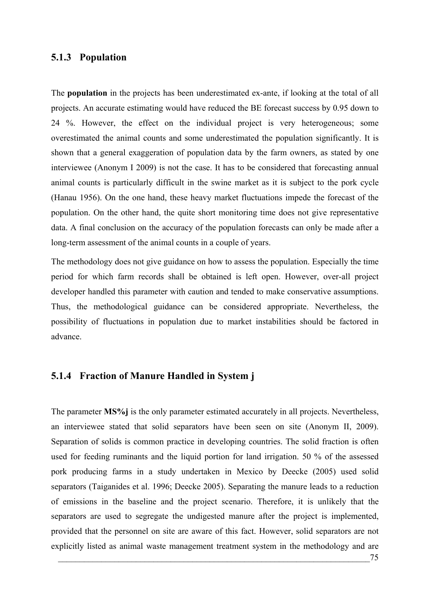#### **5.1.3 Population**

The **population** in the projects has been underestimated ex-ante, if looking at the total of all projects. An accurate estimating would have reduced the BE forecast success by 0.95 down to 24 %. However, the effect on the individual project is very heterogeneous; some overestimated the animal counts and some underestimated the population significantly. It is shown that a general exaggeration of population data by the farm owners, as stated by one interviewee (Anonym I 2009) is not the case. It has to be considered that forecasting annual animal counts is particularly difficult in the swine market as it is subject to the pork cycle (Hanau 1956). On the one hand, these heavy market fluctuations impede the forecast of the population. On the other hand, the quite short monitoring time does not give representative data. A final conclusion on the accuracy of the population forecasts can only be made after a long-term assessment of the animal counts in a couple of years.

The methodology does not give guidance on how to assess the population. Especially the time period for which farm records shall be obtained is left open. However, over-all project developer handled this parameter with caution and tended to make conservative assumptions. Thus, the methodological guidance can be considered appropriate. Nevertheless, the possibility of fluctuations in population due to market instabilities should be factored in advance.

## **5.1.4 Fraction of Manure Handled in System j**

The parameter **MS%j** is the only parameter estimated accurately in all projects. Nevertheless, an interviewee stated that solid separators have been seen on site (Anonym II, 2009). Separation of solids is common practice in developing countries. The solid fraction is often used for feeding ruminants and the liquid portion for land irrigation. 50 % of the assessed pork producing farms in a study undertaken in Mexico by Deecke (2005) used solid separators (Taiganides et al. 1996; Deecke 2005). Separating the manure leads to a reduction of emissions in the baseline and the project scenario. Therefore, it is unlikely that the separators are used to segregate the undigested manure after the project is implemented, provided that the personnel on site are aware of this fact. However, solid separators are not explicitly listed as animal waste management treatment system in the methodology and are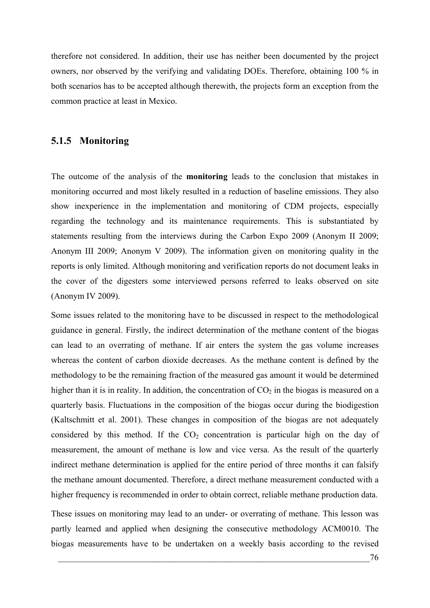therefore not considered. In addition, their use has neither been documented by the project owners, nor observed by the verifying and validating DOEs. Therefore, obtaining 100 % in both scenarios has to be accepted although therewith, the projects form an exception from the common practice at least in Mexico.

### **5.1.5 Monitoring**

The outcome of the analysis of the **monitoring** leads to the conclusion that mistakes in monitoring occurred and most likely resulted in a reduction of baseline emissions. They also show inexperience in the implementation and monitoring of CDM projects, especially regarding the technology and its maintenance requirements. This is substantiated by statements resulting from the interviews during the Carbon Expo 2009 (Anonym II 2009; Anonym III 2009; Anonym V 2009). The information given on monitoring quality in the reports is only limited. Although monitoring and verification reports do not document leaks in the cover of the digesters some interviewed persons referred to leaks observed on site (Anonym IV 2009).

Some issues related to the monitoring have to be discussed in respect to the methodological guidance in general. Firstly, the indirect determination of the methane content of the biogas can lead to an overrating of methane. If air enters the system the gas volume increases whereas the content of carbon dioxide decreases. As the methane content is defined by the methodology to be the remaining fraction of the measured gas amount it would be determined higher than it is in reality. In addition, the concentration of  $CO<sub>2</sub>$  in the biogas is measured on a quarterly basis. Fluctuations in the composition of the biogas occur during the biodigestion (Kaltschmitt et al. 2001). These changes in composition of the biogas are not adequately considered by this method. If the  $CO<sub>2</sub>$  concentration is particular high on the day of measurement, the amount of methane is low and vice versa. As the result of the quarterly indirect methane determination is applied for the entire period of three months it can falsify the methane amount documented. Therefore, a direct methane measurement conducted with a higher frequency is recommended in order to obtain correct, reliable methane production data.

These issues on monitoring may lead to an under- or overrating of methane. This lesson was partly learned and applied when designing the consecutive methodology ACM0010. The biogas measurements have to be undertaken on a weekly basis according to the revised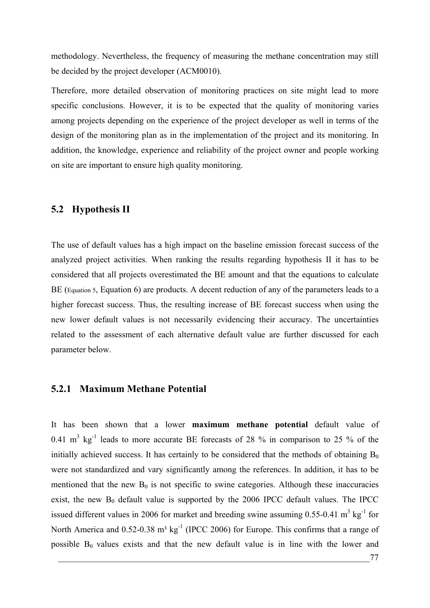methodology. Nevertheless, the frequency of measuring the methane concentration may still be decided by the project developer (ACM0010).

Therefore, more detailed observation of monitoring practices on site might lead to more specific conclusions. However, it is to be expected that the quality of monitoring varies among projects depending on the experience of the project developer as well in terms of the design of the monitoring plan as in the implementation of the project and its monitoring. In addition, the knowledge, experience and reliability of the project owner and people working on site are important to ensure high quality monitoring.

#### **5.2 Hypothesis II**

The use of default values has a high impact on the baseline emission forecast success of the analyzed project activities. When ranking the results regarding hypothesis II it has to be considered that all projects overestimated the BE amount and that the equations to calculate BE [\(Equation 5,](#page-22-0) [Equation 6](#page-23-0)) are products. A decent reduction of any of the parameters leads to a higher forecast success. Thus, the resulting increase of BE forecast success when using the new lower default values is not necessarily evidencing their accuracy. The uncertainties related to the assessment of each alternative default value are further discussed for each parameter below.

#### <span id="page-90-0"></span>**5.2.1 Maximum Methane Potential**

It has been shown that a lower **maximum methane potential** default value of 0.41  $m^3$  kg<sup>-1</sup> leads to more accurate BE forecasts of 28 % in comparison to 25 % of the initially achieved success. It has certainly to be considered that the methods of obtaining  $B_0$ were not standardized and vary significantly among the references. In addition, it has to be mentioned that the new  $B_0$  is not specific to swine categories. Although these inaccuracies exist, the new  $B_0$  default value is supported by the 2006 IPCC default values. The IPCC issued different values in 2006 for market and breeding swine assuming  $0.55$ -0.41 m<sup>3</sup> kg<sup>-1</sup> for North America and  $0.52$ -0.38 m<sup>3</sup> kg<sup>-1</sup> (IPCC 2006) for Europe. This confirms that a range of possible  $B_0$  values exists and that the new default value is in line with the lower and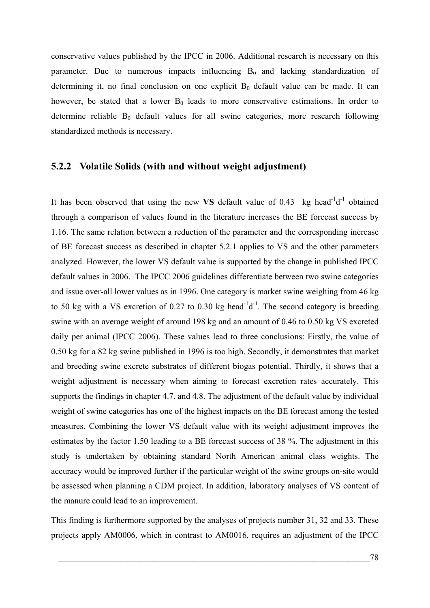conservative values published by the IPCC in 2006. Additional research is necessary on this parameter. Due to numerous impacts influencing  $B_0$  and lacking standardization of determining it, no final conclusion on one explicit  $B_0$  default value can be made. It can however, be stated that a lower  $B_0$  leads to more conservative estimations. In order to determine reliable  $B_0$  default values for all swine categories, more research following standardized methods is necessary.

#### **5.2.2 Volatile Solids (with and without weight adjustment)**

It has been observed that using the new VS default value of 0.43 kg head<sup>-1</sup>d<sup>-1</sup> obtained through a comparison of values found in the literature increases the BE forecast success by 1.16. The same relation between a reduction of the parameter and the corresponding increase of BE forecast success as described in chapter [5.2.1](#page-90-0) applies to VS and the other parameters analyzed. However, the lower VS default value is supported by the change in published IPCC default values in 2006. The IPCC 2006 guidelines differentiate between two swine categories and issue over-all lower values as in 1996. One category is market swine weighing from 46 kg to 50 kg with a VS excretion of 0.27 to 0.30 kg head<sup>-1</sup>d<sup>-1</sup>. The second category is breeding swine with an average weight of around 198 kg and an amount of 0.46 to 0.50 kg VS excreted daily per animal (IPCC 2006). These values lead to three conclusions: Firstly, the value of 0.50 kg for a 82 kg swine published in 1996 is too high. Secondly, it demonstrates that market and breeding swine excrete substrates of different biogas potential. Thirdly, it shows that a weight adjustment is necessary when aiming to forecast excretion rates accurately. This supports the findings in chapter [4.7](#page-70-0). and [4.8.](#page-71-0) The adjustment of the default value by individual weight of swine categories has one of the highest impacts on the BE forecast among the tested measures. Combining the lower VS default value with its weight adjustment improves the estimates by the factor 1.50 leading to a BE forecast success of 38 %. The adjustment in this study is undertaken by obtaining standard North American animal class weights. The accuracy would be improved further if the particular weight of the swine groups on-site would be assessed when planning a CDM project. In addition, laboratory analyses of VS content of the manure could lead to an improvement.

This finding is furthermore supported by the analyses of projects number 31, 32 and 33. These projects apply AM0006, which in contrast to AM0016, requires an adjustment of the IPCC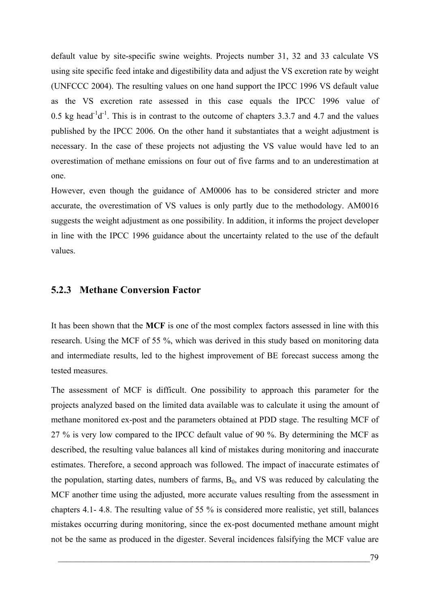default value by site-specific swine weights. Projects number 31, 32 and 33 calculate VS using site specific feed intake and digestibility data and adjust the VS excretion rate by weight (UNFCCC 2004). The resulting values on one hand support the IPCC 1996 VS default value as the VS excretion rate assessed in this case equals the IPCC 1996 value of 0.5 kg head<sup>-1</sup>d<sup>-1</sup>. This is in contrast to the outcome of chapters [3.3.7](#page-53-0) and [4.7](#page-70-0) and the values published by the IPCC 2006. On the other hand it substantiates that a weight adjustment is necessary. In the case of these projects not adjusting the VS value would have led to an overestimation of methane emissions on four out of five farms and to an underestimation at one.

However, even though the guidance of AM0006 has to be considered stricter and more accurate, the overestimation of VS values is only partly due to the methodology. AM0016 suggests the weight adjustment as one possibility. In addition, it informs the project developer in line with the IPCC 1996 guidance about the uncertainty related to the use of the default values.

#### **5.2.3 Methane Conversion Factor**

It has been shown that the **MCF** is one of the most complex factors assessed in line with this research. Using the MCF of 55 %, which was derived in this study based on monitoring data and intermediate results, led to the highest improvement of BE forecast success among the tested measures.

The assessment of MCF is difficult. One possibility to approach this parameter for the projects analyzed based on the limited data available was to calculate it using the amount of methane monitored ex-post and the parameters obtained at PDD stage. The resulting MCF of 27 % is very low compared to the IPCC default value of 90 %. By determining the MCF as described, the resulting value balances all kind of mistakes during monitoring and inaccurate estimates. Therefore, a second approach was followed. The impact of inaccurate estimates of the population, starting dates, numbers of farms,  $B_0$ , and VS was reduced by calculating the MCF another time using the adjusted, more accurate values resulting from the assessment in chapters [4.1-](#page-60-0) [4.8](#page-71-0). The resulting value of 55 % is considered more realistic, yet still, balances mistakes occurring during monitoring, since the ex-post documented methane amount might not be the same as produced in the digester. Several incidences falsifying the MCF value are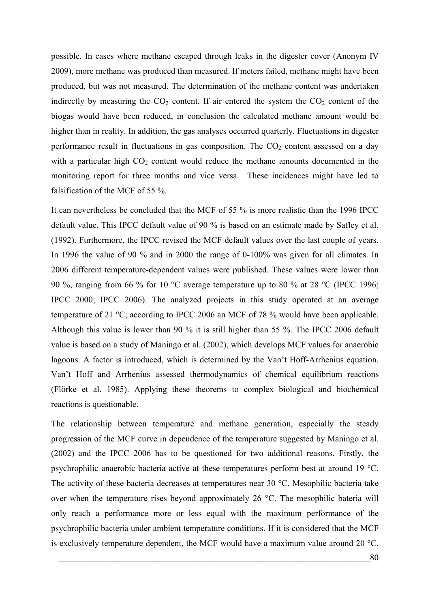possible. In cases where methane escaped through leaks in the digester cover (Anonym IV 2009), more methane was produced than measured. If meters failed, methane might have been produced, but was not measured. The determination of the methane content was undertaken indirectly by measuring the  $CO<sub>2</sub>$  content. If air entered the system the  $CO<sub>2</sub>$  content of the biogas would have been reduced, in conclusion the calculated methane amount would be higher than in reality. In addition, the gas analyses occurred quarterly. Fluctuations in digester performance result in fluctuations in gas composition. The  $CO<sub>2</sub>$  content assessed on a day with a particular high  $CO<sub>2</sub>$  content would reduce the methane amounts documented in the monitoring report for three months and vice versa. These incidences might have led to falsification of the MCF of 55 %.

It can nevertheless be concluded that the MCF of 55 % is more realistic than the 1996 IPCC default value. This IPCC default value of 90 % is based on an estimate made by Safley et al. (1992). Furthermore, the IPCC revised the MCF default values over the last couple of years. In 1996 the value of 90 % and in 2000 the range of 0-100% was given for all climates. In 2006 different temperature-dependent values were published. These values were lower than 90 %, ranging from 66 % for 10 °C average temperature up to 80 % at 28 °C (IPCC 1996; IPCC 2000; IPCC 2006). The analyzed projects in this study operated at an average temperature of 21 °C; according to IPCC 2006 an MCF of 78 % would have been applicable. Although this value is lower than 90 % it is still higher than 55 %. The IPCC 2006 default value is based on a study of Maningo et al. (2002), which develops MCF values for anaerobic lagoons. A factor is introduced, which is determined by the Van't Hoff-Arrhenius equation. Van't Hoff and Arrhenius assessed thermodynamics of chemical equilibrium reactions (Flörke et al. 1985). Applying these theorems to complex biological and biochemical reactions is questionable.

The relationship between temperature and methane generation, especially the steady progression of the MCF curve in dependence of the temperature suggested by Maningo et al. (2002) and the IPCC 2006 has to be questioned for two additional reasons. Firstly, the psychrophilic anaerobic bacteria active at these temperatures perform best at around 19 °C. The activity of these bacteria decreases at temperatures near 30 °C. Mesophilic bacteria take over when the temperature rises beyond approximately 26 °C. The mesophilic bateria will only reach a performance more or less equal with the maximum performance of the psychrophilic bacteria under ambient temperature conditions. If it is considered that the MCF is exclusively temperature dependent, the MCF would have a maximum value around 20 °C,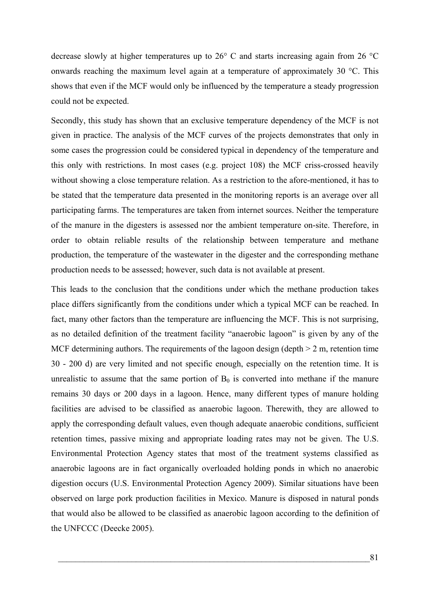decrease slowly at higher temperatures up to 26° C and starts increasing again from 26 °C onwards reaching the maximum level again at a temperature of approximately 30 °C. This shows that even if the MCF would only be influenced by the temperature a steady progression could not be expected.

Secondly, this study has shown that an exclusive temperature dependency of the MCF is not given in practice. The analysis of the MCF curves of the projects demonstrates that only in some cases the progression could be considered typical in dependency of the temperature and this only with restrictions. In most cases (e.g. project 108) the MCF criss-crossed heavily without showing a close temperature relation. As a restriction to the afore-mentioned, it has to be stated that the temperature data presented in the monitoring reports is an average over all participating farms. The temperatures are taken from internet sources. Neither the temperature of the manure in the digesters is assessed nor the ambient temperature on-site. Therefore, in order to obtain reliable results of the relationship between temperature and methane production, the temperature of the wastewater in the digester and the corresponding methane production needs to be assessed; however, such data is not available at present.

This leads to the conclusion that the conditions under which the methane production takes place differs significantly from the conditions under which a typical MCF can be reached. In fact, many other factors than the temperature are influencing the MCF. This is not surprising, as no detailed definition of the treatment facility "anaerobic lagoon" is given by any of the MCF determining authors. The requirements of the lagoon design (depth  $> 2$  m, retention time 30 - 200 d) are very limited and not specific enough, especially on the retention time. It is unrealistic to assume that the same portion of  $B_0$  is converted into methane if the manure remains 30 days or 200 days in a lagoon. Hence, many different types of manure holding facilities are advised to be classified as anaerobic lagoon. Therewith, they are allowed to apply the corresponding default values, even though adequate anaerobic conditions, sufficient retention times, passive mixing and appropriate loading rates may not be given. The U.S. Environmental Protection Agency states that most of the treatment systems classified as anaerobic lagoons are in fact organically overloaded holding ponds in which no anaerobic digestion occurs (U.S. Environmental Protection Agency 2009). Similar situations have been observed on large pork production facilities in Mexico. Manure is disposed in natural ponds that would also be allowed to be classified as anaerobic lagoon according to the definition of the UNFCCC (Deecke 2005).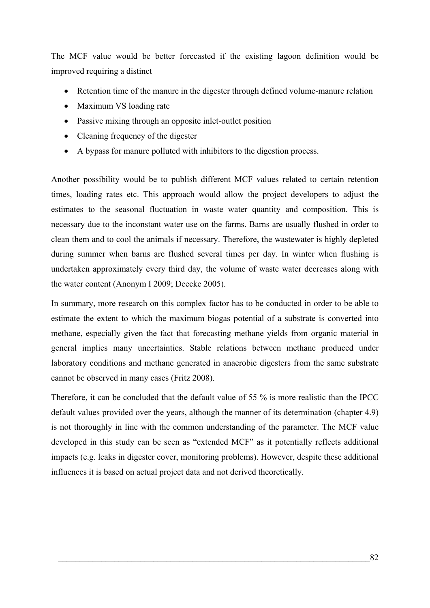The MCF value would be better forecasted if the existing lagoon definition would be improved requiring a distinct

- Retention time of the manure in the digester through defined volume-manure relation
- Maximum VS loading rate
- Passive mixing through an opposite inlet-outlet position
- Cleaning frequency of the digester
- A bypass for manure polluted with inhibitors to the digestion process.

Another possibility would be to publish different MCF values related to certain retention times, loading rates etc. This approach would allow the project developers to adjust the estimates to the seasonal fluctuation in waste water quantity and composition. This is necessary due to the inconstant water use on the farms. Barns are usually flushed in order to clean them and to cool the animals if necessary. Therefore, the wastewater is highly depleted during summer when barns are flushed several times per day. In winter when flushing is undertaken approximately every third day, the volume of waste water decreases along with the water content (Anonym I 2009; Deecke 2005).

In summary, more research on this complex factor has to be conducted in order to be able to estimate the extent to which the maximum biogas potential of a substrate is converted into methane, especially given the fact that forecasting methane yields from organic material in general implies many uncertainties. Stable relations between methane produced under laboratory conditions and methane generated in anaerobic digesters from the same substrate cannot be observed in many cases (Fritz 2008).

Therefore, it can be concluded that the default value of 55 % is more realistic than the IPCC default values provided over the years, although the manner of its determination (chapter [4.9](#page-74-1)) is not thoroughly in line with the common understanding of the parameter. The MCF value developed in this study can be seen as "extended MCF" as it potentially reflects additional impacts (e.g. leaks in digester cover, monitoring problems). However, despite these additional influences it is based on actual project data and not derived theoretically.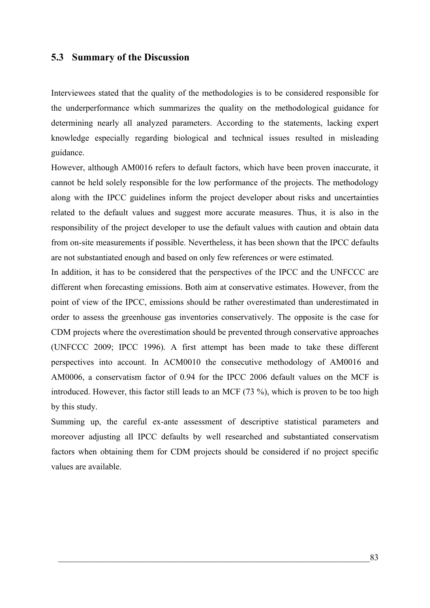#### **5.3 Summary of the Discussion**

Interviewees stated that the quality of the methodologies is to be considered responsible for the underperformance which summarizes the quality on the methodological guidance for determining nearly all analyzed parameters. According to the statements, lacking expert knowledge especially regarding biological and technical issues resulted in misleading guidance.

However, although AM0016 refers to default factors, which have been proven inaccurate, it cannot be held solely responsible for the low performance of the projects. The methodology along with the IPCC guidelines inform the project developer about risks and uncertainties related to the default values and suggest more accurate measures. Thus, it is also in the responsibility of the project developer to use the default values with caution and obtain data from on-site measurements if possible. Nevertheless, it has been shown that the IPCC defaults are not substantiated enough and based on only few references or were estimated.

In addition, it has to be considered that the perspectives of the IPCC and the UNFCCC are different when forecasting emissions. Both aim at conservative estimates. However, from the point of view of the IPCC, emissions should be rather overestimated than underestimated in order to assess the greenhouse gas inventories conservatively. The opposite is the case for CDM projects where the overestimation should be prevented through conservative approaches (UNFCCC 2009; IPCC 1996). A first attempt has been made to take these different perspectives into account. In ACM0010 the consecutive methodology of AM0016 and AM0006, a conservatism factor of 0.94 for the IPCC 2006 default values on the MCF is introduced. However, this factor still leads to an MCF (73 %), which is proven to be too high by this study.

Summing up, the careful ex-ante assessment of descriptive statistical parameters and moreover adjusting all IPCC defaults by well researched and substantiated conservatism factors when obtaining them for CDM projects should be considered if no project specific values are available.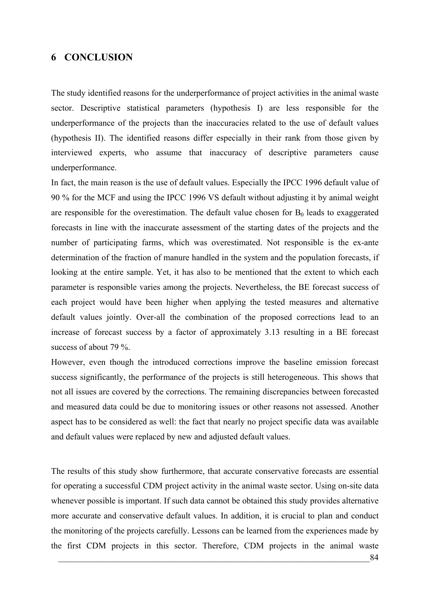## **6 CONCLUSION**

The study identified reasons for the underperformance of project activities in the animal waste sector. Descriptive statistical parameters (hypothesis I) are less responsible for the underperformance of the projects than the inaccuracies related to the use of default values (hypothesis II). The identified reasons differ especially in their rank from those given by interviewed experts, who assume that inaccuracy of descriptive parameters cause underperformance.

In fact, the main reason is the use of default values. Especially the IPCC 1996 default value of 90 % for the MCF and using the IPCC 1996 VS default without adjusting it by animal weight are responsible for the overestimation. The default value chosen for  $B_0$  leads to exaggerated forecasts in line with the inaccurate assessment of the starting dates of the projects and the number of participating farms, which was overestimated. Not responsible is the ex-ante determination of the fraction of manure handled in the system and the population forecasts, if looking at the entire sample. Yet, it has also to be mentioned that the extent to which each parameter is responsible varies among the projects. Nevertheless, the BE forecast success of each project would have been higher when applying the tested measures and alternative default values jointly. Over-all the combination of the proposed corrections lead to an increase of forecast success by a factor of approximately 3.13 resulting in a BE forecast success of about 79 %.

However, even though the introduced corrections improve the baseline emission forecast success significantly, the performance of the projects is still heterogeneous. This shows that not all issues are covered by the corrections. The remaining discrepancies between forecasted and measured data could be due to monitoring issues or other reasons not assessed. Another aspect has to be considered as well: the fact that nearly no project specific data was available and default values were replaced by new and adjusted default values.

The results of this study show furthermore, that accurate conservative forecasts are essential for operating a successful CDM project activity in the animal waste sector. Using on-site data whenever possible is important. If such data cannot be obtained this study provides alternative more accurate and conservative default values. In addition, it is crucial to plan and conduct the monitoring of the projects carefully. Lessons can be learned from the experiences made by the first CDM projects in this sector. Therefore, CDM projects in the animal waste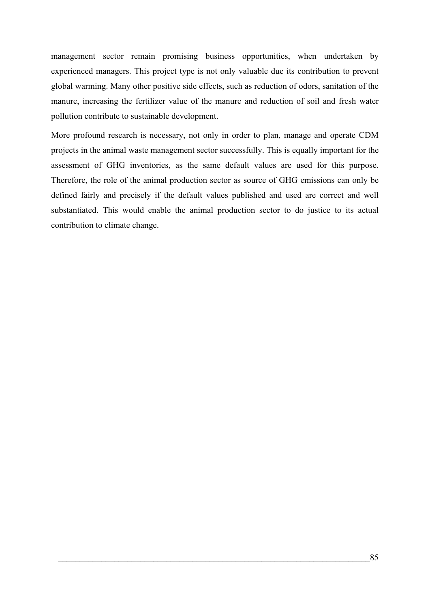management sector remain promising business opportunities, when undertaken by experienced managers. This project type is not only valuable due its contribution to prevent global warming. Many other positive side effects, such as reduction of odors, sanitation of the manure, increasing the fertilizer value of the manure and reduction of soil and fresh water pollution contribute to sustainable development.

More profound research is necessary, not only in order to plan, manage and operate CDM projects in the animal waste management sector successfully. This is equally important for the assessment of GHG inventories, as the same default values are used for this purpose. Therefore, the role of the animal production sector as source of GHG emissions can only be defined fairly and precisely if the default values published and used are correct and well substantiated. This would enable the animal production sector to do justice to its actual contribution to climate change.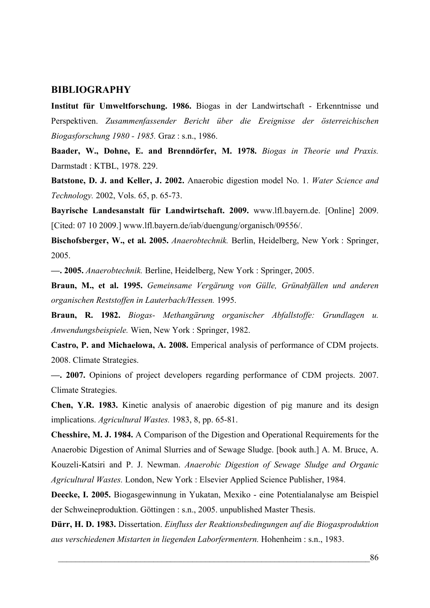#### **BIBLIOGRAPHY**

**Institut für Umweltforschung. 1986.** Biogas in der Landwirtschaft - Erkenntnisse und Perspektiven. *Zusammenfassender Bericht über die Ereignisse der österreichischen Biogasforschung 1980 - 1985.* Graz : s.n., 1986.

**Baader, W., Dohne, E. and Brenndörfer, M. 1978.** *Biogas in Theorie und Praxis.*  Darmstadt : KTBL, 1978. 229.

**Batstone, D. J. and Keller, J. 2002.** Anaerobic digestion model No. 1. *Water Science and Technology.* 2002, Vols. 65, p. 65-73.

**Bayrische Landesanstalt für Landwirtschaft. 2009.** www.lfl.bayern.de. [Online] 2009. [Cited: 07 10 2009.] www.lfl.bayern.de/iab/duengung/organisch/09556/.

**Bischofsberger, W., et al. 2005.** *Anaerobtechnik.* Berlin, Heidelberg, New York : Springer, 2005.

**—. 2005.** *Anaerobtechnik.* Berline, Heidelberg, New York : Springer, 2005.

**Braun, M., et al. 1995.** *Gemeinsame Vergärung von Gülle, Grünabfällen und anderen organischen Reststoffen in Lauterbach/Hessen.* 1995.

**Braun, R. 1982.** *Biogas- Methangärung organischer Abfallstoffe: Grundlagen u. Anwendungsbeispiele.* Wien, New York : Springer, 1982.

**Castro, P. and Michaelowa, A. 2008.** Emperical analysis of performance of CDM projects. 2008. Climate Strategies.

**—. 2007.** Opinions of project developers regarding performance of CDM projects. 2007. Climate Strategies.

**Chen, Y.R. 1983.** Kinetic analysis of anaerobic digestion of pig manure and its design implications. *Agricultural Wastes.* 1983, 8, pp. 65-81.

**Chesshire, M. J. 1984.** A Comparison of the Digestion and Operational Requirements for the Anaerobic Digestion of Animal Slurries and of Sewage Sludge. [book auth.] A. M. Bruce, A. Kouzeli-Katsiri and P. J. Newman. *Anaerobic Digestion of Sewage Sludge and Organic Agricultural Wastes.* London, New York : Elsevier Applied Science Publisher, 1984.

**Deecke, I. 2005.** Biogasgewinnung in Yukatan, Mexiko - eine Potentialanalyse am Beispiel der Schweineproduktion. Göttingen : s.n., 2005. unpublished Master Thesis.

**Dürr, H. D. 1983.** Dissertation. *Einfluss der Reaktionsbedingungen auf die Biogasproduktion aus verschiedenen Mistarten in liegenden Laborfermentern.* Hohenheim : s.n., 1983.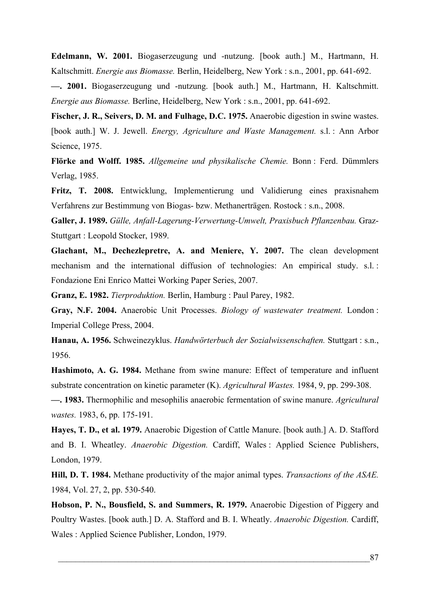**Edelmann, W. 2001.** Biogaserzeugung und -nutzung. [book auth.] M., Hartmann, H. Kaltschmitt. *Energie aus Biomasse.* Berlin, Heidelberg, New York : s.n., 2001, pp. 641-692.

**—. 2001.** Biogaserzeugung und -nutzung. [book auth.] M., Hartmann, H. Kaltschmitt. *Energie aus Biomasse.* Berline, Heidelberg, New York : s.n., 2001, pp. 641-692.

**Fischer, J. R., Seivers, D. M. and Fulhage, D.C. 1975.** Anaerobic digestion in swine wastes. [book auth.] W. J. Jewell. *Energy, Agriculture and Waste Management.* s.l. : Ann Arbor Science, 1975.

**Flörke and Wolff. 1985.** *Allgemeine und physikalische Chemie.* Bonn : Ferd. Dümmlers Verlag, 1985.

**Fritz, T. 2008.** Entwicklung, Implementierung und Validierung eines praxisnahem Verfahrens zur Bestimmung von Biogas- bzw. Methanerträgen. Rostock : s.n., 2008.

**Galler, J. 1989.** *Gülle, Anfall-Lagerung-Verwertung-Umwelt, Praxisbuch Pflanzenbau.* Graz-Stuttgart : Leopold Stocker, 1989.

**Glachant, M., Dechezlepretre, A. and Meniere, Y. 2007.** The clean development mechanism and the international diffusion of technologies: An empirical study. s.l. : Fondazione Eni Enrico Mattei Working Paper Series, 2007.

**Granz, E. 1982.** *Tierproduktion.* Berlin, Hamburg : Paul Parey, 1982.

**Gray, N.F. 2004.** Anaerobic Unit Processes. *Biology of wastewater treatment.* London : Imperial College Press, 2004.

**Hanau, A. 1956.** Schweinezyklus. *Handwörterbuch der Sozialwissenschaften.* Stuttgart : s.n., 1956.

**Hashimoto, A. G. 1984.** Methane from swine manure: Effect of temperature and influent substrate concentration on kinetic parameter (K). *Agricultural Wastes.* 1984, 9, pp. 299-308.

**—. 1983.** Thermophilic and mesophilis anaerobic fermentation of swine manure. *Agricultural wastes.* 1983, 6, pp. 175-191.

**Hayes, T. D., et al. 1979.** Anaerobic Digestion of Cattle Manure. [book auth.] A. D. Stafford and B. I. Wheatley. *Anaerobic Digestion.* Cardiff, Wales : Applied Science Publishers, London, 1979.

**Hill, D. T. 1984.** Methane productivity of the major animal types. *Transactions of the ASAE.*  1984, Vol. 27, 2, pp. 530-540.

**Hobson, P. N., Bousfield, S. and Summers, R. 1979.** Anaerobic Digestion of Piggery and Poultry Wastes. [book auth.] D. A. Stafford and B. I. Wheatly. *Anaerobic Digestion.* Cardiff, Wales : Applied Science Publisher, London, 1979.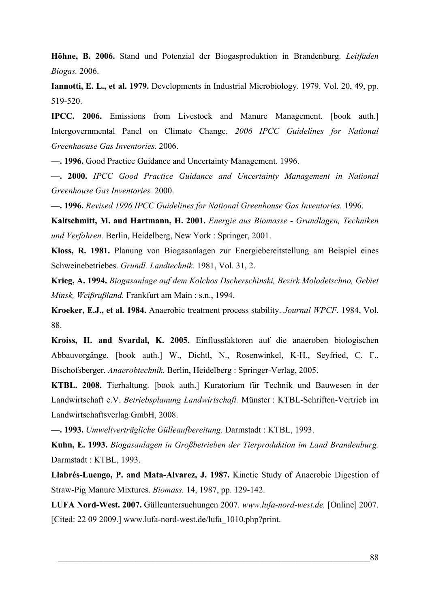**Höhne, B. 2006.** Stand und Potenzial der Biogasproduktion in Brandenburg. *Leitfaden Biogas.* 2006.

**Iannotti, E. L., et al. 1979.** Developments in Industrial Microbiology. 1979. Vol. 20, 49, pp. 519-520.

**IPCC. 2006.** Emissions from Livestock and Manure Management. [book auth.] Intergovernmental Panel on Climate Change. *2006 IPCC Guidelines for National Greenhaouse Gas Inventories.* 2006.

**—. 1996.** Good Practice Guidance and Uncertainty Management. 1996.

**—. 2000.** *IPCC Good Practice Guidance and Uncertainty Management in National Greenhouse Gas Inventories.* 2000.

**—. 1996.** *Revised 1996 IPCC Guidelines for National Greenhouse Gas Inventories.* 1996.

**Kaltschmitt, M. and Hartmann, H. 2001.** *Energie aus Biomasse - Grundlagen, Techniken und Verfahren.* Berlin, Heidelberg, New York : Springer, 2001.

**Kloss, R. 1981.** Planung von Biogasanlagen zur Energiebereitstellung am Beispiel eines Schweinebetriebes. *Grundl. Landtechnik.* 1981, Vol. 31, 2.

**Krieg, A. 1994.** *Biogasanlage auf dem Kolchos Dscherschinski, Bezirk Molodetschno, Gebiet Minsk, Weißrußland.* Frankfurt am Main : s.n., 1994.

**Kroeker, E.J., et al. 1984.** Anaerobic treatment process stability. *Journal WPCF.* 1984, Vol. 88.

**Kroiss, H. and Svardal, K. 2005.** Einflussfaktoren auf die anaeroben biologischen Abbauvorgänge. [book auth.] W., Dichtl, N., Rosenwinkel, K-H., Seyfried, C. F., Bischofsberger. *Anaerobtechnik.* Berlin, Heidelberg : Springer-Verlag, 2005.

**KTBL. 2008.** Tierhaltung. [book auth.] Kuratorium für Technik und Bauwesen in der Landwirtschaft e.V. *Betriebsplanung Landwirtschaft.* Münster : KTBL-Schriften-Vertrieb im Landwirtschaftsverlag GmbH, 2008.

**—. 1993.** *Umweltverträgliche Gülleaufbereitung.* Darmstadt : KTBL, 1993.

**Kuhn, E. 1993.** *Biogasanlagen in Großbetrieben der Tierproduktion im Land Brandenburg.*  Darmstadt : KTBL, 1993.

**Llabrés-Luengo, P. and Mata-Alvarez, J. 1987.** Kinetic Study of Anaerobic Digestion of Straw-Pig Manure Mixtures. *Biomass.* 14, 1987, pp. 129-142.

**LUFA Nord-West. 2007.** Gülleuntersuchungen 2007. *www.lufa-nord-west.de.* [Online] 2007. [Cited: 22 09 2009.] www.lufa-nord-west.de/lufa\_1010.php?print.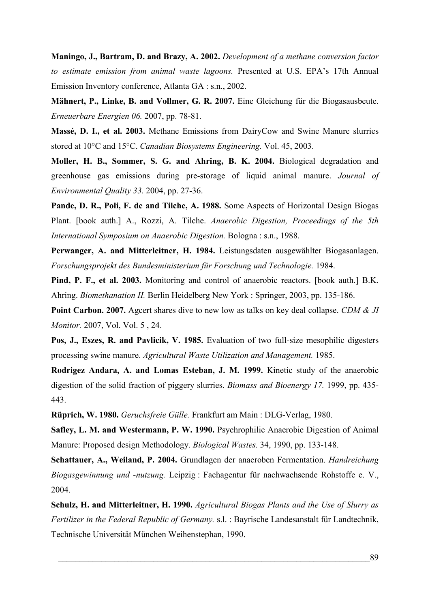**Maningo, J., Bartram, D. and Brazy, A. 2002.** *Development of a methane conversion factor to estimate emission from animal waste lagoons.* Presented at U.S. EPA's 17th Annual Emission Inventory conference, Atlanta GA : s.n., 2002.

**Mähnert, P., Linke, B. and Vollmer, G. R. 2007.** Eine Gleichung für die Biogasausbeute. *Erneuerbare Energien 06.* 2007, pp. 78-81.

**Massé, D. I., et al. 2003.** Methane Emissions from DairyCow and Swine Manure slurries stored at 10°C and 15°C. *Canadian Biosystems Engineering.* Vol. 45, 2003.

**Moller, H. B., Sommer, S. G. and Ahring, B. K. 2004.** Biological degradation and greenhouse gas emissions during pre-storage of liquid animal manure. *Journal of Environmental Quality 33.* 2004, pp. 27-36.

**Pande, D. R., Poli, F. de and Tilche, A. 1988.** Some Aspects of Horizontal Design Biogas Plant. [book auth.] A., Rozzi, A. Tilche. *Anaerobic Digestion, Proceedings of the 5th International Symposium on Anaerobic Digestion.* Bologna : s.n., 1988.

**Perwanger, A. and Mitterleitner, H. 1984.** Leistungsdaten ausgewählter Biogasanlagen. *Forschungsprojekt des Bundesministerium für Forschung und Technologie.* 1984.

**Pind, P. F., et al. 2003.** Monitoring and control of anaerobic reactors. [book auth.] B.K. Ahring. *Biomethanation II.* Berlin Heidelberg New York : Springer, 2003, pp. 135-186.

**Point Carbon. 2007.** Agcert shares dive to new low as talks on key deal collapse. *CDM & JI Monitor.* 2007, Vol. Vol. 5 , 24.

**Pos, J., Eszes, R. and Pavlicik, V. 1985.** Evaluation of two full-size mesophilic digesters processing swine manure. *Agricultural Waste Utilization and Management.* 1985.

**Rodrigez Andara, A. and Lomas Esteban, J. M. 1999.** Kinetic study of the anaerobic digestion of the solid fraction of piggery slurries. *Biomass and Bioenergy 17.* 1999, pp. 435- 443.

**Rüprich, W. 1980.** *Geruchsfreie Gülle.* Frankfurt am Main : DLG-Verlag, 1980.

**Safley, L. M. and Westermann, P. W. 1990.** Psychrophilic Anaerobic Digestion of Animal Manure: Proposed design Methodology. *Biological Wastes.* 34, 1990, pp. 133-148.

**Schattauer, A., Weiland, P. 2004.** Grundlagen der anaeroben Fermentation. *Handreichung Biogasgewinnung und -nutzung.* Leipzig : Fachagentur für nachwachsende Rohstoffe e. V., 2004.

**Schulz, H. and Mitterleitner, H. 1990.** *Agricultural Biogas Plants and the Use of Slurry as Fertilizer in the Federal Republic of Germany.* s.l. : Bayrische Landesanstalt für Landtechnik, Technische Universität München Weihenstephan, 1990.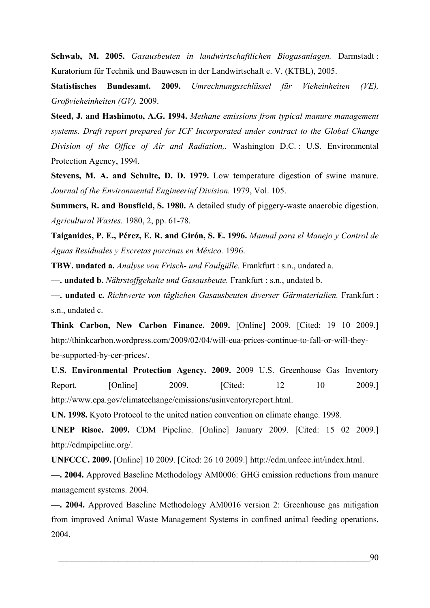**Schwab, M. 2005.** *Gasausbeuten in landwirtschaftlichen Biogasanlagen.* Darmstadt : Kuratorium für Technik und Bauwesen in der Landwirtschaft e. V. (KTBL), 2005.

**Statistisches Bundesamt. 2009.** *Umrechnungsschlüssel für Vieheinheiten (VE), Großvieheinheiten (GV).* 2009.

**Steed, J. and Hashimoto, A.G. 1994.** *Methane emissions from typical manure management systems. Draft report prepared for ICF Incorporated under contract to the Global Change Division of the Office of Air and Radiation,.* Washington D.C. : U.S. Environmental Protection Agency, 1994.

**Stevens, M. A. and Schulte, D. D. 1979.** Low temperature digestion of swine manure. *Journal of the Environmental Engineerinf Division.* 1979, Vol. 105.

**Summers, R. and Bousfield, S. 1980.** A detailed study of piggery-waste anaerobic digestion. *Agricultural Wastes.* 1980, 2, pp. 61-78.

**Taiganides, P. E., Pérez, E. R. and Girón, S. E. 1996.** *Manual para el Manejo y Control de Aguas Residuales y Excretas porcinas en México.* 1996.

**TBW. undated a.** *Analyse von Frisch- und Faulgülle.* Frankfurt : s.n., undated a.

**—. undated b.** *Nährstoffgehalte und Gasausbeute.* Frankfurt : s.n., undated b.

**—. undated c.** *Richtwerte von täglichen Gasausbeuten diverser Gärmaterialien.* Frankfurt : s.n., undated c.

**Think Carbon, New Carbon Finance. 2009.** [Online] 2009. [Cited: 19 10 2009.] http://thinkcarbon.wordpress.com/2009/02/04/will-eua-prices-continue-to-fall-or-will-theybe-supported-by-cer-prices/.

**U.S. Environmental Protection Agency. 2009.** 2009 U.S. Greenhouse Gas Inventory Report. [Online] 2009. [Cited: 12 10 2009.] http://www.epa.gov/climatechange/emissions/usinventoryreport.html.

**UN. 1998.** Kyoto Protocol to the united nation convention on climate change. 1998.

**UNEP Risoe. 2009.** CDM Pipeline. [Online] January 2009. [Cited: 15 02 2009.] http://cdmpipeline.org/.

**UNFCCC. 2009.** [Online] 10 2009. [Cited: 26 10 2009.] http://cdm.unfccc.int/index.html.

**—. 2004.** Approved Baseline Methodology AM0006: GHG emission reductions from manure management systems. 2004.

**—. 2004.** Approved Baseline Methodology AM0016 version 2: Greenhouse gas mitigation from improved Animal Waste Management Systems in confined animal feeding operations. 2004.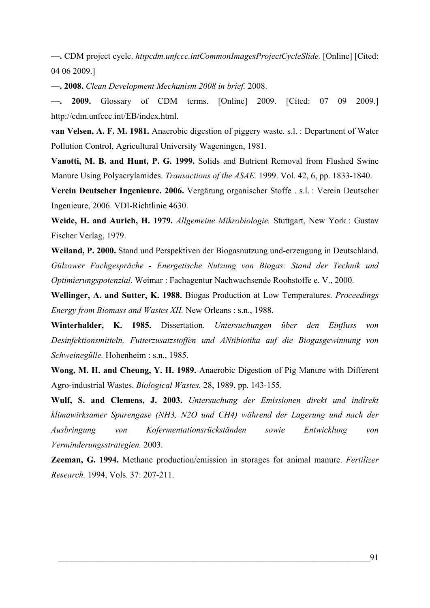**—.** CDM project cycle. *httpcdm.unfccc.intCommonImagesProjectCycleSlide.* [Online] [Cited: 04 06 2009.]

**—. 2008.** *Clean Development Mechanism 2008 in brief.* 2008.

**—. 2009.** Glossary of CDM terms. [Online] 2009. [Cited: 07 09 2009.] http://cdm.unfccc.int/EB/index.html.

**van Velsen, A. F. M. 1981.** Anaerobic digestion of piggery waste. s.l. : Department of Water Pollution Control, Agricultural University Wageningen, 1981.

**Vanotti, M. B. and Hunt, P. G. 1999.** Solids and Butrient Removal from Flushed Swine Manure Using Polyacrylamides. *Transactions of the ASAE.* 1999. Vol. 42, 6, pp. 1833-1840.

**Verein Deutscher Ingenieure. 2006.** Vergärung organischer Stoffe . s.l. : Verein Deutscher Ingenieure, 2006. VDI-Richtlinie 4630.

**Weide, H. and Aurich, H. 1979.** *Allgemeine Mikrobiologie.* Stuttgart, New York : Gustav Fischer Verlag, 1979.

**Weiland, P. 2000.** Stand und Perspektiven der Biogasnutzung und-erzeugung in Deutschland. *Gülzower Fachgespräche - Energetische Nutzung von Biogas: Stand der Technik und Optimierungspotenzial.* Weimar : Fachagentur Nachwachsende Roohstoffe e. V., 2000.

**Wellinger, A. and Sutter, K. 1988.** Biogas Production at Low Temperatures. *Proceedings Energy from Biomass and Wastes XII.* New Orleans : s.n., 1988.

**Winterhalder, K. 1985.** Dissertation. *Untersuchungen über den Einfluss von Desinfektionsmitteln, Futterzusatzstoffen und ANtibiotika auf die Biogasgewinnung von Schweinegülle.* Hohenheim : s.n., 1985.

**Wong, M. H. and Cheung, Y. H. 1989.** Anaerobic Digestion of Pig Manure with Different Agro-industrial Wastes. *Biological Wastes.* 28, 1989, pp. 143-155.

**Wulf, S. and Clemens, J. 2003.** *Untersuchung der Emissionen direkt und indirekt klimawirksamer Spurengase (NH3, N2O und CH4) während der Lagerung und nach der Ausbringung von Kofermentationsrückständen sowie Entwicklung von Verminderungsstrategien.* 2003.

**Zeeman, G. 1994.** Methane production/emission in storages for animal manure. *Fertilizer Research.* 1994, Vols. 37: 207-211.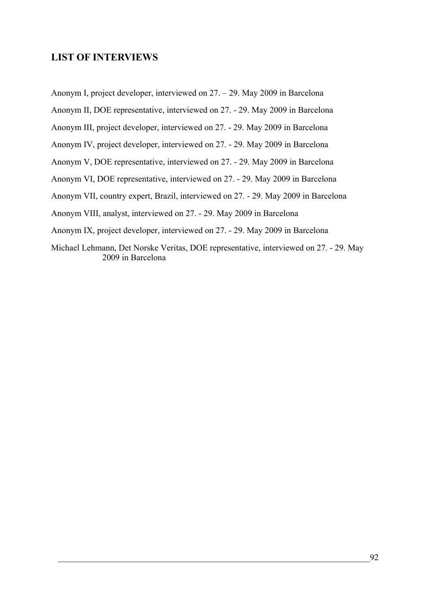## **LIST OF INTERVIEWS**

Anonym I, project developer, interviewed on 27. – 29. May 2009 in Barcelona

Anonym II, DOE representative, interviewed on 27. - 29. May 2009 in Barcelona

Anonym III, project developer, interviewed on 27. - 29. May 2009 in Barcelona

Anonym IV, project developer, interviewed on 27. - 29. May 2009 in Barcelona

Anonym V, DOE representative, interviewed on 27. - 29. May 2009 in Barcelona

Anonym VI, DOE representative, interviewed on 27. - 29. May 2009 in Barcelona

Anonym VII, country expert, Brazil, interviewed on 27. - 29. May 2009 in Barcelona

Anonym VIII, analyst, interviewed on 27. - 29. May 2009 in Barcelona

Anonym IX, project developer, interviewed on 27. - 29. May 2009 in Barcelona

Michael Lehmann, Det Norske Veritas, DOE representative, interviewed on 27. - 29. May 2009 in Barcelona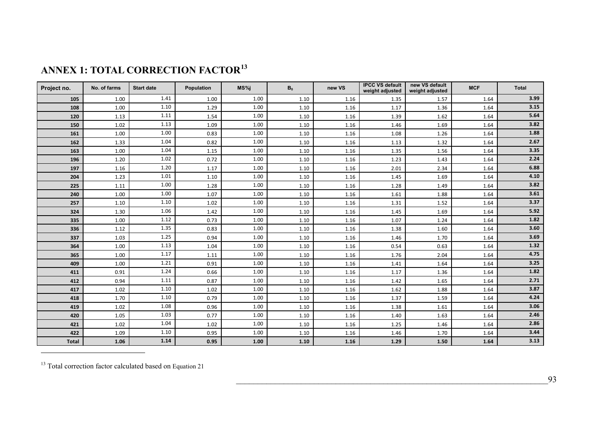| Project no.  | No. of farms | <b>Start date</b> | Population | MS%i | B <sub>0</sub> | new VS | <b>IPCC VS default</b><br>weight adjusted | new VS default<br>weight adjusted | <b>MCF</b> | <b>Total</b> |
|--------------|--------------|-------------------|------------|------|----------------|--------|-------------------------------------------|-----------------------------------|------------|--------------|
| 105          | 1.00         | 1.41              | 1.00       | 1.00 | 1.10           | 1.16   | 1.35                                      | 1.57                              | 1.64       | 3.99         |
| 108          | 1.00         | 1.10              | 1.29       | 1.00 | 1.10           | 1.16   | 1.17                                      | 1.36                              | 1.64       | 3.15         |
| 120          | 1.13         | 1.11              | 1.54       | 1.00 | 1.10           | 1.16   | 1.39                                      | 1.62                              | 1.64       | 5.64         |
| 150          | 1.02         | 1.13              | 1.09       | 1.00 | 1.10           | 1.16   | 1.46                                      | 1.69                              | 1.64       | 3.82         |
| 161          | 1.00         | 1.00              | 0.83       | 1.00 | 1.10           | 1.16   | 1.08                                      | 1.26                              | 1.64       | 1.88         |
| 162          | 1.33         | 1.04              | 0.82       | 1.00 | 1.10           | 1.16   | 1.13                                      | 1.32                              | 1.64       | 2.67         |
| 163          | 1.00         | 1.04              | 1.15       | 1.00 | 1.10           | 1.16   | 1.35                                      | 1.56                              | 1.64       | 3.35         |
| 196          | 1.20         | 1.02              | 0.72       | 1.00 | 1.10           | 1.16   | 1.23                                      | 1.43                              | 1.64       | 2.24         |
| 197          | 1.16         | 1.20              | 1.17       | 1.00 | 1.10           | 1.16   | 2.01                                      | 2.34                              | 1.64       | 6.88         |
| 204          | 1.23         | 1.01              | 1.10       | 1.00 | 1.10           | 1.16   | 1.45                                      | 1.69                              | 1.64       | 4.10         |
| 225          | 1.11         | 1.00              | 1.28       | 1.00 | 1.10           | 1.16   | 1.28                                      | 1.49                              | 1.64       | 3.82         |
| 240          | 1.00         | 1.00              | 1.07       | 1.00 | 1.10           | 1.16   | 1.61                                      | 1.88                              | 1.64       | 3.61         |
| 257          | 1.10         | 1.10              | 1.02       | 1.00 | 1.10           | 1.16   | 1.31                                      | 1.52                              | 1.64       | 3.37         |
| 324          | 1.30         | 1.06              | 1.42       | 1.00 | 1.10           | 1.16   | 1.45                                      | 1.69                              | 1.64       | 5.92         |
| 335          | 1.00         | 1.12              | 0.73       | 1.00 | 1.10           | 1.16   | 1.07                                      | 1.24                              | 1.64       | 1.82         |
| 336          | 1.12         | 1.35              | 0.83       | 1.00 | 1.10           | 1.16   | 1.38                                      | 1.60                              | 1.64       | 3.60         |
| 337          | 1.03         | 1.25              | 0.94       | 1.00 | 1.10           | 1.16   | 1.46                                      | 1.70                              | 1.64       | 3.69         |
| 364          | 1.00         | 1.13              | 1.04       | 1.00 | 1.10           | 1.16   | 0.54                                      | 0.63                              | 1.64       | 1.32         |
| 365          | 1.00         | 1.17              | 1.11       | 1.00 | 1.10           | 1.16   | 1.76                                      | 2.04                              | 1.64       | 4.75         |
| 409          | 1.00         | 1.21              | 0.91       | 1.00 | 1.10           | 1.16   | 1.41                                      | 1.64                              | 1.64       | 3.25         |
| 411          | 0.91         | 1.24              | 0.66       | 1.00 | 1.10           | 1.16   | 1.17                                      | 1.36                              | 1.64       | 1.82         |
| 412          | 0.94         | 1.11              | 0.87       | 1.00 | 1.10           | 1.16   | 1.42                                      | 1.65                              | 1.64       | 2.71         |
| 417          | 1.02         | 1.10              | 1.02       | 1.00 | 1.10           | 1.16   | 1.62                                      | 1.88                              | 1.64       | 3.87         |
| 418          | 1.70         | 1.10              | 0.79       | 1.00 | 1.10           | 1.16   | 1.37                                      | 1.59                              | 1.64       | 4.24         |
| 419          | 1.02         | 1.08              | 0.96       | 1.00 | 1.10           | 1.16   | 1.38                                      | 1.61                              | 1.64       | 3.06         |
| 420          | 1.05         | 1.03              | 0.77       | 1.00 | 1.10           | 1.16   | 1.40                                      | 1.63                              | 1.64       | 2.46         |
| 421          | 1.02         | 1.04              | 1.02       | 1.00 | 1.10           | 1.16   | 1.25                                      | 1.46                              | 1.64       | 2.86         |
| 422          | 1.09         | 1.10              | 0.95       | 1.00 | 1.10           | 1.16   | 1.46                                      | 1.70                              | 1.64       | 3.44         |
| <b>Total</b> | 1.06         | 1.14              | 0.95       | 1.00 | 1.10           | 1.16   | 1.29                                      | 1.50                              | 1.64       | 3.13         |

<span id="page-106-0"></span><sup>&</sup>lt;sup>13</sup> Total correction factor calculated based on Equation 21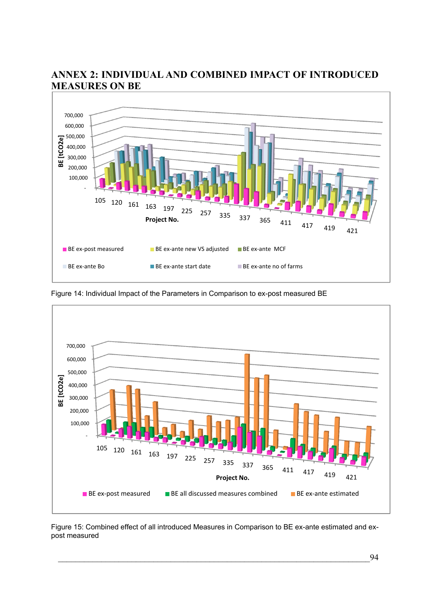

# **ANNEX 2: INDIVIDUAL AND COMBINED IMPACT OF INTRODUCED MEASURES ON BE**

Figure 14: Individual Impact of the Parameters in Comparison to ex-post measured BE



Figure 15: Combined effect of all introduced Measures in Comparison to BE ex-ante estimated and expost measured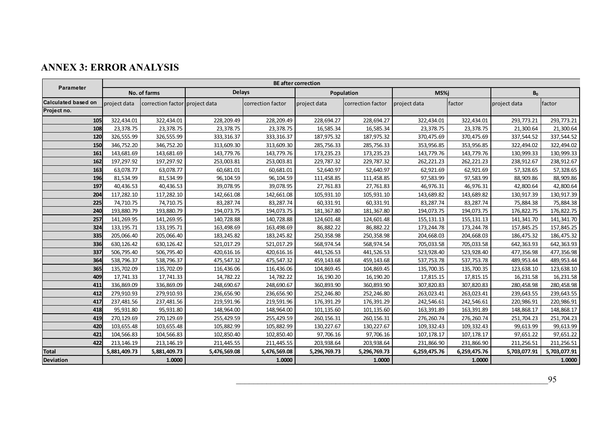# **ANNEX 3: ERROR ANALYSIS**

| <b>Parameter</b>           | <b>BE after correction</b> |                                |               |                   |              |                   |              |              |                |              |
|----------------------------|----------------------------|--------------------------------|---------------|-------------------|--------------|-------------------|--------------|--------------|----------------|--------------|
|                            | No. of farms               |                                | <b>Delays</b> |                   | Population   |                   | MS%i         |              | B <sub>0</sub> |              |
| <b>Calculated based on</b> | project data               | correction factor project data |               | correction factor | project data | correction factor | project data | factor       | project data   | factor       |
| Project no.                |                            |                                |               |                   |              |                   |              |              |                |              |
| 105                        | 322,434.01                 | 322,434.01                     | 228,209.49    | 228,209.49        | 228,694.27   | 228,694.27        | 322,434.01   | 322,434.01   | 293,773.21     | 293,773.21   |
| 108                        | 23,378.75                  | 23,378.75                      | 23,378.75     | 23,378.75         | 16,585.34    | 16,585.34         | 23,378.75    | 23,378.75    | 21,300.64      | 21,300.64    |
| 120                        | 326,555.99                 | 326,555.99                     | 333,316.37    | 333,316.37        | 187,975.32   | 187,975.32        | 370,475.69   | 370,475.69   | 337,544.52     | 337,544.52   |
| 150                        | 346,752.20                 | 346,752.20                     | 313,609.30    | 313,609.30        | 285,756.33   | 285,756.33        | 353,956.85   | 353,956.85   | 322,494.02     | 322,494.02   |
| 161                        | 143,681.69                 | 143,681.69                     | 143,779.76    | 143,779.76        | 173,235.23   | 173,235.23        | 143,779.76   | 143,779.76   | 130,999.33     | 130,999.33   |
| 162                        | 197,297.92                 | 197,297.92                     | 253,003.81    | 253,003.81        | 229,787.32   | 229,787.32        | 262,221.23   | 262,221.23   | 238,912.67     | 238,912.67   |
| 163                        | 63,078.77                  | 63,078.77                      | 60,681.01     | 60,681.01         | 52,640.97    | 52,640.97         | 62,921.69    | 62,921.69    | 57,328.65      | 57,328.65    |
| 196                        | 81,534.99                  | 81,534.99                      | 96,104.59     | 96,104.59         | 111,458.85   | 111,458.85        | 97,583.99    | 97,583.99    | 88,909.86      | 88,909.86    |
| 197                        | 40,436.53                  | 40,436.53                      | 39,078.95     | 39,078.95         | 27,761.83    | 27,761.83         | 46,976.31    | 46,976.31    | 42,800.64      | 42,800.64    |
| 204                        | 117,282.10                 | 117,282.10                     | 142,661.08    | 142,661.08        | 105,931.10   | 105,931.10        | 143,689.82   | 143,689.82   | 130,917.39     | 130,917.39   |
| 225                        | 74,710.75                  | 74,710.75                      | 83,287.74     | 83,287.74         | 60,331.91    | 60,331.91         | 83,287.74    | 83,287.74    | 75,884.38      | 75,884.38    |
| 240                        | 193,880.79                 | 193,880.79                     | 194,073.75    | 194,073.75        | 181,367.80   | 181,367.80        | 194,073.75   | 194,073.75   | 176,822.75     | 176,822.75   |
| 257                        | 141,269.95                 | 141,269.95                     | 140,728.88    | 140,728.88        | 124,601.48   | 124,601.48        | 155,131.13   | 155, 131. 13 | 141,341.70     | 141,341.70   |
| 324                        | 133, 195. 71               | 133, 195. 71                   | 163,498.69    | 163,498.69        | 86,882.22    | 86,882.22         | 173,244.78   | 173,244.78   | 157,845.25     | 157,845.25   |
| 335                        | 205,066.40                 | 205,066.40                     | 183,245.82    | 183,245.82        | 250,358.98   | 250,358.98        | 204,668.03   | 204,668.03   | 186,475.32     | 186,475.32   |
| 336                        | 630,126.42                 | 630,126.42                     | 521,017.29    | 521,017.29        | 568,974.54   | 568,974.54        | 705,033.58   | 705,033.58   | 642,363.93     | 642,363.93   |
| 337                        | 506,795.40                 | 506,795.40                     | 420,616.16    | 420,616.16        | 441,526.53   | 441,526.53        | 523,928.40   | 523,928.40   | 477,356.98     | 477,356.98   |
| 364                        | 538,796.37                 | 538,796.37                     | 475,547.32    | 475,547.32        | 459,143.68   | 459,143.68        | 537,753.78   | 537,753.78   | 489,953.44     | 489,953.44   |
| 365                        | 135,702.09                 | 135,702.09                     | 116,436.06    | 116,436.06        | 104,869.45   | 104,869.45        | 135,700.35   | 135,700.35   | 123,638.10     | 123,638.10   |
| 409                        | 17,741.33                  | 17,741.33                      | 14,782.22     | 14,782.22         | 16,190.20    | 16,190.20         | 17,815.15    | 17,815.15    | 16,231.58      | 16,231.58    |
| 411                        | 336,869.09                 | 336,869.09                     | 248,690.67    | 248,690.67        | 360,893.90   | 360,893.90        | 307,820.83   | 307,820.83   | 280,458.98     | 280,458.98   |
| 412                        | 279,910.93                 | 279,910.93                     | 236,656.90    | 236,656.90        | 252,246.80   | 252,246.80        | 263,023.41   | 263,023.41   | 239,643.55     | 239,643.55   |
| 417                        | 237,481.56                 | 237,481.56                     | 219,591.96    | 219,591.96        | 176,391.29   | 176,391.29        | 242,546.61   | 242,546.61   | 220,986.91     | 220,986.91   |
| 418                        | 95,931.80                  | 95,931.80                      | 148,964.00    | 148,964.00        | 101,135.60   | 101,135.60        | 163,391.89   | 163,391.89   | 148,868.17     | 148,868.17   |
| 419                        | 270,129.69                 | 270,129.69                     | 255,429.59    | 255,429.59        | 260, 156. 31 | 260,156.31        | 276,260.74   | 276,260.74   | 251,704.23     | 251,704.23   |
| 420                        | 103,655.48                 | 103,655.48                     | 105,882.99    | 105,882.99        | 130,227.67   | 130,227.67        | 109,332.43   | 109,332.43   | 99,613.99      | 99,613.99    |
| 421                        | 104,566.83                 | 104,566.83                     | 102,850.40    | 102,850.40        | 97,706.16    | 97,706.16         | 107,178.17   | 107,178.17   | 97,651.22      | 97,651.22    |
| 422                        | 213,146.19                 | 213,146.19                     | 211,445.55    | 211,445.55        | 203,938.64   | 203,938.64        | 231,866.90   | 231,866.90   | 211,256.51     | 211,256.51   |
| <b>Total</b>               | 5,881,409.73               | 5,881,409.73                   | 5,476,569.08  | 5,476,569.08      | 5,296,769.73 | 5,296,769.73      | 6,259,475.76 | 6,259,475.76 | 5,703,077.91   | 5,703,077.91 |
| <b>Deviation</b>           |                            | 1.0000                         |               | 1.0000            |              | 1.0000            |              | 1.0000       |                | 1.0000       |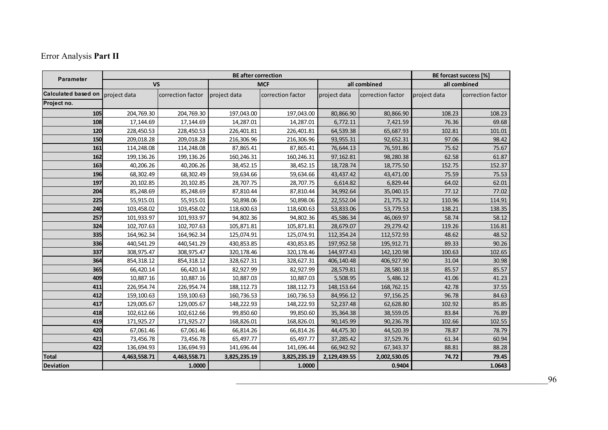# Error Analysis **Part II**

| Parameter                  |              | BE forcast success [%] |              |                   |              |                   |              |                   |  |
|----------------------------|--------------|------------------------|--------------|-------------------|--------------|-------------------|--------------|-------------------|--|
|                            | <b>VS</b>    |                        | <b>MCF</b>   |                   |              | all combined      | all combined |                   |  |
| <b>Calculated based on</b> | project data | correction factor      | project data | correction factor | project data | correction factor | project data | correction factor |  |
| Project no.                |              |                        |              |                   |              |                   |              |                   |  |
| 105                        | 204,769.30   | 204,769.30             | 197,043.00   | 197,043.00        | 80,866.90    | 80,866.90         | 108.23       | 108.23            |  |
| 108                        | 17,144.69    | 17,144.69              | 14,287.01    | 14,287.01         | 6,772.11     | 7,421.59          | 76.36        | 69.68             |  |
| 120                        | 228,450.53   | 228,450.53             | 226,401.81   | 226,401.81        | 64,539.38    | 65,687.93         | 102.81       | 101.01            |  |
| 150                        | 209,018.28   | 209,018.28             | 216,306.96   | 216,306.96        | 93,955.31    | 92,652.31         | 97.06        | 98.42             |  |
| 161                        | 114,248.08   | 114,248.08             | 87,865.41    | 87,865.41         | 76,644.13    | 76,591.86         | 75.62        | 75.67             |  |
| 162                        | 199,136.26   | 199,136.26             | 160,246.31   | 160,246.31        | 97,162.81    | 98,280.38         | 62.58        | 61.87             |  |
| 163                        | 40,206.26    | 40,206.26              | 38,452.15    | 38,452.15         | 18,728.74    | 18,775.50         | 152.75       | 152.37            |  |
| 196                        | 68,302.49    | 68,302.49              | 59,634.66    | 59,634.66         | 43,437.42    | 43,471.00         | 75.59        | 75.53             |  |
| 197                        | 20,102.85    | 20,102.85              | 28,707.75    | 28,707.75         | 6,614.82     | 6,829.44          | 64.02        | 62.01             |  |
| 204                        | 85,248.69    | 85,248.69              | 87,810.44    | 87,810.44         | 34,992.64    | 35,040.15         | 77.12        | 77.02             |  |
| 225                        | 55,915.01    | 55,915.01              | 50,898.06    | 50,898.06         | 22,552.04    | 21,775.32         | 110.96       | 114.91            |  |
| 240                        | 103,458.02   | 103,458.02             | 118,600.63   | 118,600.63        | 53,833.06    | 53,779.53         | 138.21       | 138.35            |  |
| 257                        | 101,933.97   | 101,933.97             | 94,802.36    | 94,802.36         | 45,586.34    | 46,069.97         | 58.74        | 58.12             |  |
| 324                        | 102,707.63   | 102,707.63             | 105,871.81   | 105,871.81        | 28,679.07    | 29,279.42         | 119.26       | 116.81            |  |
| 335                        | 164,962.34   | 164,962.34             | 125,074.91   | 125,074.91        | 112,354.24   | 112,572.93        | 48.62        | 48.52             |  |
| 336                        | 440,541.29   | 440,541.29             | 430,853.85   | 430,853.85        | 197,952.58   | 195,912.71        | 89.33        | 90.26             |  |
| 337                        | 308,975.47   | 308,975.47             | 320,178.46   | 320,178.46        | 144,977.43   | 142,120.98        | 100.63       | 102.65            |  |
| 364                        | 854,318.12   | 854,318.12             | 328,627.31   | 328,627.31        | 406,140.48   | 406,927.90        | 31.04        | 30.98             |  |
| 365                        | 66,420.14    | 66,420.14              | 82,927.99    | 82,927.99         | 28,579.81    | 28,580.18         | 85.57        | 85.57             |  |
| 409                        | 10,887.16    | 10,887.16              | 10,887.03    | 10,887.03         | 5,508.95     | 5,486.12          | 41.06        | 41.23             |  |
| 411                        | 226,954.74   | 226,954.74             | 188, 112. 73 | 188, 112. 73      | 148,153.64   | 168,762.15        | 42.78        | 37.55             |  |
| 412                        | 159,100.63   | 159,100.63             | 160,736.53   | 160,736.53        | 84,956.12    | 97,156.25         | 96.78        | 84.63             |  |
| 417                        | 129,005.67   | 129,005.67             | 148,222.93   | 148,222.93        | 52,237.48    | 62,628.80         | 102.92       | 85.85             |  |
| 418                        | 102,612.66   | 102,612.66             | 99,850.60    | 99,850.60         | 35,364.38    | 38,559.05         | 83.84        | 76.89             |  |
| 419                        | 171,925.27   | 171,925.27             | 168,826.01   | 168,826.01        | 90,145.99    | 90,236.78         | 102.66       | 102.55            |  |
| 420                        | 67,061.46    | 67,061.46              | 66,814.26    | 66,814.26         | 44,475.30    | 44,520.39         | 78.87        | 78.79             |  |
| 421                        | 73,456.78    | 73,456.78              | 65,497.77    | 65,497.77         | 37,285.42    | 37,529.76         | 61.34        | 60.94             |  |
| 422                        | 136,694.93   | 136,694.93             | 141,696.44   | 141,696.44        | 66,942.92    | 67,343.37         | 88.81        | 88.28             |  |
| <b>Total</b>               | 4,463,558.71 | 4,463,558.71           | 3,825,235.19 | 3,825,235.19      | 2,129,439.55 | 2,002,530.05      | 74.72        | 79.45             |  |
| <b>Deviation</b>           | 1.0000       |                        | 1.0000       |                   |              | 0.9404            | 1.0643       |                   |  |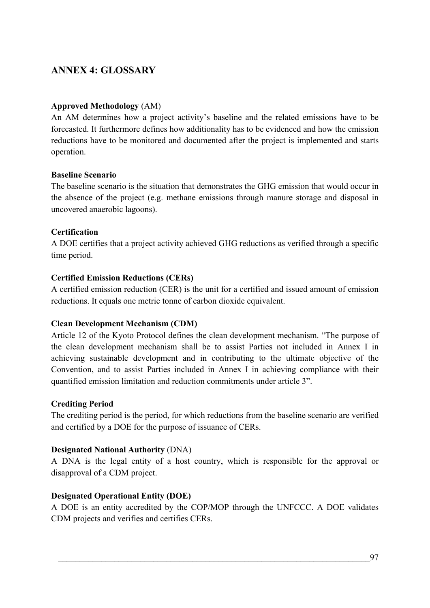# **ANNEX 4: GLOSSARY**

### **Approved Methodology** (AM)

An AM determines how a project activity's baseline and the related emissions have to be forecasted. It furthermore defines how additionality has to be evidenced and how the emission reductions have to be monitored and documented after the project is implemented and starts operation.

### **Baseline Scenario**

The baseline scenario is the situation that demonstrates the GHG emission that would occur in the absence of the project (e.g. methane emissions through manure storage and disposal in uncovered anaerobic lagoons).

## **Certification**

A DOE certifies that a project activity achieved GHG reductions as verified through a specific time period.

### **Certified Emission Reductions (CERs)**

A certified emission reduction (CER) is the unit for a certified and issued amount of emission reductions. It equals one metric tonne of carbon dioxide equivalent.

### **Clean Development Mechanism (CDM)**

Article 12 of the Kyoto Protocol defines the clean development mechanism. "The purpose of the clean development mechanism shall be to assist Parties not included in Annex I in achieving sustainable development and in contributing to the ultimate objective of the Convention, and to assist Parties included in Annex I in achieving compliance with their quantified emission limitation and reduction commitments under article 3".

### **Crediting Period**

The crediting period is the period, for which reductions from the baseline scenario are verified and certified by a DOE for the purpose of issuance of CERs.

## **Designated National Authority** (DNA)

A DNA is the legal entity of a host country, which is responsible for the approval or disapproval of a CDM project.

## **Designated Operational Entity (DOE)**

A DOE is an entity accredited by the COP/MOP through the UNFCCC. A DOE validates CDM projects and verifies and certifies CERs.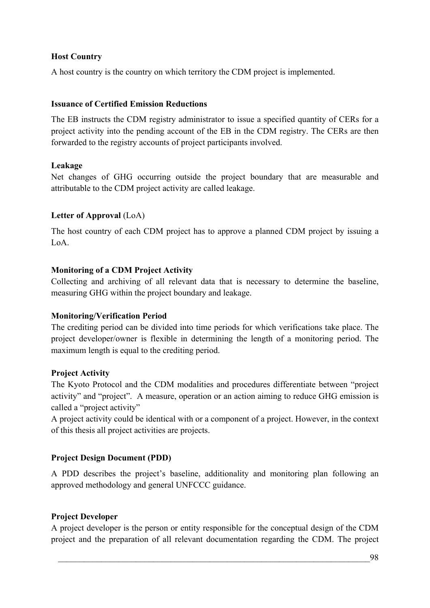## **Host Country**

A host country is the country on which territory the CDM project is implemented.

### **Issuance of Certified Emission Reductions**

The EB instructs the CDM registry administrator to issue a specified quantity of CERs for a project activity into the pending account of the EB in the CDM registry. The CERs are then forwarded to the registry accounts of project participants involved.

### **Leakage**

Net changes of GHG occurring outside the project boundary that are measurable and attributable to the CDM project activity are called leakage.

## **Letter of Approval** (LoA)

The host country of each CDM project has to approve a planned CDM project by issuing a LoA.

### **Monitoring of a CDM Project Activity**

Collecting and archiving of all relevant data that is necessary to determine the baseline, measuring GHG within the project boundary and leakage.

### **Monitoring/Verification Period**

The crediting period can be divided into time periods for which verifications take place. The project developer/owner is flexible in determining the length of a monitoring period. The maximum length is equal to the crediting period.

### **Project Activity**

The Kyoto Protocol and the CDM modalities and procedures differentiate between "project activity" and "project". A measure, operation or an action aiming to reduce GHG emission is called a "project activity"

A project activity could be identical with or a component of a project. However, in the context of this thesis all project activities are projects.

## **Project Design Document (PDD)**

A PDD describes the project's baseline, additionality and monitoring plan following an approved methodology and general UNFCCC guidance.

## **Project Developer**

A project developer is the person or entity responsible for the conceptual design of the CDM project and the preparation of all relevant documentation regarding the CDM. The project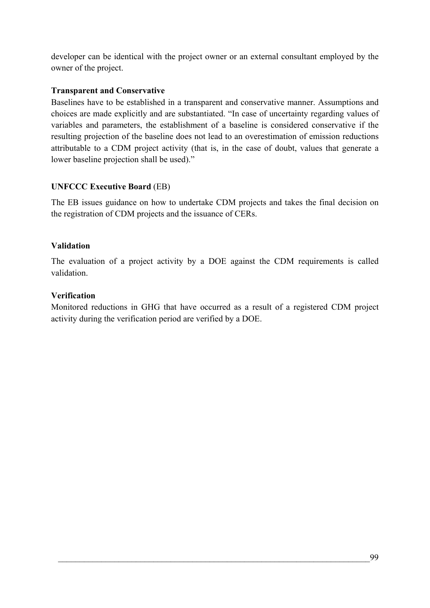developer can be identical with the project owner or an external consultant employed by the owner of the project.

## **Transparent and Conservative**

Baselines have to be established in a transparent and conservative manner. Assumptions and choices are made explicitly and are substantiated. "In case of uncertainty regarding values of variables and parameters, the establishment of a baseline is considered conservative if the resulting projection of the baseline does not lead to an overestimation of emission reductions attributable to a CDM project activity (that is, in the case of doubt, values that generate a lower baseline projection shall be used)."

## **UNFCCC Executive Board** (EB)

The EB issues guidance on how to undertake CDM projects and takes the final decision on the registration of CDM projects and the issuance of CERs.

## **Validation**

The evaluation of a project activity by a DOE against the CDM requirements is called validation.

### **Verification**

Monitored reductions in GHG that have occurred as a result of a registered CDM project activity during the verification period are verified by a DOE.